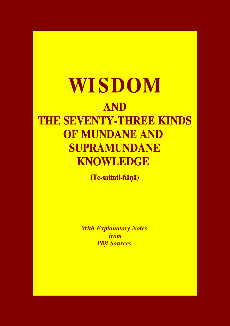# **WISDOM AND THE SEVENTY-THREE KINDS** OF MUNDANE AND **SUPRAMUNDANE KNOWLEDGE**

(Te-sattati-ñānā)

*With Explanatory Notes from* *Pàëi Sources*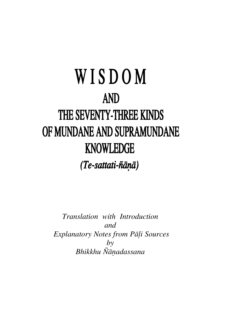# WISDOM **AND** THE SEVENTY-THREE KINDS OF MUNDANE AND SUPRAMUNDANE **KNOWLEDGE** (Te-sattati-ñāņā)

*Translation with Introduction and Explanatory Notes from Pàëi Sources by Bhikkhu ¥àõadassana*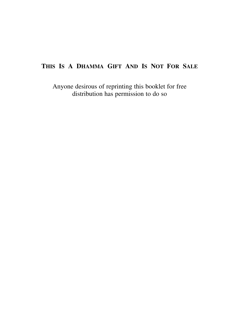### **THIS IS A DHAMMA GIFT AND IS NOT FOR SALE**

Anyone desirous of reprinting this booklet for free distribution has permission to do so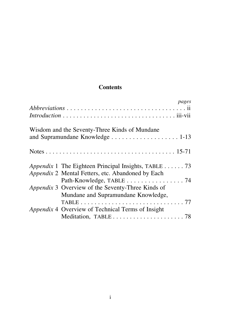#### **Contents**

| pages                                                                                                                                        |
|----------------------------------------------------------------------------------------------------------------------------------------------|
| Wisdom and the Seventy-Three Kinds of Mundane                                                                                                |
|                                                                                                                                              |
| <i>Appendix</i> 1 The Eighteen Principal Insights, TABLE 73<br>Appendix 2 Mental Fetters, etc. Abandoned by Each<br>Path-Knowledge, TABLE 74 |
| Appendix 3 Overview of the Seventy-Three Kinds of<br>Mundane and Supramundane Knowledge,                                                     |
| Appendix 4 Overview of Technical Terms of Insight                                                                                            |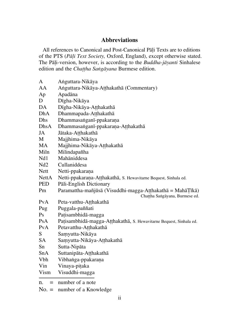#### **Abbreviations**

All references to Canonical and Post-Canonical Pāli Texts are to editions of the PTS (*Pàëi Text Society,* Oxford, England), except otherwise stated. The Pàëi-version, however, is according to the *Buddha-jàyanti* Sinhalese edition and the *Chattha Sangāyana* Burmese edition.

| n.<br>$=$   | number of a note                                                   |
|-------------|--------------------------------------------------------------------|
| Vism        | Visuddhi-magga                                                     |
| Vin         | Vinaya-pitaka                                                      |
| <b>Vbh</b>  | Vibhanga-ppakarana                                                 |
| SnA         | Suttanipāta-Atthakathā                                             |
| Sn          | Sutta-Nipāta                                                       |
| SA          | Samyutta-Nikāya-Atthakathā                                         |
| S           | Samyutta-Nikāya                                                    |
| PvA         | Petavatthu-Atthakathā                                              |
| PsA         | Patisambhidā-magga-Atthakathā, S. Hewavitarne Bequest, Sinhala ed. |
| Ps          | Patisambhidā-magga                                                 |
| Pug         | Puggala-paññati                                                    |
| PvA         | Peta-vatthu-Atthakathā                                             |
|             | Chattha Sangāyana, Burmese ed.                                     |
| Pm          | Paramattha-mañjūsā (Visuddhi-magga-Atthakathā = MahāTīkā)          |
| <b>PED</b>  | Pāli-English Dictionary                                            |
| NettA       | Netti-ppakarana-Atthakathā, S. Hewavitarne Bequest, Sinhala ed.    |
| <b>Nett</b> | Netti-ppakarana                                                    |
| Nd2         | Cullaniddesa                                                       |
| Nd1         | Mahāniddesa                                                        |
| Miln        | Milindapañha                                                       |
| MA          | Majjhima-Nikāya-Atthakathā                                         |
| M           | Majjhima-Nikāya                                                    |
| DhsA<br>JA  | Dhammasanganī-ppakarana-Atthakathā<br>Jātaka-Atthakathā            |
| Dhs         | Dhammasanganī-ppakarana                                            |
| <b>DhA</b>  | Dhammapada-Atthakathā                                              |
| DA          | Dīgha-Nikāya-Atthakathā                                            |
| D           | Dīgha-Nikāya                                                       |
| Ap          | Apadāna                                                            |
| AA          | Anguttara-Nikāya-Aṭṭhakathā (Commentary)                           |
| A           | Anguttara-Nikāya                                                   |
|             |                                                                    |

No. = number of a Knowledge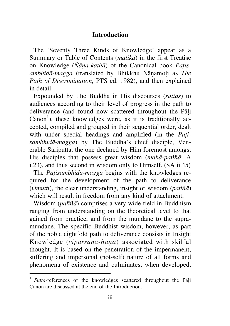#### **Introduction**

The 'Seventy Three Kinds of Knowledge' appear as a Summary or Table of Contents (*màtikà*) in the first Treatise on Knowledge ( $\tilde{N}\bar{a}na-kath\bar{a}$ ) of the Canonical book *Patisambhidā-magga* (translated by Bhikkhu Ñānamoli as *The Path of Discrimination*, PTS ed. 1982), and then explained in detail.

Expounded by The Buddha in His discourses (*suttas*) to audiences according to their level of progress in the path to deliverance (and found now scattered throughout the Pali  $Canon<sup>1</sup>$ ), these knowledges were, as it is traditionally accepted, compiled and grouped in their sequential order, dealt with under special headings and amplified (in the *Pañisambhidà-magga*) by The Buddha's chief disciple, Venerable Sàriputta, the one declared by Him foremost amongst His disciples that possess great wisdom (mahā-paññā: A i.23), and thus second in wisdom only to Himself. (SA ii.45)

The *Patisambhidā-magga* begins with the knowledges required for the development of the path to deliverance (*vimutti*), the clear understanding, insight or wisdom ( $p a \tilde{n} \tilde{n} \bar{a}$ ) which will result in freedom from any kind of attachment.

Wisdom (*paññā*) comprises a very wide field in Buddhism, ranging from understanding on the theoretical level to that gained from practice, and from the mundane to the supramundane. The specific Buddhist wisdom, however, as part of the noble eightfold path to deliverance consists in Insight Knowledge (*vipassanà-¤àõa*) associated with skilful thought. It is based on the penetration of the impermanent, suffering and impersonal (not-self) nature of all forms and phenomena of existence and culminates, when developed,

<sup>1</sup> Sutta-references of the knowledges scattered throughout the Pāli Canon are discussed at the end of the Introduction.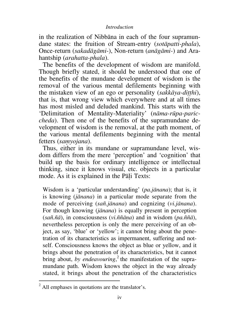#### *Introduction*

in the realization of Nibbàna in each of the four supramundane states: the fruition of Stream-entry (*sotàpatti-phala*), Once-return (*sakadàgàmi-*), Non-return (*anàgàmi-*) and Arahantship (*arahatta-phala*).

The benefits of the development of wisdom are manifold. Though briefly stated, it should be understood that one of the benefits of the mundane development of wisdom is the removal of the various mental defilements beginning with the mistaken view of an ego or personality *(sakkāya-ditthi)*, that is, that wrong view which everywhere and at all times has most misled and deluded mankind. This starts with the `Delimitation of Mentality-Materiality' (*nàma-råpa-pariccheda*). Then one of the benefits of the supramundane development of wisdom is the removal, at the path moment, of the various mental defilements beginning with the mental fetters (samyojana).

Thus, either in its mundane or supramundane level, wisdom differs from the mere 'perception' and 'cognition' that build up the basis for ordinary intelligence or intellectual thinking, since it knows visual, etc. objects in a particular mode. As it is explained in the Pāli Texts:

Wisdom is a `particular understanding' (*pa.jànana*); that is, it is knowing (*jànana*) in a particular mode separate from the mode of perceiving (*sa¤.jànana*) and cognizing (*vi.jànana*). For though knowing (*jànana*) is equally present in perception (*sa¤.¤à*), in consciousness (*vi.¤¤àõa*) and in wisdom (*pa.¤¤à*), nevertheless perception is only the mere perceiving of an object, as say, `blue' or `yellow'; it cannot bring about the penetration of its characteristics as impermanent, suffering and notself. Consciousness knows the object as blue or yellow, and it brings about the penetration of its characteristics, but it cannot bring about, by endeavouring,<sup>2</sup> the manifestation of the supramundane path. Wisdom knows the object in the way already stated, it brings about the penetration of the characteristics

 $2$  All emphases in quotations are the translator's.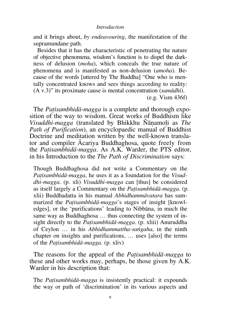and it brings about, *by endeavouring*, the manifestation of the supramundane path.

Besides that it has the characteristic of penetrating the nature of objective phenomena, wisdom's function is to dispel the darkness of delusion (*moha*), which conceals the true nature of phenomena and is manifested as non-delusion (*amoha*). Because of the words [uttered by The Buddha] "One who is mentally concentrated knows and sees things according to reality: (A v.3)<sup>n</sup> its proximate cause is mental concentration (*samādhi*). (e.g. Vism 436f)

The *Patisambhidā-magga* is a complete and thorough exposition of the way to wisdom. Great works of Buddhism like *Visuddhi-magga* (translated by Bhikkhu Ñānamoli as *The Path of Purification*), an encyclopaedic manual of Buddhist Doctrine and meditation written by the well-known translator and compiler âcariya Buddhaghosa, quote freely from the *Pañisambhidà-magga*. As A.K. Warder, the PTS editor, in his Introduction to the *The Path of Discrimination* says:

Though Buddhaghosa did not write a Commentary on the *Patisambhidā-magga*, he uses it as a foundation for the *Visuddhi-magga*. (p. xli) *Visuddhi-magga* can [thus] be considered as itself largely a Commentary on the *Pañisambhidà-magga*. (p. xlii) Buddhadatta in his manual *Abhidhammàvatara* has summarized the *Patisambhidā-magga*'s stages of insight [knowledges], or the `purifications' leading to Nibbàna, in much the same way as Buddhaghosa  $\dots$  thus connecting the system of insight directly to the *Pañisambhidà-magga*. (p. xliii) Anuruddha of Ceylon  $\ldots$  in his *Abhidhammattha-sangaha*, in the ninth chapter on insights and purifications, ... uses [also] the terms of the *Pañisambhidà-magga*. (p. xliv)

The reasons for the appeal of the *Pañisambhidà-magga* to these and other works may, perhaps, be those given by A.K. Warder in his description that:

The *Patisambhidā-magga* is insistently practical: it expounds the way or path of `discrimination' in its various aspects and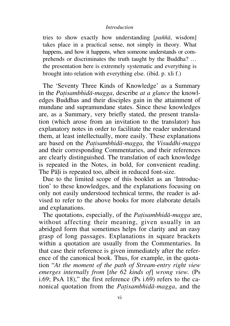#### *Introduction*

tries to show exactly how understanding [*paññā*, wisdom] takes place in a practical sense, not simply in theory. What happens, and how it happens, when someone understands or comprehends or discriminates the truth taught by the Buddha? ... the presentation here is extremely systematic and everything is brought into relation with everything else. (ibid. p. xli f.)

The `Seventy Three Kinds of Knowledge' as a Summary in the *Patisambhidā-magga*, describe *at a glance* the knowledges Buddhas and their disciples gain in the attainment of mundane and supramundane states. Since these knowledges are, as a Summary, very briefly stated, the present translation (which arose from an invitation to the translator) has explanatory notes in order to facilitate the reader understand them, at least intellectually, more easily. These explanations are based on the *Pañisambhidà-magga*, the *Visuddhi-magga* and their corresponding Commentaries, and their references are clearly distinguished. The translation of each knowledge is repeated in the Notes, in bold, for convenient reading. The Pāli is repeated too, albeit in reduced font-size.

Due to the limited scope of this booklet as an 'Introduction' to these knowledges, and the explanations focusing on only not easily understood technical terms, the reader is advised to refer to the above books for more elaborate details and explanations.

The quotations, especially, of the *Pañisambhidà-magga* are, without affecting their meaning, given usually in an abridged form that sometimes helps for clarity and an easy grasp of long passages. Explanations in square brackets within a quotation are usually from the Commentaries. In that case their reference is given immediately after the reference of the canonical book. Thus, for example, in the quotation "At the moment of the path of Stream-entry right view *emerges internally from* [*the 62 kinds of*] *wrong view.* (Ps i.69; PsA 18)," the first reference (Ps i.69) refers to the canonical quotation from the *Pañisambhidà-magga*, and the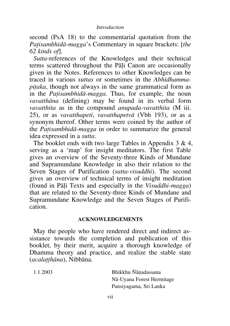#### *Introduction*

second (PsA 18) to the commentarial quotation from the *Patisambhidā-magga*'s Commentary in square brackets: [*the 62 kinds of*].

*Sutta*-references of the Knowledges and their technical terms scattered throughout the Pāli Canon are occasionally given in the Notes. References to other Knowledges can be traced in various *suttas* or sometimes in the *Abhidhammapitaka*, though not always in the same grammatical form as in the *Patisambhidā-magga*. Thus, for example, the noun *vavatthàna* (defining) may be found in its verbal form *vavatthita* as in the compound *anupada-vavatthita* (M iii. 25), or as *vavatthapeti*, *vavatthapetvà* (Vbh 193), or as a synonym thereof. Other terms were coined by the author of the *Patisambhidā-magga* in order to summarize the general idea expressed in a *sutta*.

The booklet ends with two large Tables in Appendix 3 & 4, serving as a `map' for insight meditators. The first Table gives an overview of the Seventy-three Kinds of Mundane and Supramundane Knowledge in also their relation to the Seven Stages of Purification (*satta-visuddhi*). The second gives an overview of technical terms of insight meditation (found in Pàëi Texts and especially in the *Visuddhi-magga*) that are related to the Seventy-three Kinds of Mundane and Supramundane Knowledge and the Seven Stages of Purification.

#### **ACKNOWLEDGEMENTS**

May the people who have rendered direct and indirect assistance towards the completion and publication of this booklet, by their merit, acquire a thorough knowledge of Dhamma theory and practice, and realize the stable state (*acalatthāna*), Nibbāna.

 $1.1.2003$  Bhikkhu Ñānadassana Nà-Uyana Forest Hermitage Pansiyagama, Sri Lanka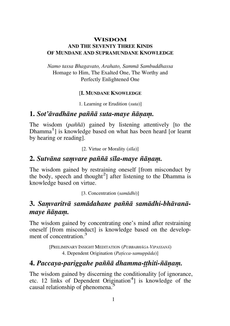#### **WISDOM AND THE SEVENTY THREE KINDS OF MUNDANE AND SUPRAMUNDANE KNOWLEDGE**

*Namo tassa Bhagavato, Arahato, Sammà Sambuddhassa*  Homage to Him, The Exalted One, The Worthy and Perfectly Enlightened One

#### [**I. MUNDANE KNOWLEDGE**

1. Learning or Erudition (*suta*)]

#### **1.** *Sot'āvadhāne paññā suta-maye ñānam.*

The wisdom *(paññā)* gained by listening attentively [to the Dhamma<sup>1</sup>] is knowledge based on what has been heard [or learnt by hearing or reading].

[2. Virtue or Morality (*sãla*)]

#### 2. *Sutvāna samvare paññā sīla-maye ñānam.*

The wisdom gained by restraining oneself [from misconduct by the body, speech and thought<sup>2</sup>] after listening to the Dhamma is knowledge based on virtue.

[3. Concentration (*samàdhi*)]

### 3. Samvaritvā samādahane paññā samādhi-bhāvanāmaye ñānam.

The wisdom gained by concentrating one's mind after restraining oneself [from misconduct] is knowledge based on the development of concentration <sup>3</sup>

> [PRELIMINARY INSIGHT MEDITATION (*PUBBABHâGA-VIPASSANâ*) 4. Dependent Origination (*Pañicca-samuppàda*)]

### **4.** *Paccaya-pariggahe pa¤¤à dhamma-ññhiti-¤àõaü.*

The wisdom gained by discerning the conditionality [of ignorance, etc. 12 links of Dependent Origination<sup>4</sup>] is knowledge of the causal relationship of phenomena.<sup>5</sup>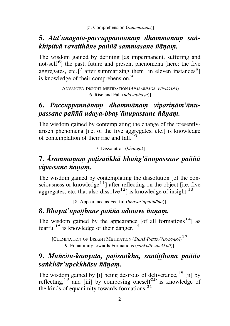### 5. Atīt'ānāgata-paccuppannānam dhammānam san*khipitvā vavatthāne paññā sammasane ñānam.*

The wisdom gained by defining [as impermanent, suffering and not-self<sup>6</sup>] the past, future and present phenomena [here: the five aggregates, etc.]<sup>7</sup> after summarizing them [in eleven instances<sup>8</sup>] is knowledge of their comprehension.<sup>9</sup>

> [ADVANCED INSIGHT METIDATION (*APARABHâGA-VIPASSANâ*) 6. Rise and Fall (*udayabbaya*)]

# 6. Paccuppannānam dhammānam vipariņām'ānu*passane pa¤¤à udaya-bbay'ànupassane ¤àõaü.*

The wisdom gained by contemplating the change of the presentlyarisen phenomena [i.e. of the five aggregates, etc.] is knowledge of contemplation of their rise and fall.<sup>10</sup>

[7. Dissolution (*bhaïga*)]

# **7.** *ârammaõaü pañisaïkhà bhaïg'ànupassane pa¤¤à vipassane ñānam.*

The wisdom gained by contemplating the dissolution [of the consciousness or knowledge $11$ ] after reflecting on the object [i.e. five aggregates, etc. that also dissolve<sup>12</sup>] is knowledge of insight.<sup>13</sup>

[8. Appearance as Fearful (*bhayat'upatthāna*)]

# 8. *Bhayat'upatthāne paññā ādīnave ñānam.*

The wisdom gained by the appearance [of all formations $14$ ] as fearful<sup>15</sup> is knowledge of their danger.<sup>16</sup>

[CULMINATION OF INSIGHT METIDATION (*SIKHâ-PATTA-VIPASSANâ*) 17 9. Equanimity towards Formations (*saïkhàr'upekkhà*)]

# 9. *Muñcitu-kamyatā, patisankhā, santitthānā paññā saïkhàr'upekkhàsu ¤àõaü.*

The wisdom gained by  $[i]$  being desirous of deliverance,  $^{18}$   $[i]$  by reflecting,<sup>19</sup> and [iii] by composing oneself<sup>20</sup> is knowledge of the kinds of equanimity towards formations. $21$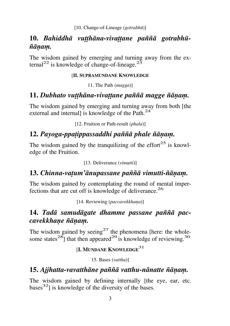# 10. Bahiddhā vutthāna-vivattane paññā gotrabhū- $\tilde{n}$ *ānam.*

The wisdom gained by emerging and turning away from the external<sup>22</sup> is knowledge of change-of-lineage.<sup>23</sup>

#### [**II. SUPRAMUNDANE KNOWLEDGE**

11. The Path (*magga*)]

### 11. Dubhato vutthāna-vivattane paññā magge ñānam.

The wisdom gained by emerging and turning away from both [the external and internal] is knowledge of the Path.<sup>24</sup>

[12. Fruition or Path-result (*phala*)]

# 12. Payoga-ppatippassaddhi paññā phale ñānam.

The wisdom gained by the tranquilizing of the effort<sup>25</sup> is knowledge of the Fruition.

[13. Deliverance (*vimutti*)]

### 13. Chinna-vatum'ānupassane paññā vimutti-ñānam.

The wisdom gained by contemplating the round of mental imperfections that are cut off is knowledge of deliverance.<sup>26</sup>

[14. Reviewing (*paccavekkhana*)]

### 14. Tadā samudāgate dhamme passane paññā pac*cavekkhane ñānam.*

The wisdom gained by seeing<sup>27</sup> the phenomena [here: the wholesome states<sup>28</sup>] that then appeared<sup>29</sup> is knowledge of reviewing.<sup>30</sup>

### [**I. <sup>M</sup>UNDANE KNOWLEDGE**<sup>31</sup>

15. Bases (*vatthu*)]

### 15. Ajjhatta-vavatthāne paññā vatthu-nānatte ñānam.

The wisdom gained by defining internally [the eye, ear, etc.  $bases<sup>32</sup>$  is knowledge of the diversity of the bases.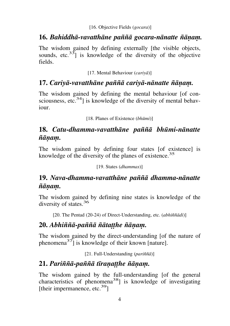### 16. *Bahiddhā-vavatthāne paññā gocara-nānatte ñānam.*

The wisdom gained by defining externally [the visible objects, sounds, etc. $33$ ] is knowledge of the diversity of the objective fields.

[17. Mental Behaviour (*cariyà*)]

### 17. Cariyā-vavatthāne paññā cariyā-nānatte ñānam.

The wisdom gained by defining the mental behaviour [of consciousness, etc. $34$ ] is knowledge of the diversity of mental behaviour.

[18. Planes of Existence (*bhåmi*)]

### **18.** *Catu-dhamma-vavatthàne pa¤¤à bhåmi-nànatte*   $\tilde{n}$ *ānam.*

The wisdom gained by defining four states [of existence] is knowledge of the diversity of the planes of existence.<sup>35</sup>

[19. States (*dhammas*)]

### **19.** *Nava-dhamma-vavatthàne pa¤¤à dhamma-nànatte*   $\tilde{n}$ *ānam.*

The wisdom gained by defining nine states is knowledge of the diversity of states.<sup>36</sup>

[20. The Pentad (20-24) of Direct-Understanding, etc. (*abhi¤¤àdi*)]

### **20.** *Abhi¤¤à-pa¤¤à ¤àtaññhe ¤àõaü.*

The wisdom gained by the direct-understanding [of the nature of phenomena<sup>37</sup> $\frac{3}{1}$  is knowledge of their known [nature].

[21. Full-Understanding (*pariñña*)]

### 21. Pariññā-paññā tīranatthe ñānam.

The wisdom gained by the full-understanding [of the general characteristics of phenomena<sup>38</sup>] is knowledge of investigating [their impermanence, etc. $39$ ]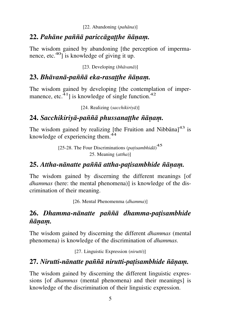### 22. Pahāne paññā pariccāgatthe ñānam.

The wisdom gained by abandoning [the perception of impermanence, etc. $40$ ] is knowledge of giving it up.

[23. Developing (*bhàvanà*)]

### 23. Bhāvanā-paññā eka-rasatthe ñānam.

The wisdom gained by developing [the contemplation of impermanence, etc.<sup>41</sup>] is knowledge of single function.<sup>42</sup>

[24. Realizing (*sacchikiriyà*)]

# 24. Sacchikirivā-paññā phussanatthe ñāņam.

The wisdom gained by realizing [the Fruition and Nibbana] $43$  is knowledge of experiencing them.<sup>44</sup>

> [25-28. The Four Discriminations (*patisambhida*)<sup>45</sup> 25. Meaning (*attha*)]

### **25.** *Attha-nànatte pa¤¤à attha-pañisambhide ¤àõaü.*

The wisdom gained by discerning the different meanings [of *dhammas* (here: the mental phenomena)] is knowledge of the discrimination of their meaning.

[26. Mental Phenomenma (*dhamma*)]

### **26.** *Dhamma-nànatte pa¤¤à dhamma-pañisambhide*   $\tilde{n}$ *ānam.*

The wisdom gained by discerning the different *dhammas* (mental phenomena) is knowledge of the discrimination of *dhammas.*

[27. Linguistic Expression (*nirutti*)]

# **27.** *Nirutti-nànatte pa¤¤à nirutti-pañisambhide ¤àõaü.*

The wisdom gained by discerning the different linguistic expressions [of *dhammas* (mental phenomena) and their meanings] is knowledge of the discrimination of their linguistic expression.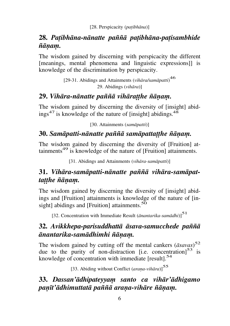### **28.** *Pañibhàna-nànatte pa¤¤à pañibhàna-pañisambhide*   $\tilde{n}$ *ānam.*

The wisdom gained by discerning with perspicacity the different [meanings, mental phenomena and linguistic expressions]] is knowledge of the discrimination by perspicacity.

> [29-31. Abidings and Attainments (*vihàra/samàpatti*) 46 29. Abidings (*vihàra*)]

### 29. *Vihāra-nānatte paññā vihāratthe ñānam.*

The wisdom gained by discerning the diversity of [insight] abidings<sup>47</sup> is knowledge of the nature of [insight] abidings.<sup>48</sup>

[30. Attainments (*samàpatti*)]

### **30.** *Samàpatti-nànatte pa¤¤à samàpattaññhe ¤àõaü.*

The wisdom gained by discerning the diversity of [Fruition] attainments<sup>49</sup> is knowledge of the nature of [Fruition] attainments.

[31. Abidings and Attainments (*vihàra-samàpatti*)]

### **31.** *Vihàra-samàpatti-nànatte pa¤¤à vihàra-samàpattatthe ñānam.*

The wisdom gained by discerning the diversity of [insight] abidings and [Fruition] attainments is knowledge of the nature of [insight] abidings and [Fruition] attainments. $50$ 

[32. Concentration with Immediate Result (*ànantarika-samàdhi*)]<sup>51</sup>

### **32.** *Avikkhepa-parisuddhattà àsava-samucchede pa¤¤à ànantarika-samàdhimhi ¤àõaü.*

The wisdom gained by cutting off the mental cankers (*àsavas*) 52 due to the purity of non-distraction [i.e. concentration] $53$  is knowledge of concentration with immediate [result].<sup>54</sup>

[33. Abiding without Conflict (*arana-vihāra*)]<sup>55</sup>

**33.** *Dassan'àdhipateyyaü santo ca vihàr'àdhigamo paõãt'àdhimuttatà pa¤¤à araõa-vihàre ¤àõaü.*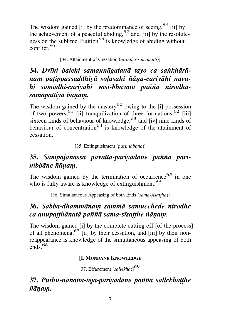The wisdom gained [i] by the predominance of seeing,<sup>56</sup> [ii] by the achievement of a peaceful abiding,  $57$  and [iii] by the resoluteness on the sublime Fruition<sup>58</sup> is knowledge of abiding without conflict.<sup>59</sup>

[34. Attainment of Cessation (*nirodha-samàpatti*)]

# **34.** *Dvãhi balehi samannàgatattà tayo ca saïkhàrànaü pañippassaddhiyà soëasahi ¤àõa-cariyàhi nava*hi samādhi-cariyāhi vasī-bhāvatā paññā nirodha*samàpattiyà ¤àõaü.*

The wisdom gained by the mastery<sup>60</sup> owing to the  $[i]$  possession of two powers,<sup>61</sup> [ii] tranquilization of three formations,<sup>62</sup> [iii] sixteen kinds of behaviour of knowledge,<sup>63</sup> and [iv] nine kinds of behaviour of concentration<sup>64</sup> is knowledge of the attainment of cessation.

[35. Extinguishment (*parinibbàna*)]

# **35.** *Sampajànassa pavatta-pariyàdàne pa¤¤à parinibbàne ¤àõaü.*

The wisdom gained by the termination of occurrence<sup>65</sup> in one who is fully aware is knowledge of extinguishment.<sup>66</sup>

[36. Simultaneous Appeasing of both Ends (sama-sīsattha)]

# **36.** *Sabba-dhammànaü sammà samucchede nirodhe ca anupaññhànatà pa¤¤à sama-sãsaññhe ¤àõaü.*

The wisdom gained [i] by the complete cutting off [of the process] of all phenomena,<sup>67</sup> [ii] by their cessation, and [iii] by their nonreappearance is knowledge of the simultaneous appeasing of both  $_{\rm ends}$  68

#### [**I. MUNDANE KNOWLEDGE**

37. Effacement (*sallekha*)]<sup>69</sup>

### 37. Puthu-nānatta-teja-pariyādāne paññā sallekhatthe  $\tilde{n}$ *ānam.*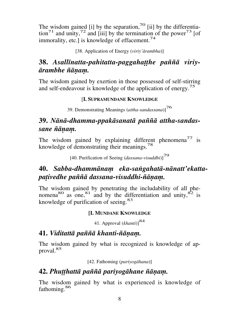The wisdom gained [i] by the separation,<sup>70</sup> [ii] by the differentiation<sup>71</sup> and unity,<sup>72</sup> and [iii] by the termination of the power<sup>73</sup> [of immorality, etc.] is knowledge of effacement.<sup>74</sup>

[38. Application of Energy (*viriy'àrambha*)]

### 38. Asallīnatta-pahitatta-paggahatthe paññā viriy- $\bar{a}$ rambhe ñ $\bar{a}$ nam.

The wisdom gained by exertion in those possessed of self-stirring and self-endeavour is knowledge of the application of energy.<sup>75</sup>

#### [**I. SUPRAMUNDANE KNOWLEDGE**

39. Demonstrating Meanings (*attha-sandassana*)]<sup>76</sup>

### **39.** *Nànà-dhamma-ppakàsanatà pa¤¤à attha-sandassane ¤àõaü.*

The wisdom gained by explaining different phenomena<sup>77</sup> is knowledge of demonstrating their meanings.<sup>78</sup>

[40. Purification of Seeing (*dassana-visuddhi*)]<sup>79</sup>

### **40.** *Sabba-dhammànaü eka-saïgahatà-nànatt'ekattapañivedhe pa¤¤à dassana-visuddhi-¤àõaü.*

The wisdom gained by penetrating the includability of all phenomena<sup>80</sup> as one,<sup>81</sup> and by the differentiation and unity,  $82$  is knowledge of purification of seeing.<sup>83</sup>

#### **[I. MUNDANE KNOWLEDGE**

41. Approval (*khanti*)]<sup>84</sup>

### **41.** *Viditattà pa¤¤à khanti-¤àõaü.*

The wisdom gained by what is recognized is knowledge of approval.<sup>85</sup>

[42. Fathoming (*pariyogàhana*)]

### **42.** *Phuññhattà pa¤¤à pariyogàhane ¤àõaü.*

The wisdom gained by what is experienced is knowledge of fathoming.<sup>86</sup>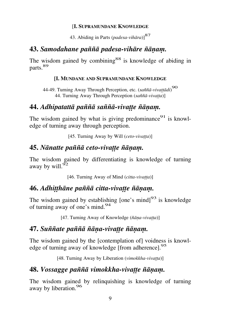#### [**I. SUPRAMUNDANE KNOWLEDGE**

43. Abiding in Parts (*padesa-vihàra*)]<sup>87</sup>

#### **43.** *Samodahane pa¤¤à padesa-vihàre ¤àõaü.*

The wisdom gained by combining<sup>88</sup> is knowledge of abiding in parts.<sup>89</sup>

#### **[I. MUNDANE AND SUPRAMUNDANE KNOWLEDGE**

44-49. Turning Away Through Perception, etc. (*sa¤¤à-vivaññàdi*) 90 44. Turning Away Through Perception (saññā-vivatta)]

### **44.** *Adhipatattà pa¤¤à sa¤¤à-vivaññe ¤àõaü.*

The wisdom gained by what is giving predominance  $91$  is knowledge of turning away through perception.

[45. Turning Away by Will (*ceto-vivatta*)]

### **45.** *Nànatte pa¤¤à ceto-vivaññe ¤àõaü.*

The wisdom gained by differentiating is knowledge of turning away by will. $\frac{95}{2}$ 

[46. Turning Away of Mind (*citta-vivatta*)]

### **46.** *Adhitthāne paññā citta-vivatte ñānam.*

The wisdom gained by establishing  $[one's mind]^{93}$  is knowledge of turning away of one's mind.<sup>94</sup>

[47. Turning Away of Knowledge (*¤àõa-vivañña*)]

#### **47.** *Su¤¤ate pa¤¤à ¤àõa-vivaññe ¤àõaü.*

The wisdom gained by the [contemplation of] voidness is knowledge of turning away of knowledge [from adherence].<sup>95</sup>

[48. Turning Away by Liberation (*vimokkha-vivatta*)]

### **48.** *Vossagge pa¤¤à vimokkha-vivaññe ¤àõaü.*

The wisdom gained by relinquishing is knowledge of turning away by liberation.<sup>96</sup>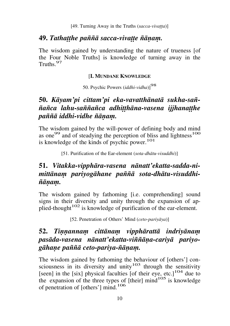#### **49. Tathatthe paññā sacca-vivatte ñānam.**

The wisdom gained by understanding the nature of trueness [of the Four Noble Truths] is knowledge of turning away in the Truths<sup>97</sup>

#### [**I. MUNDANE KNOWLEDGE**

50. Psychic Powers (*iddhi-vidha*)]<sup>98</sup>

### **50.** *Kàyam'pi cittam'pi eka-vavatthànatà sukha-sa¤-*  $\tilde{n}$ añca lahu-saññañca adhitthāna-vasena *ijihanatthe pa¤¤à iddhi-vidhe ¤àõaü.*

The wisdom gained by the will-power of defining body and mind as one<sup>99</sup> and of steadying the perception of bliss and lightness<sup>100</sup> is knowledge of the kinds of psychic power.<sup>101</sup>

[51. Purification of the Ear-element (*sota-dhàtu-visuddhi*)]

# **51.** *Vitakka-vipphàra-vasena nànatt'ekatta-sadda-nimittànaü pariyogàhane pa¤¤à sota-dhàtu-visuddhi-*  $\tilde{n}$ *ānam.*

The wisdom gained by fathoming [i.e. comprehending] sound signs in their diversity and unity through the expansion of applied-thought<sup>102</sup> is knowledge of purification of the ear-element.

[52. Penetration of Others' Mind (*ceto-pariyàya*)]

# **52. Tinnannam cittānam vipphārattā indriyānam** *pasàda-vasena nànatt'ekatta-vi¤¤àõa-cariyà pariyogàhaõe pa¤¤à ceto-pariya-¤àõaü.*

The wisdom gained by fathoming the behaviour of [others'] consciousness in its diversity and unity<sup>103</sup> through the sensitivity [seen] in the [six] physical faculties [of their eye, etc.]<sup>104</sup> due to the expansion of the three types of  $[their]$  mind<sup>105</sup> is knowledge of penetration of [others'] mind.<sup>106</sup>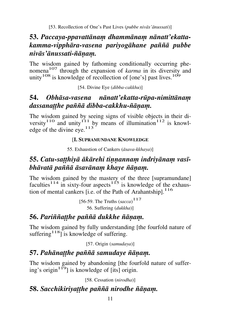# 53. Paccaya-ppavattānam dhammānam nānatt'ekatta*kamma-vipphàra-vasena pariyogàhane pa¤¤à pubbe nivàs'ànussati-¤àõaü.*

The wisdom gained by fathoming conditionally occurring phenomena107 through the expansion of *karma* in its diversity and unity<sup>108</sup> is knowledge of recollection of [one's] past lives.<sup>109</sup>

[54. Divine Eye (*dibba-cakkhu*)]

# **54.** *Obhàsa-vasena nànatt'ekatta-råpa-nimittànaü dassanatthe paññā dibba-cakkhu-ñānam.*

The wisdom gained by seeing signs of visible objects in their diversity<sup>110</sup> and unity<sup>111</sup> by means of illumination<sup>112</sup> is knowledge of the divine eye.<sup>113</sup>

### [**I. SUPRAMUNDANE KNOWLEDGE**

55. Exhaustion of Cankers (*àsava-kkhaya*)]

# 55. Catu-satthiyā ākārehi tinnannam indriyānam vasī*bhāvatā paññā āsavānam khaye ñānam.*

The wisdom gained by the mastery of the three [supramundane] faculties<sup>114</sup> in sixty-four aspects<sup>115</sup> is knowledge of the exhaustion of mental cankers [i.e. of the Path of Arahantship].<sup>116</sup>

> [56-59. The Truths (*sacca*) 117 56. Suffering (*dukkha*)]

# 56. Pariññatthe paññā dukkhe ñānam.

The wisdom gained by fully understanding [the fourfold nature of suffering<sup>118</sup>] is knowledge of suffering.

[57. Origin (*samudaya*)]

# 57. Pahānatthe paññā samudaye ñānam.

The wisdom gained by abandoning [the fourfold nature of suffering's origin<sup>119</sup>] is knowledge of [its] origin.

[58. Cessation (*nirodha*)]

# **58.** Sacchikiriyatthe paññā nirodhe ñānam.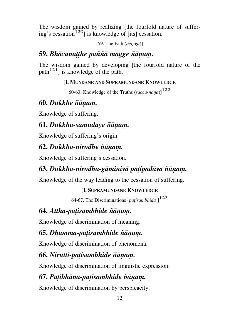The wisdom gained by realizing [the fourfold nature of suffering's cessation<sup>120</sup>] is knowledge of [its] cessation.

[59. The Path (*magga*)]

# 59. *Bhāvanatthe paññā magge ñānam.*

The wisdom gained by developing [the fourfold nature of the  $path<sup>121</sup>$  is knowledge of the path.

### [**I. MUNDANE AND SUPRAMUNDANE KNOWLEDGE**

60-63. Knowledge of the Truths  $(sacca - \tilde{n}\bar{a}na)^{122}$ 

# **60.** *Dukkhe ¤àõaü.*

Knowledge of suffering.

# **61.** *Dukkha-samudaye ¤àõaü.*

Knowledge of suffering's origin.

# **62.** *Dukkha-nirodhe ¤àõaü.*

Knowledge of suffering's cessation.

# **63.** *Dukkha-nirodha-gàminiyà pañipadàya ¤àõaü.*

Knowledge of the way leading to the cessation of suffering.

### [**I. SUPRAMUNDANE KNOWLEDGE**

64-67. The Discriminations (*patisambhidā*)]<sup>123</sup>

# **64.** *Attha-patisambhide ñānam.*

Knowledge of discrimination of meaning.

# **65.** *Dhamma-pañisambhide ¤àõaü.*

Knowledge of discrimination of phenomena.

# **66.** *Nirutti-patisambhide ñānam.*

Knowledge of discrimination of linguistic expression.

# **67.** *Pañibhàna-pañisambhide ¤àõaü.*

Knowledge of discrimination by perspicacity.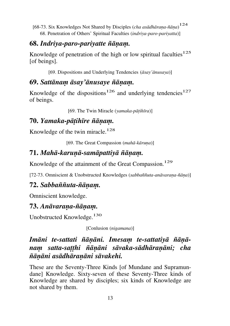[68-73. Six Knowledges Not Shared by Disciples (*cha asādhāraṇa-ñāṇa*)<sup>124</sup> 68. Penetration of Others' Spiritual Faculties (*indriya-paro-pariyatta*)]

### **68.** *Indriya-paro-pariyatte ¤àõaü.*

Knowledge of penetration of the high or low spiritual faculties $125$ [of beings].

[69. Dispositions and Underlying Tendencies (*àsay'ànusaya*)]

# **69.** *Sattànaü àsay'ànusaye ¤àõaü.*

Knowledge of the dispositions<sup>126</sup> and underlying tendencies<sup>127</sup> of beings.

[69. The Twin Miracle (*yamaka-pàñihãra*)]

# **70.** *Yamaka-pàñihãre ¤àõaü.*

Knowledge of the twin miracle.<sup>128</sup>

[69. The Great Compassion (*mahā-kāruna*)]

# **71.** *Mahà-karuõà-samàpattiyà ¤àõaü.*

Knowledge of the attainment of the Great Compassion.<sup>129</sup>

[72-73. Omniscient & Unobstructed Knowledges (sabbaññuta-anāvaraṇa-ñāṇa)]

# **72.** *Sabba¤¤uta-¤àõaü.*

Omniscient knowledge.

# **73.** Anāvaraņa-ñāņam.

Unobstructed Knowledge.<sup>130</sup>

[Conlusion (*nigamana*)]

# Imāni te-sattati ñānāni. Imesam te-sattatiyā ñānā*nam satta-satthi ñānāni sāvaka-sādhāranāni; cha ¤àõàni asàdhàraõàni sàvakehi.*

These are the Seventy-Three Kinds [of Mundane and Supramundane] Knowledge. Sixty-seven of these Seventy-Three kinds of Knowledge are shared by disciples; six kinds of Knowledge are not shared by them.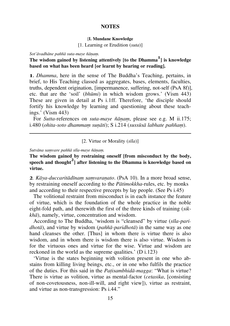#### [**I. Mundane Knowledge**

[1. Learning or Erudition (*suta*)]

Sot'āvadhāne paññā suta-maye ñānam.

#### **The wisdom gained by listening attentively [to the Dhamma<sup>1</sup> ] is knowledge based on what has been heard [or learnt by hearing or reading].**

**1.** *Dhamma*, here in the sense of The Buddha's Teaching, pertains, in brief, to His Teaching classed as aggregates, bases, elements, faculties, truths, dependent origination, [impermanence, suffering, not-self (PsA\_8f)], etc. that are the `soil' (*bhåmi*) in which wisdom grows.' (Vism 443) These are given in detail at Ps i.1ff. Therefore, 'the disciple should fortify his knowledge by learning and questioning about these teachings.' (Vism 443)

For *Sutta*-references on *suta-maye ñānam*, please see e.g. M ii.175; i.480 (*ohita-soto dhammam sunāti*); S i.214 (*sussūsā labhate paññam*).

[2. Virtue or Morality (*sãla*)]

Sutvāna samvare paññā sīla-maye ñānam.

**The wisdom gained by restraining oneself [from misconduct by the body, speech and thought<sup>2</sup> ] after listening to the Dhamma is knowledge based on virtue.** 

**2**. *Kāya-duccaritādīnam samvaranato*. (PsA 10). In a more broad sense, by restraining oneself according to the *Pàtimokkha*-rules, etc. by monks and according to their respective precepts by lay people. (See Ps i.45)

The volitional restraint from misconduct is in each instance the feature of virtue, which is the foundation of the whole practice in the noble eight-fold path, and therewith the first of the three kinds of training (*sikkhà*), namely, virtue, concentration and wisdom.

According to The Buddha, 'wisdom is "cleansed" by virtue (*sīla-paridhotā*), and virtue by wisdom (*paññā-paridhotā*) in the same way as one hand cleanses the other. [Thus] in whom there is virtue there is also wisdom, and in whom there is wisdom there is also virtue. Wisdom is for the virtuous ones and virtue for the wise. Virtue and wisdom are reckoned in the world as the supreme qualities.' (D i.123)

`Virtue is the states beginning with volition present in one who abstains from killing living beings, etc., or in one who fulfils the practice of the duties. For this said in the *Patisambhidā-magga*: "What is virtue? There is virtue as volition, virtue as mental-factor (*cetasika*, [consisting of non-covetousness, non-ill-will, and right view]), virtue as restraint, and virtue as non-transgression: Ps i.44."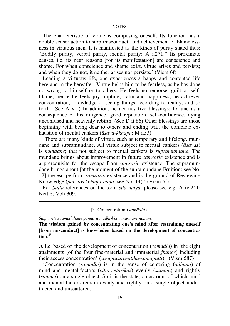The characteristic of virtue is composing oneself. Its function has a double sense: action to stop misconduct, and achievement of blamelessness in virtuous men. It is manifested as the kinds of purity stated thus: "Bodily purity, verbal purity, mental purity: A i.271." Its proximate causes, i.e. its near reasons [for its manifestation] are conscience and shame. For when conscience and shame exist, virtue arises and persists; and when they do not, it neither arises nor persists.' (Vism 6f)

Leading a virtuous life, one experiences a happy and contented life here and in the hereafter. Virtue helps him to be fearless, as he has done no wrong to himself or to others. He feels no remorse, guilt or selfblame; hence he feels joy, rapture, calm and happiness; he achieves concentration, knowledge of seeing things according to reality, and so forth. (See A v.1) In addition, he accrues five blessings: fortune as a consequence of his diligence, good reputation, self-confidence, dying unconfused and heavenly rebirth. (See D ii.86) Other blessings are those beginning with being dear to others and ending with the complete exhaustion of mental cankers (*àsava-kkhaya*: M i.33).

`There are many kinds of virtue, such as temporary and lifelong, mundane and supramundane. All virtue subject to mental cankers (*àsavas*) is *mundane*; that not subject to mental cankers is *supramundane*. The mundane brings about improvement in future *samsāric* existence and is a prerequisite for the escape from *samsāric* existence. The supramundane brings about [at the moment of the supramundane Fruition: see No. 12] the escape from *samsāric* existence and is the ground of Reviewing Knowledge (*paccavekkhana-ñāna*: see No. 14).' (Vism 6f)

For *Sutta*-references on the term *sãla-maya*, please see e.g. A iv.241; Nett 8; Vbh 309.

#### [3. Concentration (*samàdhi*)]

Samvaritvā samādahane paññā samādhi-bhāvanā-maye ñānam.

**The wisdom gained by concentrating one's mind after restraining oneself [from misconduct] is knowledge based on the development of concentra-** $\frac{1}{2}$  tion<sup>3</sup>

**3.** I.e. based on the development of concentration (*samàdhi*) in `the eight attainments [of the four fine-material and immaterial *jhànas*] including their access concentration' (*sa-upacāra-attha-samāpatti*). (Vism 587)

`Concentration (*samàdhi*) is in the sense of centering (*àdhàna*) of mind and mental-factors (*citta-cetasikas*) evenly (*samam*) and rightly (*sammà*) on a single object. So it is the state, on account of which mind and mental-factors remain evenly and rightly on a single object undistracted and unscattered.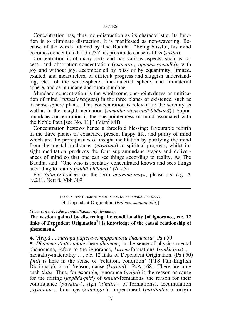Concentration has, thus, non-distraction as its characteristic. Its function is to eliminate distraction. It is manifested as non-wavering. Because of the words [uttered by The Buddha] "Being blissful, his mind becomes concentrated: (D i.73)" its proximate cause is bliss (*sukha*).

Concentration is of many sorts and has various aspects, such as access- and absorption-concentration (*upacàra-, appanà-samàdhi*), with joy and without joy, accompanied by bliss or by equanimity, limited, exalted, and measureless, of difficult progress and sluggish understanding, etc., of the sense-sphere, fine-material sphere, and immaterial sphere, and as mundane and supramundane.

Mundane concentration is the wholesome one-pointedness or unification of mind (*cittass'ekaggatà*) in the three planes of existence, such as in sense-sphere plane. [This concentration is relevant to the serenity as well as to the insight meditation (*samatha*-*vipassanà-bhàvanà*).] Supramundane concentration is the one-pointedness of mind associated with the Noble Path [see No. 11].' (Vism 84f)

Concentration bestows hence a threefold blessing: favourable rebirth in the three planes of existence, present happy life, and purity of mind which are the prerequisites of insight meditation by purifying the mind from the mental hindrances (*nīvarana*) to spiritual progress; whilst insight meditation produces the four supramundane stages and deliverances of mind so that one can see things according to reality. As The Buddha said: `One who is mentally concentrated knows and sees things according to reality (*vathā-bhūtam*).' (A v.3)

For *Sutta*-references on the term *bhàvanà-maya*, please see e.g. A iv.241; Nett 8; Vbh 309.

*Paccaya-pariggahe pa¤¤à dhamma-ññhiti-¤àõaü.*

**The wisdom gained by discerning the conditionality [of ignorance, etc. 12**  links of Dependent Origination<sup>4</sup> is knowledge of the causal relationship of  $\frac{1}{2}$ **phenomena.<sup>5</sup>**

**4.** 'Avijjā ... marana paticca-samuppannesu dhammesu.' Ps i.50

**5.** *Dhamma-tthiti-ñānam*: here *dhamma*, in the sense of physico-mental phenomena, refers to the ignorance, *karma*-formations (*sankhāras*) ... mentality-materiality ..., etc. 12 links of Dependent Origination. (Ps i.50) *Thiti* is here in the sense of 'relation, condition' (PTS Pali-English Dictionary), or of 'reason, cause (*kārana*)' (PsA 168). There are nine such *ñhitis*. Thus, for example, ignorance (*avijjà*) is the reason or cause for the arising (*uppàda-ñhiti*) of *karma*-formations, the reason for their continuance (*pavatta-*), sign (*nimitta-,* of formations), accumulation (*àyåhana-*), bondage (*sa¤¤oga-*), impediment (*paëibodha-*), origin

 <sup>[</sup>PRELIMINARY INSIGHT MEDITATION (*PUBBABHâGA-VIPASSANâ*) [4. Dependent Origination (*Pañicca-samuppàda*)]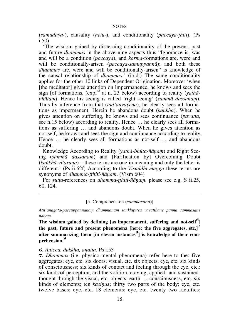(*samudaya-*), causality (*hetu-*), and conditionality (*paccaya-ñhiti*). (Ps i.50)

`The wisdom gained by discerning conditionality of the present, past and future *dhammas* in the above nine aspects thus "Ignorance is, was and will be a condition (*paccaya*), and *karma*-formations are, were and will be conditionally-arisen (*paccaya-samuppannà*); and both these *dhammas* are, were and will be conditionally-arisen" is knowledge of the causal relationship of *dhammas*.' (ibid.) The same conditionality applies for the other 10 links of Dependent Origination. Moreover `when [the meditator] gives attention on impermanence, he knows and sees the sign [of formations, (expled at n. 23 below) according to reality (*yathàbhūtam*). Hence his seeing is called 'right seeing' (*sammā dassanam*). Thus by inference from that (*tad'anvayena*), he clearly sees all formations as impermanent. Herein he abandons doubt (*kaïkhà*). When he gives attention on suffering, he knows and sees continuance (*pavatta*, see n.15 below) according to reality. Hence  $\ldots$  he clearly sees all formations as suffering  $\ldots$  and abandons doubt. When he gives attention as not-self, he knows and sees the sign and continuance according to reality. Hence  $\ldots$  he clearly sees all formations as not-self  $\ldots$  and abandons doubt.

Knowledge According to Reality (*yathā-bhūta-ñānam*) and Right Seeing (*sammā dassanam*) and [Purification by] Overcoming Doubt (*kankhā-vitarana*) – these terms are one in meaning and only the letter is different.' (Ps ii.62f) According to the *Visuddhi-magga* these terms are synonyms of *dhamma-tthiti-ñānam*. (Vism 604)

For *sutta*-references on *dhamma-tthiti-ñānam*, please see e.g. S ii.25, 60, 124.

[5. Comprehension (*sammasana*)]

Atīt'ānāgata-paccuppannānam dhammānam sankhipitvā vavatthāne paññā sammasane  $\tilde{n}$ *ānam.* 

**The wisdom gained by defining [as impermanent, suffering and not-self<sup>6</sup> ] the past, future and present phenomena [here: the five aggregates, etc.]<sup>7</sup>** after summarizing them [in eleven instances<sup>8</sup>] is knowledge of their com**prehension.<sup>9</sup>**

#### **6.** *Anicca, dukkha, anatta.* Ps i.53

**7.** *Dhammas* (i.e. physico-mental phenomena) refer here to the: five aggregates; eye, etc. six doors; visual, etc. six objects; eye, etc. six kinds of consciousness; six kinds of contact and feeling through the eye, etc.; six kinds of perception, and the volition, craving, applied- and sustainedthought through the visual, etc. objects; earth  $\ldots$  consciousness, etc. six kinds of elements; ten *kasinas*; thirty two parts of the body; eye, etc. twelve bases; eye, etc. 18 elements; eye, etc. twenty two faculties;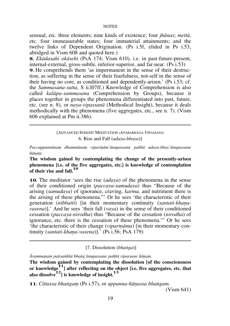sensual, etc. three elements; nine kinds of existence; four *jhànas*; *mettà*, etc. four immeasurable states; four immaterial attainments; and the twelve links of Dependent Origination. (Ps i.5f, elided in Ps i.53, abridged in Vism 608 and quoted here.)

**8.** *Ekàdasahi okàsehi* (PsA 174; Vism 610), i.e. in past-future-present, internal-external, gross-subtle, inferior-superior, and far-near. (Ps i.53)

**9.** He comprehends them 'as impermanent in the sense of their destruction, as suffering in the sense of their fearfulness, not-self in the sense of their having no core, as conditioned and dependently-arisen.' (Ps i.53; cf. the *Sammasana-sutta,* S ii.l07ff.) Knowledge of Comprehension is also called *kalàpa-sammasana* (Comprehension by Groups), because it places together in groups the phenomena differentiated into past, future, etc. (see n. 8), or *naya-vipassanà* (Methodical Insight), because it deals methodically with the phenomena (five aggregates, etc., see n. 7). (Vism 606 explained at Pm ii.386).

#### [ADVANCED INSIGHT MEDITATION (*APARABHâGA-VIPASSANâ*) 6. Rise and Fall (*udaya-bbaya*)]

Paccuppannānam dhammānam viparinām'ānupassane paññā udaya-bbay'ānupassane  $\tilde{n}$ *ānam.* 

**The wisdom gained by contemplating the change of the presently-arisen phenomena [i.e. of the five aggregates, etc.] is knowledge of contemplation of their rise and fall.<sup>10</sup>**

**10.** The meditator `sees the rise (*udaya*) of the phenomena in the sense of their conditioned origin (*paccaya-samudaya*) thus "Because of the arising (*samudaya*) of ignorance, craving, *karma,* and nutriment there is the arising of these phenomena." Or he sees 'the characteristic of their generation (*nibbatti*) [in their momentary continuity (santati-khana*vasena*)].' And he sees 'their fall (*vaya*) in the sense of their conditioned cessation (*paccaya-nirodha*) thus "Because of the cessation (*nirodha*) of ignorance, etc. there is the cessation of these phenomena." Or he sees 'the characteristic of their change (*viparināma*) [in their momentary continuity (*santati-khana-vasena*)].' (Ps i.56; PsA 179)

[7. Dissolution (*bhaïga*)]

*ârammaõaü pañisaïkhà bhaïg'ànupassane pa¤¤à vipassane ¤àõaü.*

**The wisdom gained by contemplating the dissolution [of the consciousness or knowledge11] after reflecting on the object [i.e. five aggregates, etc. that also dissolve12] is knowledge of insight.<sup>13</sup>**

**11.** *Cittassa bhaïgaü* (Ps i.57), or *uppanna-¤àõassa bhaïgam.*

(Vism 641)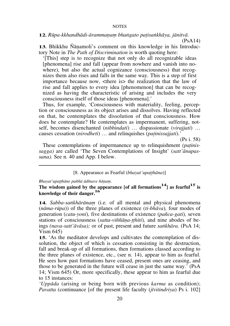**12.** *Rūpa-kkhandhādi-ārammanam bhangato patisankhāya, jānitvā,* 

(PsA14)

**13.** Bhikkhu Ñānamoli's comment on this knowledge in his Introductory Note in *The Path of Discrimination* is worth quoting here:

`[This] step is to recognize that not only do all recognizable ideas [phenomena] rise and fall (appear from nowhere and vanish into nowhere), but also the actual cognizance (consciousness) that recognizes them also rises and falls in the same way. This is a step of first importance because now, <there is> the realization that the law of rise and fall applies to every idea [phenomenon] that can be recognized as having the characteristic of arising and includes the very consciousness itself of those ideas [phenomena].'

Thus, for example, 'Consciousness with materiality, feeling, perception or consciousness as its object arises and dissolves. Having reflected on that, he contemplates the dissolution of that consciousness. How does he contemplate? He contemplates as impermanent, suffering, notself, becomes disenchanted *(nibbindati)* ... dispassionate *(virajjati)* ... causes cessation (*nirodheti*) ... and relinquishes (*patinissajjati*).'

(Ps i. 58)

These contemplations of impermanence up to relinquishment *(patinissagga)* are called `The Seven Contemplations of Insight' (*satt'ànupassana).* See n. 40 and App. I below.

[8. Appearance as Fearful (*bhayat'upatthāna*)]

Bhayat'upatthāne paññā ādīnave ñānam.

**The wisdom gained by the appearance [of all formations <sup>14</sup>] as fearful15 is knowledge of their danger.<sup>16</sup>**

14. Sabba-sankhārānam (i.e. of all mental and physical phenomena (*nàma-råpa*)) of the three planes of existence (*ti-bhàva*)*,* four modes of generation (*catu-yoni*)*,* five destinations of existence (*pa¤ca-gati*)*,* seven stations of consciousness (*satta-viññāna-tthiti*), and nine abodes of beings *(nava-satt'àvàsa);* or of past, present and future *saïkhàra.* (PsA 14; Vism 645)

**15.** `As the meditator develops and cultivates the contemplation of dissolution, the object of which is cessation consisting in the destruction, fall and break-up of all formations, then formations classed according to the three planes of existence, etc., (see n. 14), appear to him as fearful. He sees how past formations have ceased, present ones are ceasing, and those to be generated in the future will cease in just the same way.' (PsA 14; Vism 645) Or, more specifically, these appear to him as fearful due to 15 instances:

*`Uppàda* (arising or being born with previous *karma* as condition); *Pavatta* (continuance [of the present life faculty *(jūvitindriya)* Ps i. 102]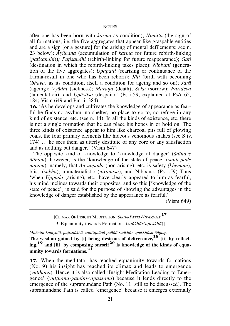after one has been born with *karma* as condition); *Nimitta* (the sign of all formations, i.e. the five aggregates that appear like graspable entities and are a sign [or a gesture] for the arising of mental defilements; see n. 23 below); *âyåhana* **(**accumulation of *karma* for future rebirth-linking (*pañisandhi*))*; Pañisandhi* (rebirth-linking for future reappearance); *Gati*  (destination in which the rebirth-linking takes place); *Nibbatti* (generation of the five aggregates); *Upapatti* (rearising or continuance of the karma-result in one who has been reborn); *Jàti* (birth with becoming (*bhava)* as its condition, itself a condition for ageing and so on); *Jarà*  (ageing); *Vyādhi* (sickness); *Marana* (death); *Soka* (sorrow); *Parideva* (lamentation); and *Upàyàsa* (despair).' (Ps i.59; explained at PsA 65, 184; Vism 649 and Pm ii. 384)

**16.** `As he develops and cultivates the knowledge of appearance as fearful he finds no asylum, no shelter, no place to go to, no refuge in any kind of existence, etc. (see n. 14). In all the kinds of existence, etc. there is not a single formation that he can place his hopes in or hold on. The three kinds of existence appear to him like charcoal pits full of glowing coals, the four primary elements like hideous venomous snakes (see S iv. 174)  $\ldots$  he sees them as utterly destitute of any core or any satisfaction and as nothing but danger.' (Vism 647)

The opposite kind of knowledge to `knowledge of danger' (*àdãnave*   $\tilde{n}$ *ānam*), however, is the 'knowledge of the state of peace' (*santi-pade*  $\tilde{n}$ *ānam*), namely, that *An-uppāda* (non-arising), etc. is safety *(khemam*), bliss (*sukha*), unmaterialistic (*niràmisa*), and Nibbàna. (Ps i.59) Thus `when *Uppàda* (arising), etc., have clearly appeared to him as fearful, his mind inclines towards their opposites, and so this [`knowledge of the state of peace'] is said for the purpose of showing the advantages in the knowledge of danger established by the appearance as fearful.'

(Vism 649)

[CLIMAX OF INSIGHT MEDITATION (*SIKHâ-PATTA-VIPASSANâ*) **17** 9. Equanimity towards Formations (*saïkhàr'upekkhà*)]

*Muñcitu-kamyatā, patisankhā, santitthānā paññā sankhār'upekkhāsu ñānam.* 

**The wisdom gained by [i] being desirous of deliverance, <sup>18</sup> [ii] by reflecting,19 and [iii] by composing oneself20 is knowledge of the kinds of equanimity towards formations.<sup>21</sup>**

**17. When the meditator has reached equanimity towards formations** (No. 9) his insight has reached its climax and leads to emergence (*vutthāna*). Hence it is also called 'Insight Meditation Leading to Emergence' (*vutthāna-gāminī-vipassanā*) because it lends directly to the emergence of the supramundane Path (No. 11: still to be discussed). The supramundane Path is called 'emergence' because it emerges externally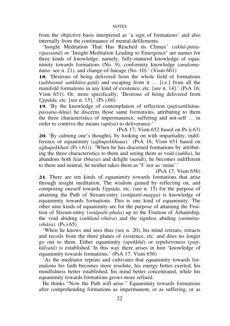from the objective basis interpreted as `a sign of formations' and also internally from the continuance of mental defilements.

`Insight Meditation That Has Reached its Climax' (*sikhà-pattavipassanà*) or `Insight Meditation Leading to Emergence' are names for three kinds of knowledge, namely, fully-matured knowledge of equanimity towards formations (No. 9), conformity knowledge (*anuloma-*  $\tilde{n}$ *āna*: see n. 21), and change-of-lineage (No. 10).' (Vism 661)

**18.** `Desirous of being delivered from the whole field of formations  $(sabbasm\bar{a} \; sa\n ikh\bar{a}ra-gat\bar{a})$  and escaping from it  $\ldots$  [i.e.] from all the manifold formations in any kind of existence, etc. [see n. 14].' (PsA 16; Vism 651). Or, more specifically, `Desirous of being delivered from *Uppàda,* etc. [see n. 15].' (Ps i.60)

**19.** 'By the knowledge of contemplation of reflection (*patisankhānupassana-¤àõa*) he discerns those same formations, attributing to them the three characteristics of impermanence, suffering and not-self ... in order to contrive the means (*upàya*) to deliverance.'

(PsA 17; Vism 652 based on Ps ii.63) **20.** `By calming one's thoughts, by looking on with impartiality, indifference or equanimity *(ajjhupekkhana)*.' (PsA 16; Vism 651 based on *ajjhupekkhati* (Ps i.61)). `When he has discerned formations by attributing the three characteristics to them and seeing them as void (*su¤¤a*), he abandons both fear (*bhaya*) and delight (*nandi*), he becomes indifferent to them and neutral, he neither takes them as `I' nor as `mine'.'

(PsA 17; Vism 656)

**21.** There are ten kinds of equanimity towards formations that arise through insight meditation. The wisdom gained by reflecting on, and composing oneself towards *Uppàda,* etc. (see n. 15) for the purpose of attaining the Path of Stream-entry (*sotàpatti-magga*) is knowledge of equanimity towards formations. This is one kind of equanimity. The other nine kinds of equanimity are for the purpose of attaining the Fruition of Stream-entry (*sotàpatti-phala*) up to the Fruition of Arhantship, the void abiding (*su¤¤atà-vihàra*) and the signless abiding *(animittavihàra).* (Ps i.65)

`When he knows and sees thus (see n. 20), his mind retreats, retracts and recoils from the three planes of existence, etc. and does no longer go out to them. Either equanimity (*upekkhà*) or repulsiveness (*pañikålyatà*) is established. In this way there arises in him `knowledge of equanimity towards formations.' (PsA 17; Vism 656)

`As the meditator repeats and cultivates that equanimity towards formations his faith becomes more resolute, his energy better exerted, his mindfulness better established, his mind better concentrated, while his equanimity towards formations grows more refined.

He thinks "Now the Path will arise." Equanimity towards formations after comprehending formations as impermanent, or as suffering, or as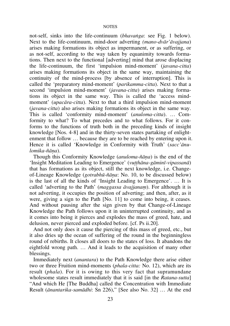not-self, sinks into the life-continuum (*bhavaïga*: see Fig. 1 below). Next to the life-continuum, mind-door adverting *(mano-dvàr'àvajjana*) arises making formations its object as impermanent, or as suffering, or as not-self, according to the way taken by equanimity towards formations. Then next to the functional [adverting] mind that arose displacing the life-continuum, the first `impulsion mind-moment' (*javana-citta*) arises making formations its object in the same way, maintaining the continuity of the mind-process [by absence of interruption]. This is called the `preparatory mind-moment' (*parikamma-citta*). Next to that a second 'impulsion mind-moment' (*javana-citta*) arises making formations its object in the same way. This is called the `access mindmoment' (*upacàra-citta*). Next to that a third impulsion mind-moment (*javana-citta*) also arises making formations its object in the same way. This is called 'conformity mind-moment' (*anuloma-citta*). ... Comformity to what? To what precedes and to what follows. For it conforms to the functions of truth both in the preceding kinds of insight knowledge [Nos. 4-8] and in the thirty-seven states partaking of enlightenment that follow  $\ldots$  because they are to be reached by entering upon it. Hence it is called `Knowledge in Conformity with Truth' (*sacc'ànulomika-¤àõa*).

Though this Conformity Knowledge (*anuloma-¤àõa*) is the end of the 'Insight Meditation Leading to Emergence' (*vutthāna-gāminī-vipassanā*) that has formations as its object, still the next knowledge, i.e. Changeof-Lineage Knowledge (*gotrabhå-¤àõa*: No. 10, to be discussed below) is the last of all the kinds of 'Insight Leading to Emergence'.  $\dots$  It is called 'adverting to the Path' (*maggassa āvajjanam*). For although it is not adverting, it occupies the position of adverting; and then, after, as it were, giving a sign to the Path [No. 11] to come into being, it ceases. And without pausing after the sign given by that Change-of-Lineage Knowledge the Path follows upon it in uninterrupted continuity, and as it comes into being it pierces and explodes the mass of greed, hate, and delusion, never pierced and exploded before. [cf. Ps ii.20].

And not only does it cause the piercing of this mass of greed, etc., but it also dries up the ocean of suffering of the round in the beginningless round of rebirths. It closes all doors to the states of loss. It abandons the eightfold wrong path. ... And it leads to the acquisition of many other blessings.

Immediately next (*anantara*) to the Path Knowledge there arise either two or three Fruition mind-moments (*phala-citta:* No. 12), which are its result (*phala*). For it is owing to this very fact that supramundane wholesome states result immediately that it is said [in the *Ratana-sutta*] "And which He [The Buddha] called the Concentration with Immediate Result (*ānantarika-samādhi*: Sn 226)," [See also No. 32] ... At the end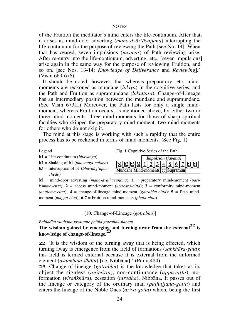of the Fruition the meditator's mind enters the life-continuum. After that, it arises as mind-door adverting (*mano-dvàr'àvajjana*) interrupting the life-continuum for the purpose of reviewing the Path [see No. 14]. When that has ceased, seven impulsions (*javanas*) of Path reviewing arise. After re-entry into the life-continuum, adverting, etc., [seven impulsions] arise again in the same way for the purpose of reviewing Fruition, and so on. [see Nos. 13-14: *Knowledge of Deliverance* and *Reviewing*]*.*' (Vism 669-676)

It should be noted, however, that whereas preparatory, etc. mindmoments are reckoned as mundane (*lokiya*) in the cognitive series, and the Path and Fruition as supramundane (*lokuttara*), Change-of-Lineage has an intermediary position between the mundane and supramundane. (See Vism 673ff.) Moreover, the Path lasts for only a single mindmoment, whereas Fruition occurs, as mentioned above, for either two or three mind-moments: three mind-moments for those of sharp spiritual faculties who skipped the preparatory mind-moment; two mind-moments for others who do not skip it.

The mind at this stage is working with such a rapidity that the entire process has to be reckoned in terms of mind-moments. (See Fig. 1)

 *chedo*)

Legend Fig. 1 Cognitive Series of the Path

| $-$                                               |  |
|---------------------------------------------------|--|
| $b1 = Life-continuum (bhavanga)$                  |  |
| $b2$ = Shaking of b1 ( <i>bhavanga-calana</i> )   |  |
| $b3$ = Interruption of b1 ( <i>bhavang'upac</i> - |  |

|                                           | <i>Impulsion</i> ( <i>javana</i> ) |  |  |  |  |  |  |  |
|-------------------------------------------|------------------------------------|--|--|--|--|--|--|--|
| b1 b2 b3 M 1 2 3 4 5 6 7 b1 b1            |                                    |  |  |  |  |  |  |  |
| Mundane Mind-moments   $\otimes$ Supramun |                                    |  |  |  |  |  |  |  |

**M** = mind-door adverting (*mano-dvàr*'*àvajjana*); **1** = preparatory mind-moment (*parikamma-citta*);  $2 =$  access mind-moment (*upacāra-citta*);  $3 =$  conformity mind-moment (*anuloma-citta*):  $4 = \text{change-of-linear}$  mind-moment (*gotrabhū-citta*):  $5 = \text{Path mind}$ moment (*magga-citta*); **6-7** = Fruition mind-moments (*phala-citta*).

[10. Change-of-Lineage (*gotrabhå*)]

Bahiddhā vutthāna-vivattane paññā gotrabhū-ñānam.

**The wisdom gained by emerging and turning away from the external22 is knowledge of change-of-lineage.<sup>23</sup>**

**22.** `It is the wisdom of the turning away that is being effected, which turning away is emergence from the field of formations (*sankhàra-gata*); this field is termed external because it is external from the unformed element (*asaïkhata-dhàtu*) [i.e. Nibbàna].' (Pm ii.484)

**23.** Change-of-lineage (*gotrabhå*) is the knowledge that takes as its object the signless (*animitta*), non-continuance (*appavatta*), noformation (*visaïkhàra*), cessation (*nirodha*), Nibbàna. It passes out of the lineage or category of the ordinary man (*puthujjana-gotta*) and enters the lineage of the Noble Ones (*ariya-gotta*) which, being the first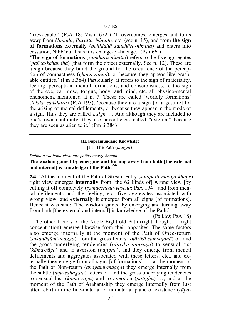`irrevocable.' (PsA 18; Vism 672f) `It overcomes, emerges and turns away from *Uppàda*, *Pavatta, Nimitta,* etc. (see n. 15), and from **the sign of formations** externally (*bahiddhà saïkhàra-nimitta*) and enters into cessation, Nibbàna. Thus it is change-of-lineage.' (Ps i.66f)

`**The sign of formations** (*saïkhàra-nimitta*) refers to the five aggregates (*pa¤ca-kkhandha*) [that form the object externally. See n. 12]. These are a sign because they build the ground for the occurrence of the perception of compactness (*ghana-sa¤¤à*), or because they appear like graspable entities.' (Pm ii.384) Particularly, it refers to the sign of materiality, feeling, perception, mental formations, and consciousness, to the sign of the eye, ear, nose, tongue, body, and mind, etc. all physico-mental phenomena mentioned at n. 7. These are called `worldly formations' (*lokika-saïkhàra*) (PsA 193), `because they are a sign [or a gesture] for the arising of mental defilements, or because they appear in the mode of a sign. Thus they are called a *sign.*  $\ldots$  And although they are included to one's own continuity, they are nevertheless called "external" because they are seen as alien to it.' (Pm ii.384)

#### [**II. Supramundane Knowledge**

[11. The Path (*magga*)]

*Dubhato vuññhàna-vivaññane pa¤¤à magge ¤àõaü.*

#### **The wisdom gained by emerging and turning away from both [the external and internal] is knowledge of the Path.<sup>24</sup>**

**24.** 'At the moment of the Path of Stream-entry (*sotāpatti-magga-khane*) right view emerges **internally** from [the 62 kinds of] wrong view [by cutting it off completely (*samuccheda-vasena*: PsA 194)] and from mental defilements and the feeling, etc. five aggregates associated with wrong view, and **externally** it emerges from all signs [of formations]. Hence it was said: 'The wisdom gained by emerging and turning away from both [the external and internal] is knowledge of the Path.'

(Ps i.69; PsA 18)

The other factors of the Noble Eightfold Path (right thought ... right concentration) emerge likewise from their opposites. The same factors also emerge internally at the moment of the Path of Once-return (sakadāgāmi-magga) from the gross fetters (*olārikā samyojanā*) of, and the gross underlying tendencies (*olārikā anusayā*) to sensual-lust (*kàma-ràga*) and to aversion (*pañigha*), and they emerge from mental defilements and aggregates associated with these fetters, etc., and externally they emerge from all signs  $[$  of formations $] \ldots$ ; at the moment of the Path of Non-return (*anàgàmi-magga*) they emerge internally from the subtle *(anu-sahagata)* fetters of, and the gross underlying tendencies to sensual-lust (*kāma-rāga*) and to aversion (*patigha*) ...; and at the moment of the Path of Arahantship they emerge internally from lust after rebirth in the fine-material or immaterial plane of existence (*råpa-*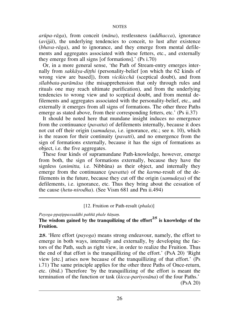*aråpa-ràga*), from conceit (*màna*), restlessness (*uddhacca*), ignorance (*avijjà*), the underlying tendencies to conceit, to lust after existence (*bhava-ràga*), and to ignorance, and they emerge from mental defilements and aggregates associated with these fetters, etc., and externally they emerge from all signs [of formations].' (Ps i.70)

Or, in a more general sense, `the Path of Stream-entry emerges internally from *sakkāya-ditthi* (personality-belief [on which the 62 kinds of wrong view are based]), from *vicikicchà* (sceptical doubt), and from *sãlabbata-paràmàsa* (the misapprehension that only through rules and rituals one may reach ultimate purification), and from the underlying tendencies to wrong view and to sceptical doubt, and from mental defilements and aggregates associated with the personality-belief, etc., and externally it emerges from all signs of formations. The other three Paths emerge as stated above, from their corresponding fetters, etc.' (Ps ii.37)

It should be noted here that mundane insight induces no emergence from the continuance (*pavatta*) of defilements internally, because it does not cut off their origin (*samudaya*, i.e. ignorance, etc.; see n. 10), which is the reason for their continuity (*pavatti*), and no emergence from the sign of formations externally, because it has the sign of formations as object, i.e. the five aggregates.

These four kinds of supramundane Path-knowledge, however, emerge from both, the sign of formations externally, because they have the signless (*animitta,* i.e. Nibbàna) as their object, and internally they emerge from the continuance (*pavatta*) of the *karma*-result of the defilements in the future, because they cut off the origin (*samudaya*) of the defilements, i.e. ignorance, etc. Thus they bring about the cessation of the cause (*hetu-nirodha*). (See Vism 681 and Pm ii.494)

[12. Fruition or Path-result (*phala*)]

#### *Payoga-ppañippassaddhi pa¤¤à phale ¤àõaü.*

#### **The wisdom gained by the tranquilizing of the effort <sup>25</sup> is knowledge of the Fruition.**

**25.** `Here effort (*payoga*) means strong endeavour, namely, the effort to emerge in both ways, internally and externally, by developing the factors of the Path, such as right view, in order to realize the Fruition. Thus the end of that effort is the tranquillizing of the effort.'  $(PsA 20)$  'Right view [etc.] arises now because of the tranquillizing of that effort.' (Ps i.71) The same principle applies for the other three Paths of Once-return, etc. (ibid.) Therefore `by the tranquillizing of the effort is meant the termination of the function or task (*kicca-pariyosàna*) of the four Paths.' (PsA 20)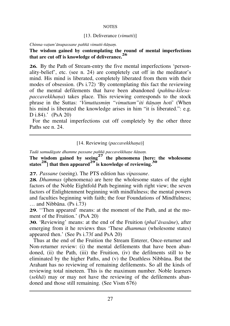#### [13. Deliverance (*vimutti*)]

*Chinna-vañum'ànupassane pa¤¤à vimutti-¤àõaü.*

#### **The wisdom gained by contemplating the round of mental imperfections that are cut off is knowledge of deliverance.<sup>26</sup>**

**26.** By the Path of Stream-entry the five mental imperfections 'personality-belief', etc. (see n. 24) are completely cut off in the meditator's mind. His mind is liberated, completely liberated from them with their modes of obsession. (Ps i.72) `By contemplating this fact the reviewing of the mental defilements that have been abandoned (*pahãna-kilesapaccavekkhana*) takes place. This reviewing corresponds to the stock phrase in the Suttas: 'Vimuttasmim "vimuttam" iti ñānam hoti' (When his mind is liberated the knowledge arises in him "it is liberated.": e.g. D i.84).' (PsA 20)

 For the mental imperfections cut off completely by the other three Paths see n. 24.

#### [14. Reviewing (*paccavekkhana*)]

Tadā samudāgate dhamme passane paññā paccavekkhaņe ñāņam.

**The wisdom gained by seeing27 the phenomena [here: the wholesome states28] that then appeared<sup>29</sup> is knowledge of reviewing.<sup>30</sup>**

**27.** *Passane* (seeing). The PTS edition has *vipassane*.

**28.** *Dhammas* (phenomena) are here the wholesome states of the eight factors of the Noble Eightfold Path beginning with right view; the seven factors of Enlightenment beginning with mindfulness; the mental powers and faculties beginning with faith; the four Foundations of Mindfulness;  $\ldots$  and Nibbāna. (Ps i.73)

**29.** "Then appeared" means: at the moment of the Path, and at the moment of the Fruition.' (PsA 20)

**30.** `Reviewing' means: at the end of the Fruition (*phal'àvasàne*), after emerging from it he reviews thus `These *dhammas* (wholesome states) appeared then.' (See Ps i.73f and PsA 20)

Thus at the end of the Fruition the Stream Enterer, Once-returner and Non-returner review: (i) the mental defilements that have been abandoned, (ii) the Path, (iii) the Fruition, (iv) the defilments still to be eliminated by the higher Paths, and (v) the Deathless Nibbàna. But the Arahant has no reviewing of remaining defilements. So all the kinds of reviewing total nineteen. This is the maximum number. Noble learners (*sekhà*) may or may not have the reviewing of the defilements abandoned and those still remaining. (See Vism 676)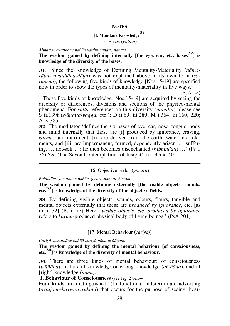# [**I. Mundane Knowledge<sup>31</sup>**

15. Bases (*vatthu*)]

*Ajjhatta-vavatthàne pa¤¤à vatthu-nànatte ¤àõaü.* 

**The wisdom gained by defining internally [the eye, ear, etc. bases32] is knowledge of the diversity of the bases.** 

**31.** `Since the Knowledge of Defining Mentality-Materiality (*nàmaråpa-vavatthàna-¤àõa*) was not explained above in its own form (*saråpena*), the following five kinds of knowledge [Nos.15-19] are specified now in order to show the types of mentality-materiality in five ways.'

(PsA 22)

These five kinds of knowledge [Nos.15-19] are acquired by seeing the diversity or differences, divisions and sections of the physico-mental phenomena. For *sutta*-references on this diversity (*nànatta*) please see S ii.139f (*Nànatta-vagga,* etc.); D ii.69, iii.289; M i.364, iii.160, 220; A iv.385.

**32.** The meditator 'defines the six bases of eye, ear, nose, tongue, body and mind internally that these are [i] produced by ignorance, craving, *karma*, and nutriment; [ii] are derived from the earth, water, etc. elements, and [iii] are impermanent, formed, dependently arisen, ... suffering, ... not-self ...; he then becomes disenchanted *(nibbindati)* ...' (Ps i. 76) See `The Seven Contemplations of Insight', n. 13 and 40.

# [16. Objective Fields (*gocara*)]

*Bahiddhà-vavatthàne pa¤¤à gocara-nànatte ¤àõaü.*

**The wisdom gained by defining externally [the visible objects, sounds, etc.33] is knowledge of the diversity of the objective fields.** 

**33.** By defining visible objects, sounds, odours, flours, tangible and mental objects externally that these are *produced by ignorance*, etc. [as in n. 32] (Ps i. 77) Here, `*visible objects, etc. produced by ignorance* refers to *karma*-produced physical body of living beings.' (PsA 201)

[17. Mental Behaviour (*cariyà*)]

Cariyā-vavatthāne paññā cariyā-nānatte ñānam.

**The wisdom gained by defining the mental behaviour [of consciousness, etc.34] is knowledge of the diversity of mental behaviour.**

**34.** There are three kinds of mental behaviour: of consciousness (*vi¤¤àõa*), of lack of knowledge or wrong knowledge (*a¤.¤àõa*), and of [right] knowledge (*¤àõa*).

 **I. Behaviour of Consciousness** (see Fig. 2 below)

Four kinds are distinguished: (1) functional indeterminate adverting (*àvajjana-kiriya-avyakatà*) that occurs for the purpose of seeing, hear-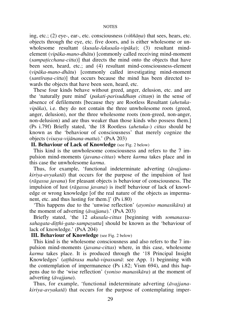ing, etc.; (2) eye-, ear-, etc. consciousness (*vi¤¤àõa*) that sees, hears, etc. objects through the eye, etc. five doors, and is either wholesome or unwholesome resultant (*kusala-/akusala-vipàka*); (3) resultant mindelement (*vipàka-mano-dhàtu*) [commonly called receiving mind-moment (*sampañicchana-citta*)] that directs the mind onto the objects that have been seen, heard, etc.; and (4) resultant mind-consciousness-element (*vipàka-mano-dhàtu*) [commonly called investigating mind-moment (*santãraõa-citta*)] that occurs because the mind has been directed towards the objects that have been seen, heard, etc.

These four kinds behave without greed, anger, delusion, etc. and are the 'naturally pure mind' (*pakati-parisuddham cittam*) in the sense of absence of defilements [because they are Rootless Resultant (*ahetukavipàka*), i.e. they do not contain the three unwholesome roots (greed, anger, delusion), nor the three wholesome roots (non-greed, non-anger, non-delusion) and are thus weaker than those kinds who possess them.] (Ps i.79f) Briefly stated, `the 18 Rootless (*ahetuka*-) *cittas* should be known as the `behaviour of consciousness' that merely cognize the objects (*visaya-vijànana-matta*).' (PsA 203)

 **II. Behaviour of Lack of Knowledge** (see Fig. 2 below)

This kind is the unwholesome consciousness and refers to the 7 impulsion mind-moments (*javana-cittas*) where *karma* takes place and in this case the unwholesome *karma*.

Thus, for example, `functional indeterminate adverting (*àvajjanakiriya-avyakatà*) that occurs for the purpose of the impulsion of lust (*ràgassa javana*) for pleasant objects is behaviour of consciousness. The impulsion of lust (*ràgassa javana*) is itself behaviour of lack of knowledge or wrong knowledge [of the real nature of the objects as impermanent, etc. and thus lusting for them.]' (Ps i.80)

`This happens due to the `unwise reflection' (*ayoniso manasikàra*) at the moment of adverting (*àvajjana*).' (PsA 203)

Briefly stated, `the 12 *akusala-cittas* [beginning with *somanassasahagata-ditthi-gata-sampayutta*] should be known as the 'behaviour of lack of knowledge.' (PsA 204)

# **III. Behaviour of Knowledge** (see Fig. 2 below)

This kind is the wholesome consciousness and also refers to the 7 impulsion mind-moments (*javana-cittas*) where, in this case, wholesome *karma* takes place. It is produced through the `18 Principal Insight Knowledges' (*aññhàrasa mahà-vipassanà*: see App. 1) beginning with the contemplation of impermanence (Ps i.82; Vism 694), and this happens due to the `wise reflection' (*yoniso manasikàra*) at the moment of adverting (*àvajjana*).

Thus, for example, `functional indeterminate adverting (*àvajjanakiriya-avyakatà*) that occurs for the purpose of contemplating imper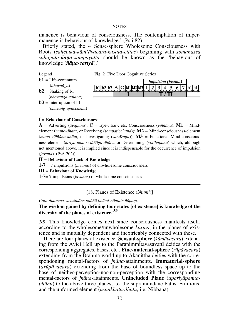manence is behaviour of consciousness. The contemplation of impermanence is behaviour of knowledge.' (Ps i.82)

Briefly stated, the 4 Sense-sphere Wholesome Consciousness with Roots (*sahetuka-kàm'àvacara-kusala-cittas*) beginning with *somanassa sahagata-¤àõa-sampayutta* should be known as the `behaviour of knowledge (*¤àõa-cariyà*).'



- **ife-continuum** (*bhavaïga*)
- $b2$  = Shaking of  $b1$ (*bhavaïga-calana*)

 $b3$  = Interruption of b1





# **I** = **Behaviour of Consciousness**

 $\bf{A}$  = Adverting ( $\vec{a}$ vajjana);  $\bf{C}$  = Eye-, Ear-, etc. Consciousness ( $\vec{v}$ *iññana*).  $\bf{M1}$  = Mindelement (*mano-dhàtu*, or Receiving (*sampañicchana*)); **M2** = Mind-consciousness-element  $(mano-viiñāna-dhātu,$  or Investigating  $(santīrana)$ ;  $M3$  = Functional Mind-consciousness-element (*kiriya-mano-vi¤¤àõa-dhàtu*, or Determining (*votthapana*) which, although not mentioned above, it is implied since it is indispensable for the occurrence of impulsion (*javana*). (PsA 202)).

#### **II = Behaviour of Lack of Knowledge**

**1-7** = 7 impulsions (*javanas*) of unwholesome consciousness

#### **III = Behaviour of Knowledge**

**1-7**= 7 impulsions (*javanas*) of wholesome consciousness

## [18. Planes of Existence (*bhåmi*)]

Catu-dhamma-vavatthāne paññā bhūmi-nānatte ñānam.

# **The wisdom gained by defining four states [of existence] is knowledge of the diversity of the planes of existence.<sup>35</sup>**

**35.** This knowledge comes next since consciousness manifests itself, according to the wholesome/unwholesome *karma*, in the planes of existence and is mutually dependent and inextricably connected with these.

There are four planes of existence: **Sensual-sphere** (*kàmàvacara*) extending from the Avãci Hell up to the Paranimmitavasavattã deities with the corresponding aggregates, bases, etc.. **Fine-material-sphere** (*råpàvacara*) extending from the Brahma world up to Akanitha deities with the correspondoning mental-factors of *jhàna*-attainments. **Immaterial-sphere**  (*aråpàvacara*) extending from the base of boundless space up to the base of neither-perception-nor-non-perception with the corresponding mental-factors of *jhàna*-attainments. **Unincluded Plane** (*apariyàpannabhåmi*) to the above three planes, i.e. the supramundane Paths, Fruitions, and the unformed element (*asaïkhata-dhàtu*, i.e. Nibbàna).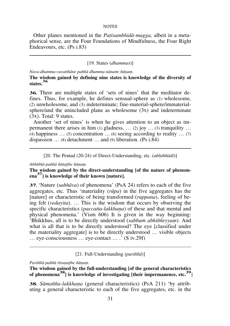Other planes mentioned in the *Pañisambhidà-magga,* albeit in a metaphorical sense, are the Four Foundations of Mindfulness, the Four Right Endeavours, etc. (Ps i.83)

# [19. States (*dhammas*)]

*Nava-dhamma-vavatthàne pa¤¤à dhamma-nànatte ¤àõaü.* 

**The wisdom gained by defining nine states is knowledge of the diversity of states.<sup>36</sup>**

**36.** There are multiple states of 'sets of nines' that the meditator defines. Thus, for example, he defines sensual-sphere as (1) wholesome, (2) unwholesome, and (3) indeterminate; fine-material-sphere/immaterialsphere/and the unincluded plane as wholesome (3x) and indeterminate (3x). Total: 9 states.

Another 'set of nines' is when he gives attention to an object as impermanent there arises in him (1) gladness,  $\dots$  (2) joy  $\dots$  (3) tranquility  $\dots$ (4) happiness  $\ldots$  (5) concentration  $\ldots$  (6) seeing according to reality  $\ldots$  (7) dispassion  $\ldots$  (8) detachment  $\ldots$  and (9) liberation. (Ps i.84)

[20. The Pentad (20-24) of Direct-Understanding, etc. *(abhiññādi*)]

*Abhi¤¤à-pa¤¤à ¤àtaññhe ¤àõaü.* 

**The wisdom gained by the direct-understanding [of the nature of phenomena <sup>37</sup>] is knowledge of their known [nature].** 

**37.** `Nature (s*abhàva*) of phenomena' (PsA 24) refers to each of the five aggregates, etc. Thus `materiality (*råpa*) in the five aggregates has the [nature] or characteristic of being transformed (*ruppana*), feeling of being felt (*vedayita*).  $\ldots$  This is the wisdom that occurs by observing the specific characteristics (*paccatta-lakkhana*) of these and that mental and physical phenomena.' (Vism 606) It is given in the way beginning: 'Bhikkhus, all is to be directly understood (sabbam abhiññeyyam). And what is all that is to be directly understood? The eye [classified under the materiality aggregate] is to be directly understood  $\ldots$  visible objects  $\ldots$  eye-consciousness  $\ldots$  eye-contact  $\ldots$   $\ddot{\cdot}$  (S iv.29f)

[21. Full-Understanding (*pari¤¤à*)]

*Pari¤¤à-pa¤¤à tãraõaññhe ¤àõaü.*

**The wisdom gained by the full-understanding [of the general characteristics of phenomena38] is knowledge of investigating [their impermanence, etc.39**]

38. Sāmañña-lakkhaņa (general characteristics) (PsA 211) 'by attributing a general characteristic to each of the five aggregates, etc. in the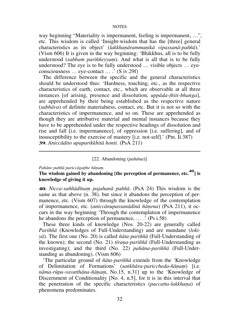way beginning "Materiality is impermanent, feeling is impermanent, ...". etc. This wisdom is called `Insight-wisdom that has the [three] general characteristics as its object' (*lakkhanārammanikā vipassanā-paññā*).' (Vism 606) It is given in the way beginning: `Bhikkhus, all is to be fully understood (*sabbam pariññeyyam*). And what is all that is to be fully understood? The eye is to be fully understood ... visible objects ... eyeconsciousness ... eye-contact ... .' (S iv.29f)

The difference between the specific and the general characteristics should be understood thus: `Hardness, touching, etc., as the respective characteristics of earth, contact, etc., which are observable at all three instances [of arising, presence and dissolution, *uppàda-ñhiti-bhaïga*], are apprehended by their being established as the respective nature (*sabhàva*) of definite materialness, contact, etc. But it is not so with the characteristics of impermanence, and so on. These are apprehended as though they are attributive material and mental instances because they have to be apprehended under the respective headings of dissolution and rise and fall [i.e. impermanence], of oppression [i.e. suffering], and of insusceptibility to the exercise of mastery [i.e. not-self].' (Pm. Ii.387) **39.** *Aniccàdito upaparikkhità honti*. (PsA 211)

# [22. Abandoning (*pahàna*)]

*Pahàne pa¤¤à pariccàgaññhe ¤àõaü.*

# **The wisdom gained by abandoning [the perception of permanence, etc.40] is knowledge of giving it up.**

**40.** *Nicca-saññādīnam pajahanā paññā*. (PsA 24) This wisdom is the same as that above (n. 38), but since it abandons the perception of permanence, etc. (Vism 607) through the knowledge of the contemplation of impermanence, etc. (*aniccànupassanàdinà ¤àõena*) (PsA 211), it occurs in the way beginning `Through the contemplation of impermanence he abandons the perception of permanence,  $\ldots$ .' (Ps i.58)

These three kinds of knowledge (Nos. 20-22) are generally called *Pariññā* (Knowledges of Full-Understanding) and are mundane (*lokiyà*). The first one (No. 20) is called *¤àta-pari¤¤à* (Full-Understanding of the known); the second (No. 21) *tīrana-pariññā* (Full-Understanding as investigating); and the third (No. 22) *pahāna-pariññā* (Full-Understanding as abandoning). (Vism 606)

`The particular ground of *¤àta-pari¤¤à* extends from the `Knowledge of Delimitation of Formations' (sankhāra-pariccheda-ñānam) [i.e. *nàma-råpa-vavatthàna-¤àõaü*, No.15, n.31] up to the `Knowledge of Discernment of Conditionality [No. 4, n.5], for it is in this interval that the penetration of the specific characteristics (*paccatta-lakkhana*) of phenomena predominates.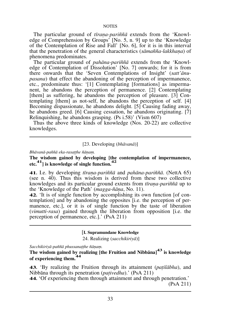The particular ground of *tīrana-pariññā* extends from the 'Knowledge of Comprehension by Groups' [No. 5, n. 9] up to the `Knowledge of the Contemplation of Rise and Fall' [No. 6], for it is in this interval that the penetration of the general characteristics (*sāmañña-lakkhana*) of phenomena predominates.

The particular ground of *pahāna-pariññā* extends from the 'Knowledge of Contemplation of Dissolution' [No. 7] onwards; for it is from there onwards that the `Seven Contemplations of Insight' (*satt'ànupasana*) that effect the abandoning of the perception of impermanence, etc., predominate thus: `[1] Contemplating [formations] as impermanent, he abandons the perception of permanence. [2] Contemplating [them] as suffering, he abandons the perception of pleasure. [3] Contemplating [them] as not-self, he abandons the perception of self. [4] Becoming dispassionate, he abandons delight. [5] Causing fading away, he abandons greed. [6] Causing cessation, he abandons originating. [7] Relinquishing, he abandons grasping. (Ps i.58)' (Vism 607)

Thus the above three kinds of knowledge (Nos. 20-22) are collective knowledges.

# [23. Developing (*bhàvanà*)]

*Bhāvanā-paññā eka-rasatthe ñānam.* 

**The wisdom gained by developing [the contemplation of impermanence, etc.**<sup>41</sup>) is knowledge of single function.<sup>42</sup>

**41.** I.e. by developing *tãraõa-pari¤¤à* and *pahàna-pari¤¤à*. (NettA 65) (see n. 40). Thus this wisdom is derived from these two collective knowledges and its particular ground extents from *tūrana-pariñña* up to the `Knowledge of the Path' (*magga-¤àõa*, No. 11).

**42.** `It is of single function by accomplishing its own function [of contemplation] and by abandoning the opposites [i.e. the perception of permanence, etc.], or it is of single function by the taste of liberation (*vimutti-rasa*) gained through the liberation from opposition [i.e. the perception of permanence, etc.].' (PsA 211)

#### [**I. Supramundane Knowledge**

24. Realizing (*sacchikiriyà*)]

 $Sacchikirivā-paññā phussanat theñānam.$ 

**The wisdom gained by realizing [the Fruition and Nibbàna]<sup>43</sup> is knowledge of experiencing them.<sup>44</sup>** 

**43.** `By realizing the Fruition through its attainment (*pañilàbha*), and Nibbàna through its penetration (*pañivedha*).' (PsA 211)

**44.** `Of experiencing them through attainment and through penetration.' (PsA 211)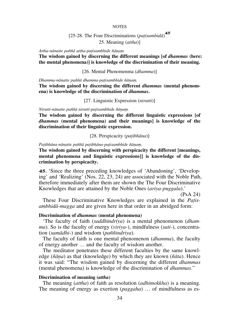# [25-28. The Four Discriminations (*pañisambidà*) **45** 25. Meaning (*attha*)]

*Attha-nànatte pa¤¤à attha-pañisambhide ¤àõaü.*

**The wisdom gained by discerning the different meanings [of** *dhammas* **(here: the mental phenomena)] is knowledge of the discrimination of their meaning.**

[26. Mental Phenomenma (*dhamma*)]

*Dhamma-nànatte pa¤¤à dhamma-pañisambhide ¤àõaü.*

**The wisdom gained by discerning the different** *dhammas* **(mental phenom ena) is knowledge of the discrimination of** *dhammas***.**

[27. Linguistic Expression (*nirutti*)]

*Nirutti-nànatte pa¤¤à nirutti-pañisambhide ¤àõaü.*

**The wisdom gained by discerning the different linguistic expressions [of**  *dhammas* **(mental phenomena) and their meanings] is knowledge of the discrimination of their linguistic expression.** 

[28. Perspicacity (*pañibhàna*)]

Patibhāna-nānatte paññā patibhāna-patisambhide ñānam.

**The wisdom gained by discerning with perspicacity the different [meanings, mental phenomena and linguistic expressions]] is knowledge of the discrimination by perspicacity.** 

**45.** `Since the three preceding knowledges of `Abandoning', `Developing' and `Realizing' (Nos. 22, 23, 24) are associated with the Noble Path, therefore immediately after them are shown the The Four Discriminative Knowledges that are attained by the Noble Ones (*ariya-puggala*).'

(PsA 24)

These Four Discriminative Knowledges are explained in the *Pañisambhidà-magga* and are given here in that order in an abridged form:

# **Discrimination of** *dhammas* **(mental phenomena)**

`The faculty of faith (*saddhindriya*) is a mental phenomenon (*dhamma*). So is the faculty of energy (*viriya*-), mindfulness (*sati*-), concentration (*samàdhi*-) and wisdom (*pa¤¤indriya*).

The faculty of faith is one mental phenomenon (*dhamma*), the faculty of energy another  $\dots$  and the faculty of wisdom another.

The meditator penetrates these different faculties by the same knowledge (*¤àõa*) as that (knowledge) by which they are known (*¤àta*). Hence it was said: ßThe wisdom gained by discerning the different *dhammas* (mental phenomena) is knowledge of the discrimination of *dhammas*."

# **Discrimination of meaning (***attha***)**

The meaning (*attha*) of faith as resolution (*adhimokkha*) is a meaning. The meaning of energy as exertion (*paggaha*) ... of mindfulness as es-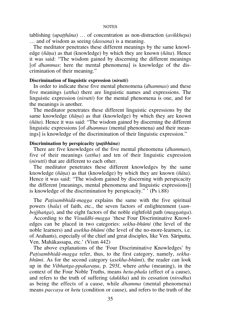tablishing (*upatthāna*) ... of concentration as non-distraction (*avikkhepa*) ... and of wisdom as seeing *(dassana)* is a meaning.

The meditator penetrates these different meanings by the same knowledge (*¤àõa*) as that (knowledge) by which they are known (*¤àta*). Hence it was said: "The wisdom gained by discerning the different meanings [of *dhammas*: here the mental phenomena] is knowledge of the discrimination of their meaning."

# **Discrimination of linguistic expression (***nirutti***)**

In order to indicate these five mental phenomena (*dhammas*) and these five meanings (*attha*) there are linguistic names and expressions. The linguistic expression (*nirutti*) for the mental phenomena is one, and for the meanings is another.

The meditator penetrates these different linguistic expressions by the same knowledge (*¤àõa*) as that (knowledge) by which they are known ( $\tilde{n}$ *āta*). Hence it was said: "The wisdom gained by discerning the different linguistic expressions [of *dhammas* (mental phenomena) and their meanings] is knowledge of the discrimination of their linguistic expression."

# **Discrimination by perspicacity (***pañibhàna***)**

There are five knowledges of the five mental phenomena (*dhammas*), five of their meanings (*attha*) and ten of their linguistic expression (*nirutti*) that are different to each other.

The meditator penetrates these different knowledges by the same knowledge (*¤àõa*) as that (knowledge) by which they are known (*¤àta*). Hence it was said: "The wisdom gained by discerning with perspicacity the different [meanings, mental phenomena and linguistic expressions]] is knowledge of the discrimination by perspicacity."  $(Ps i.88)$ 

The *Patisambhidā-magga* explains the same with the five spiritual powers (*bala*) of faith, etc., the seven factors of enlightenment (*sambojjhaïga*), and the eight factors of the noble eightfold path (*maggaïga*).

According to the *Visuddhi-magga* `these Four Discriminative Knowledges can be placed in two categories: *sekha-bhåmi* (the level of the noble learners) and *asekha-bhåmi* (the level of the no-more-learners, i.e. of Arahants), especially of the chief and great disciples, like Ven. Sàriputta, Ven. Mahàkassapa, etc.' (Vism 442)

The above explanations of the `Four Discriminative Knowledges' by *Patisambhidā-magga* refer, thus, to the first category, namely, *sekhabhåmi*. As for the second category (*asekha-bhåmi*), the reader can look up in the *Vibhanga-ppakarana*, p. 293f, where *attha* (meaning), in the context of the Four Noble Truths, means *hetu-phala* (effect of a cause), and refers to the truth of suffering (*dukkha*) and its cessation (*nirodha*) as being the effects of a cause, while *dhamma* (mental phenomena) means *paccaya* or *hetu* (condition or cause), and refers to the truth of the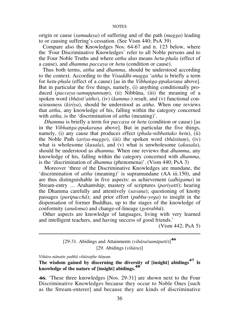origin or cause (*samudaya*) of suffering and of the path (*magga*) leading to or causing suffering's cessation. (See Vism 440; PsA 39)

Compare also the Knowledges Nos. 64-67 and n. 123 below, where the `Four Discriminative Knowledges' refer to all Noble persons and to the Four Noble Truths and where *attha* also means *hetu-phala* (effect of a cause), and *dhamma paccaya* or *hetu* (condition or cause).

Thus both terms, *attha* and *dhamma*, should be understood according to the context. According to the *Visuddhi-magga* `*attha* is briefly a term for *hetu-phala* (effect of a cause) [as in the *Vibhanga-ppakarana* above]. But in particular the five things, namely, (i) anything conditionally produced (*paccaya-samuppannam*), (ii) Nibbana, (iii) the meaning of a spoken word (*bhàsit'attho*), (iv) (*kamma-*) result, and (v) functional consciousness (*kiriya*), should be understood as *attha*. When one reviews that *attha*, any knowledge of his, falling within the category concerned with *attha*, is the 'discrimination of *attha* (meaning)'.

*Dhamma* is briefly a term for *paccaya* or *hetu* (condition or cause) [as in the *Vibhanga-ppakarana* above]. But in particular the five things, namely, (i) any cause that produces effect (*phala-nibbattako hetu*), (ii) the Noble Path (*ariya-maggo*), (iii) the spoken word (*bhàsitaü*), (iv) what is wholesome (*kusala*), and (v) what is unwholesome (*akusala*), should be understood as *dhamma*. When one reviews that *dhamma*, any knowledge of his, falling within the category concerned with *dhamma*, is the `discrimination of *dhamma* (phenomena)'. (Vism 440; PsA 3)

 Moreover `three of the Discriminative Knowledges are mundane, the `discrimination of *attha* (meaning)' is supramundane (AA iii.150), and are thus distinguishable in five aspects: as achievement (*adhigama*) in Stream-entry ... Arahantship; mastery of scriptures (*pariyatti*); hearing the Dhamma carefully and attentively (*savana*); questioning of knotty passages (*paripucchà*); and prior effort (*pubba-yoga*) to insight in the dispensation of former Buddhas, up to the stages of the knowledge of conformity (*anuloma*) and change-of-lineage (*gotrabhå*).

Other aspects are knowledge of languages, living with very learned and intelligent teachers, and having success of good friends.'

(Vism 442; PsA 5)

[29-31. Abidings and Attainments (*vihàra/samàpatti*)]**<sup>46</sup>** [29. Abidings (*vihàra*)]

*Vihāra-nānatte paññā vihāratthe ñānam.* 

**The wisdom gained by discerning the diversity of [insight] abidings47 is knowledge of the nature of [insight] abidings.<sup>48</sup>**

**46.** `These three knowledges [Nos. 29-31] are shown next to the Four Discriminative Knowledges because they occur to Noble Ones [such as the Stream-enterer] and because they are kinds of discriminative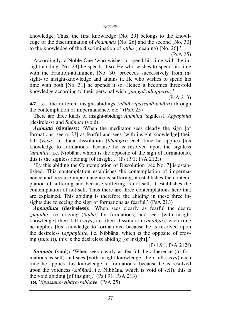knowledge. Thus, the first knowledge [No. 29] belongs to the knowledge of the discrimination of *dhammas* [No. 26] and the second [No. 30] to the knowledge of the discrimination of *attha* (meaning) [No. 26].'

(PsA 25)

Accordingly, a Noble One `who wishes to spend his time with the insight-abiding [No. 29] he spends it so. He who wishes to spend his time with the Fruition-attainment [No. 30] proceeds successively from insight- to insight-knowledge and attains it. He who wishes to spend his time with both [No. 31] he spends it so. Hence it becomes three-fold knowledge according to their personal wish (*puggal'àdhippàya*).'

(PsA 213)

**47.** I.e. `the different insight-abidings (*nànà-vipassanà-vihàra*) through the contemplation of impermanence, etc.' (PsA 25)

There are three kinds of insight-abiding: *Animitta* (signless), *Appanihita* (desireless) and *Su¤¤atà* (void).

*Animitta* (signless): 'When the meditator sees clearly the sign [of formations, see n. 23] as fearful and sees [with insight knowledge] their fall (*vaya*, i.e. their dissolution (*bhaïga*)) each time he applies [his knowledge to formations] because he is resolved upon the signless (*animitte*, i.e. Nibbàna, which is the opposite of the sign of formations), this is the signless abiding [of insight].' (Ps i.91; PsA 212f)

`By this abiding the Contemplation of Dissolution [see No. 7] is established. This contemplation establishes the contemplation of impermanence and because impermanence is suffering, it establishes the contemplation of suffering and because suffering is not-self, it establishes the contemplation of not-self. Thus there are three contemplations here that are explained. This abiding is therefore the abiding in these three insights due to seeing the sign of formations as fearful.' (PsA 213)

Appanihita (desireless): 'When sees clearly as fearful the desire (*panidhi*, i.e. craving (*tanha*) for formations) and sees [with insight knowledge] their fall (*vaya*, i.e. their dissolution (*bhaïga*)) each time he applies [his knowledge to formations] because he is resolved upon the desireless *(appanihite, i.e.* Nibbana, which is the opposite of craving  $(tanh\bar{a})$ , this is the desireless abiding [of insight].'

(Ps i.91; PsA 212f)

**Suññatā** (void): 'When sees clearly as fearful the adherence (to formations as self) and sees [with insight knowledge] their fall (*vaya*) each time he applies [his knowledge to formations] because he is resolved upon the voidness (*su¤¤atà*, i.e. Nibbàna, which is void of self), this is the void abiding [of insight].' (Ps i.91; PsA 213)

**48.** *Vipassanà-vihàra-sabhàve*. (PsA 25)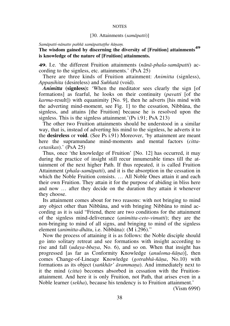## [30. Attainments (*samàpatti*)]

#### Samāpatti-nānatte paññā samāpattatthe ñānam.

# **The wisdom gained by discerning the diversity of [Fruition] attainments<sup>49</sup> is knowledge of the nature of [Fruition] attainments.**

**49.** I.e. `the different Fruition attainments (*nànà-phala-samàpatti*) according to the signless, etc. attainments.' (PsA 25)

There are three kinds of Fruition attainment: *Animitta* (signless), *Appanihita* (desireless) and *Suññatā* (void).

*Animitta* (signless): 'When the meditator sees clearly the sign [of formations] as fearful, he looks on their continuity (*pavatti* [of the *karma*-result]) with equanimity [No. 9], then he adverts [his mind with the adverting mind-moment, see Fig. 1] to the cessation, Nibbàna, the signless, and attains [the Fruition] because he is resolved upon the signless. This is the signless attainment.'(Ps i.91; PsA 213)

The other two Fruition attainments should be understood in a similar way, that is, instead of adverting his mind to the signless, he adverts it to the **desireless** or **void**. (See Ps i.91) Moreover, `by attainment are meant here the supramundane mind-moments and mental factors (*cittacetasikas*).' (PsA 25)

Thus, once `the knowledge of Fruition' [No. 12] has occurred, it may during the practice of insight still recur innumerable times till the attainment of the next higher Path. If thus repeated, it is called Fruition Attainment (*phala-samàpatti*), and it is the absorption in the cessation in which the Noble Fruition consists.  $\ldots$  All Noble Ones attain it and each their own Fruition. They attain it for the purpose of abiding in bliss here and now  $\ldots$  after they decide on the duration they attain it whenever they choose.

Its attainment comes about for two reasons: with not bringing to mind any object other than Nibbàna, and with bringing Nibbàna to mind according as it is said "Friend, there are two conditions for the attainment of the signless mind-deliverance (*animitta-ceto-vimutti*); they are the non-bringing to mind of all signs, and bringing to mind of the signless element (*animitta-dhātu*, i.e. Nibbāna): (M i.296)."

Now the process of attaining it is as follows: the Noble disciple should go into solitary retreat and see formations with insight according to rise and fall (*udaya-bbaya*, No. 6), and so on. When that insight has progressed [as far as Conformity Knowledge (*anuloma-¤àõa*)], then comes Change-of-Lineage Knowledge (*gotrabhå-¤àõa*, No.10) with formations as its object (*sankhār' ārammana*). And immediately next to it the mind (*citta*) becomes absorbed in cessation with the Fruitionattainment. And here it is only Fruition, not Path, that arises even in a Noble learner (*sekha*), because his tendency is to Fruition attainment.'

(Vism 699f)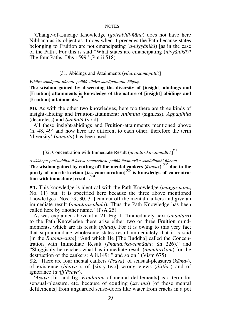`Change-of-Lineage Knowledge (*gotrabhå-¤àõa*) does not have here Nibbàna as its object as it does when it precedes the Path because states belonging to Fruition are not emancipating (*a-niyyànikà*) [as in the case of the Path]. For this is said ßWhat states are emancipating (*niyyànikà*)? The four Paths: Dhs  $1599$ " (Pm ii.518)

#### [31. Abidings and Attainments (*vihàra-samàpatti*)]

Vihāra-samāpatti-nānatte paññā vihāra-samāpattatthe ñānam.

**The wisdom gained by discerning the diversity of [insight] abidings and [Fruition] attainments is knowledge of the nature of [insight] abidings and [Fruition] attainments.<sup>50</sup>**

**50.** As with the other two knowledges, here too there are three kinds of insight-abiding and Fruition-attainment: *Animitta* (signless), *Appanihita* (desireless) and *Su¤¤atà* (void).

All these insight-abidings and Fruition-attainments mentioned above (n. 48, 49) and now here are different to each other, therefore the term `diversity' (*nànatta*) has been used.

[32. Concentration with Immediate Result (*ànantarika-samàdhi*)]**<sup>51</sup>**

*Avikkhepa-parisuddhattà àsava-samucchede pa¤¤à ànantarika-samàdhimhi ¤àõaü.*

**The wisdom gained by cutting off the mental cankers (***àsavas***) <sup>52</sup>due to the**  purity of non-distraction [i.e. concentration]<sup>53</sup> is knowledge of concentra**tion with immediate [result].<sup>54</sup>**

**51.** This knowledge is identical with the Path Knowledge (*magga-¤àõa*, No. 11) but `it is specified here because the three above mentioned knowledges [Nos. 29, 30, 31] can cut off the mental cankers and give an immediate result (*anantara-phala*). Thus the Path Knowledge has been called here by another name.' (PsA 25)

As was explained above at n. 21, Fig. 1, `Immediately next (*anantara*) to the Path Knowledge there arise either two or three Fruition mindmoments, which are its result (*phala*). For it is owing to this very fact that supramundane wholesome states result immediately that it is said [in the *Ratana-sutta*] "And which He [The Buddha] called the Concentration with Immediate Result (*ānantarika-samādhi*: Sn 226)," and "Sluggishly he reaches what has immediate result *(anantarikam)* for the destruction of the cankers: A ii.149) " and so on.' (Vism  $675$ )

**52.** `There are four mental cankers (*àsava*): of sensual-pleasures (*kàma*-), of existence (*bhava*-), of [sixty-two] wrong views (*ditthi*-) and of ignorance (*avijj'àsava*).

`*âsava* [lit. and fig. *Exudation* of mental defilements] is a term for sensual-pleasure, etc. because of exuding (*savana*) [of these mental defilements] from unguarded sense-doors like water from cracks in a pot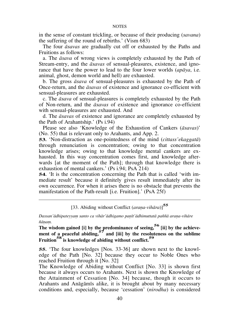in the sense of constant trickling, or because of their producing (*savana*) the suffering of the round of rebirths.' (Vism 683)

The four *àsavas* are gradually cut off or exhausted by the Paths and Fruitions as follows:

a. The *àsava* of wrong views is completely exhausted by the Path of Stream-entry, and the *àsavas* of sensual-pleasures, existence, and ignorance that have the power to lead to the four lower worlds (*apàya*, i.e. animal, ghost, demon world and hell) are exhausted.

b. The gross *àsava* of sensual-pleasures is exhausted by the Path of Once-return, and the *àsavas* of existence and ignorance co-efficient with sensual-pleasures are exhausted.

c. The *àsava* of sensual-pleasures is completely exhausted by the Path of Non-return, and the *àsavas* of existence and ignorance co-efficient with sensual-pleasures are exhausted. And

d. The *àsavas* of existence and ignorance are completely exhausted by the Path of Arahantship.' (Ps i.94)

Please see also `Knowledge of the Exhaustion of Cankers (*àsavas*)' (No. 55) that is relevant only to Arahants, and App. 2.

**53.** `Non-distraction as one-pointedness of the mind (*cittass'ekaggatà*) through renunciation is concentration; owing to that concentration knowledge arises; owing to that knowledge mental cankers are exhausted. In this way concentration comes first, and knowledge afterwards [at the moment of the Path]; through that knowledge there is exhaustion of mental cankers.' (Ps i.94; PsA 214)

**54.** It is the concentration concerning the Path that is called 'with immediate result' because it definitely gives result immediately after its own occurrence. For when it arises there is no obstacle that prevents the manifestation of the Path-result [i.e. Fruition].' (PsA 25f)

[33. Abiding without Conflict (arana-vihāra)]<sup>55</sup>

Dassan'ādhipateyyam santo ca vihār'ādhigamo panīt'ādhimuttatā paññā arana-vihāre  $\tilde{n}$ *ānam.* 

**The wisdom gained [i] by the predominance of seeing, <sup>56</sup> [ii] by the achieve**ment of a peaceful abiding,<sup>57</sup> and [iii] by the resoluteness on the sublime **Fruition58 is knowledge of abiding without conflict.<sup>59</sup>**

**55.** The four knowledges [Nos. 33-36] are shown next to the knowledge of the Path [No. 32] because they occur to Noble Ones who reached Fruition through it [No. 32]

The Knowledge of Abiding without Conflict [No. 33] is shown first because it always occurs to Arahants. Next is shown the Knowledge of the Attainment of Cessation [No. 34] because, though it occurs to Arahants and Anàgàmãs alike, it is brought about by many necessary conditions and, especially, because `cessation' (*nirodha*) is considered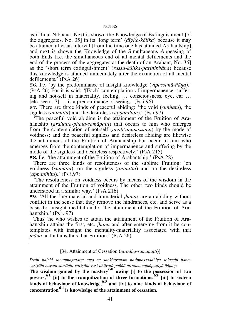as if final Nibbàna. Next is shown the Knowledge of Extinguishment [of the aggregates, No. 35] in its `long term' (*dãgha-kàlika*) because it may be attained after an interval [from the time one has attained Arahantship]; and next is shown the Knowledge of the Simultaneous Appeasing of both Ends [i.e. the simultaneous end of all mental defilements and the end of the process of the aggregates at the death of an Arahant, No. 36] as the `short term extinguishment' (*rassa-kàlika-parinibbàna*) because this knowledge is attained immediately after the extinction of all mental defilements.' (PsA 26)

**56.** I.e. 'by the predominance of insight knowledge (*vipassanā-ñāna*).' (PsA 26) For it is said: `[Each] contemplation of impermanence, suffering and not-self in materiality, feeling, ... consciousness, eye, ear ... [etc. see n. 7]  $\ldots$  is a predominance of seeing.' (Ps i.96)

**57.** There are three kinds of peaceful abiding: `the void (*su¤¤atà*), the signless (*animitta*) and the desireless (*appanihita*).' (Ps i.97)

`The peaceful void abiding is the attainment of the Fruition of Arahantship (*arahatta-phala-samàpatti*) that occurs to him who emerges from the contemplation of not-self (*anatt'ànupassana*) by the mode of voidness; and the peaceful signless and desireless abiding are likewise the attainment of the Fruition of Arahantship but occur to him who emerges from the contemplation of impermanence and suffering by the mode of the signless and desireless respectively.' (PsA 215)

**58.** I.e. `the attainment of the Fruition of Arahantship.' (PsA 28)

There are three kinds of resoluteness of the sublime Fruition: `on voidness (*su¤¤atà*), on the signless (*animitta*) and on the desireless (*appanihita*).' (Ps *i.97*)

`The resoluteness on voidness occurs by means of the wisdom in the attainment of the Fruition of voidness. The other two kinds should be understood in a similar way.' (PsA 216)

**59.** `All the fine-material and immaterial *jhànas* are an abiding without conflict in the sense that they remove the hindrances, etc. and serve as a basis for insight meditation for the attainment of the Fruition of Arahantship.' (Ps i. 97)

Thus 'he who wishes to attain the attainment of the Fruition of Arahantship attains the first, etc. *jhàna* and after emerging from it he contemplates with insight the mentality-materiality associated with that *jhàna* and attains thus that Fruition.' (PsA 26)

# [34. Attainment of Cessation (*nirodha-samàpatti*)]

*Dvãhi balehi samannàgatattà tayo ca saïkhàrànaü pañippassaddhiyà soëasahi ¤àõa*cariyāhi navahi samādhi-cariyāhi vasī-bhāvatā paññā nirodha-samāpattiyā ñāṇaṃ.

**The wisdom gained by the mastery60 owing [i] to the possession of two**  powers,<sup>61</sup> [ii] to the tranquilization of three formations,<sup>62</sup> [iii] to sixteen **kinds of behaviour of knowledge,63 and [iv] to nine kinds of behaviour of concentration64 is knowledge of the attainment of cessation.**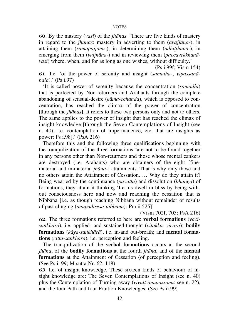**60.** By the mastery (*vasã*) of the *jhànas*. `There are five kinds of mastery in regard to the *jhànas*: mastery in adverting to them (*àvajjana*-), in attaining them *(samāpajiana-)*, in determining them *(adhitthāna-)*, in emerging from them (*vutthāna*-) and in reviewing them (*paccavekkhanāvasã*) where, when, and for as long as one wishes, without difficulty.'

(Ps i.99f; Vism 154)

**61.** I.e. `of the power of serenity and insight (*samatha*-, *vipassanàbala*).' (Ps i.97)

`It is called power of serenity because the concentration (*samàdhi*) that is perfected by Non-returners and Arahants through the complete abandoning of sensual-desire (*kàma-cchanda*), which is opposed to concentration, has reached the climax of the power of concentration [through the *jhànas*]. It refers to these two persons only and not to others. The same applies to the power of insight that has reached the climax of insight knowledge [through the Seven Contemplations of Insight (see n. 40), i.e. contemplation of impermanence, etc. that are insights as power: Ps i.98].' (PsA 216)

Therefore this and the following three qualifications beginning with the tranquilization of the three formations `are not to be found together in any persons other than Non-returners and those whose mental cankers are destroyed (i.e. Arahants) who are obtainers of the eight [finematerial and immaterial *jhàna*-] attainments. That is why only those and no others attain the Attainment of Cessation. ... Why do they attain it? Being wearied by the continuance (*pavatta*) and dissolution (*bhaïga*) of formations, they attain it thinking `Let us dwell in bliss by being without consciousness here and now and reaching the cessation that is Nibbàna [i.e. as though reaching Nibbàna without remainder of results of past clinging (*anupàdisesa-nibbàna*): Pm ii.525]'

(Vism 702f, 705; PsA 216)

**62.** The three formations referred to here are **verbal formations** (*vacãsaïkhàrà*), i.e. applied- and sustained-thought (*vitakka, vicàra*); **bodily formations** (*kàya-saïkhàrà*), i.e. in-and out-breath; and **mental formations** (*citta-saïkhàrà*), i.e. perception and feeling.

The tranquilization of the **verbal formations** occurs at the second *jhàna*, of the **bodily formations** at the fourth *jhàna*, and of the **mental formations** at the Attainment of Cessation (of perception and feeling). (See Ps i. 99; M sutta Nr. 62, 118)

**63.** I.e. of insight knowledge. These sixteen kinds of behaviour of insight knowledge are: The Seven Contemplations of Insight (see n. 40) plus the Contemplation of Turning away (*vivatt'ānupassana*: see n. 22), and the four Path and four Fruition Knowledges. (See Ps ii.99)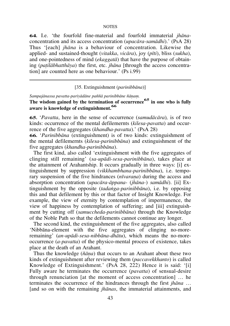**64.** I.e. `the fourfold fine-material and fourfold immaterial *jhàna*concentration and its access concentration (*upacàra-samàdhi*).' (PsA 28) Thus `[each] *jhàna* is a behaviour of concentration. Likewise the applied- and sustained-thought (*vitakka*, *vicàra*), joy (*pãti*), bliss (*sukha*), and one-pointedness of mind (*ekaggatà*) that have the purpose of obtaining (*pañilàbhatthàya*) the first, etc. *jhàna* [through the access concentration] are counted here as one behaviour.' (Ps i.99)

# [35. Extinguishment (*parinibbàna*)]

Sampajānassa pavatta-pariyādāne paññā parinibbāne ñānam.

**The wisdom gained by the termination of occurrence65 in one who is fully aware is knowledge of extinguishment.<sup>66</sup>**

**65.** `*Pavatta*, here in the sense of occurrence (*samudàcàra*)*,* is of two kinds: occurrence of the mental defilemernts (*kilesa-pavatta*) and occurrence of the five aggregates (*khandha-pavatta*).' (PsA 28)

**66.** `*Parinibbàna* (extinguishment) is of two kinds: extinguishment of the mental defilemernts (*kilesa-parinibbàna*) and extinguishment of the five aggregates (*khandha-parinibbàna*).

The first kind, also called `extinguishment with the five aggregates of clinging still remaining' (*sa-upàdi-sesa-parinibbàna*), takes place at the attainment of Arahantship. It occurs gradually in three ways: [i] extinguishment by suppression (*vikkhambhana-parinibbàna*), i.e. temporary suspension of the five hindrances (*nīvarana*) during the access and absorption concentration (*upacàra-àppana-* (*jhàna-*) *samàdhi*). [ii] Extinguishment by the opposite (*tadaïga-parinibbàna*), i.e. by opposing this and that defilement by this or that factor of Insight Knowledge. For example, the view of eternity by contemplation of impermanence, the view of happiness by contemplation of suffering; and [iii] extinguishment by cutting off (*samuccheda-parinibbàna*) through the Knowledge of the Noble Path so that the defilements cannot continue any longer.

The second kind, the extinguishment of the five aggregates, also called `Nibbàna-element with the five aggregates of clinging no-moreremaining' (*an-upàdi-sesa-nibbàna-dhàtu*), which means the no-moreoccurrence (*a-pavatta*) of the physico-mental process of existence, takes place at the death of an Arahant.

Thus the knowledge (*¤àõa*) that occurs to an Arahant about these two kinds of extinguishment after reviewing them (*paccavekkhanto*) is called Knowledge of Extinguishment.' (PsA 28, 222) Hence it is said: `[i] Fully aware he terminates the occurrence (*pavatta*) of sensual-desire through renunciation [at the moment of access concentration]  $\ldots$  he terminates the occurrence of the hindrances through the first *jhāna* ... [and so on with the remaining *jhànas*, the immaterial attainments, and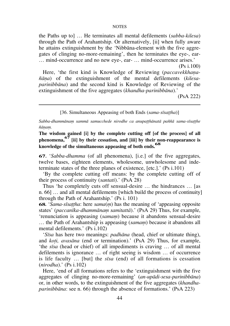the Paths up to  $\overline{\mathbf{a}}$ ... He terminates all mental defilements (*sabba-kilesa*) through the Path of Arahantship. Or alternatively, [ii] when fully aware he attains extinguishment by the `Nibbàna-element with the five aggregates of clinging no-more-remaining', then he terminates the eye-, ear- $\dots$  mind-occurrence and no new eye-, ear-  $\dots$  mind-occurrence arises.'

 (Ps i.100) Here, 'the first kind is Knowledge of Reviewing (*paccavekkhana-¤àõa*) of the extinguishment of the mental defilements (*kilesaparinibbàna*) and the second kind is Knowledge of Reviewing of the extinguishment of the five aggregates (*khandha-parinibbàna*).'

(PsA 222)

## [36. Simultaneous Appeasing of both Ends (*sama-sīsattha*)]

Sabba-dhammānam sammā samucchede nirodhe ca anupatthānatā paññā sama-sīsatthe  $ñānam.$ 

**The wisdom gained [i] by the complete cutting off [of the process] of all phenomena,67 [ii] by their cessation, and [iii] by their non-reappearance is knowledge of the simultaneous appeasing of both ends. 68** 

**67.** `*Sabba-dhamma* (of all phenomena), [i.e.] of the five aggregates, twelve bases, eighteen elements, wholesome, unwholesome and indeterminate states of the three planes of existence, [etc.].' (Ps i.101)

`By the complete cutting off means: by the complete cutting off of their process of continuity (*santati*).' (PsA 28)

Thus 'he completely cuts off sensual-desire  $\dots$  the hindrances  $\dots$  [as n.  $66$ ]  $\ldots$  and all mental defilements [which build the process of continuity] through the Path of Arahantship.' (Ps i. 101)

**68.** '*Sama-sīsattha*: here *sama*(*m*) has the meaning of 'appeasing opposite states' (paccanīka-dhammānam samitattā).' (PsA 29) Thus, for example, `renunciation is appeasing (*samaü*) because it abandons sensual-desire ... the Path of Arahantship is appeasing *(samam)* because it abandons all mental defilements.' (Ps i.102)

`*Sãsa* has here two meanings: *padhàna* (head, chief or ultimate thing), and *koñi, avasàna* (end or termination).' (PsA 29) Thus, for example, 'the *sīsa* (head or chief) of all impediments is craving ... of all mental defilements is ignorance  $\dots$  of right seeing is wisdom  $\dots$  of occurrence is life faculty ... [but] the *sīsa* (end) of all formations is cessation (*nirodha*).' (Ps i.102)

Here, `end of all formations refers to the `extinguishment with the five aggregates of clinging no-more-remaining' (*an-upàdi-sesa-parinibbàna*) or, in other words, to the extinguishment of the five aggregates (*khandhaparinibbàna*: see n. 66) through the absence of formations.' (PsA 223)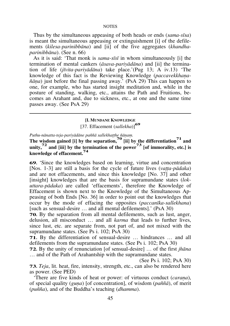Thus by the simultaneous appeasing of both heads or ends (*sama-sãsa*) is meant the simultaneous appeasing or extinguishment [i] of the defilements (*kilesa-parinibbàna*) and [ii] of the five aggregates (*khandhaparinibbàna*). (See n. 66)

As it is said: `That monk is *sama-sãsã* in whom simultaneously [i] the termination of mental cankers (*àsava-pariyàdàna*) and [ii] the termination of life (*jãvita-pariyàdàna*) take place.'(Pug 13; A iv.13) `The knowledge of this fact is the Reviewing Knowledge (*paccavekkhaõa- ¤àõa*) just before the final passing away.' (PsA 29) This can happen to one, for example, who has started insight meditation and, while in the posture of standing, walking, etc., attains the Path and Fruitions, becomes an Arahant and, due to sickness, etc., at one and the same time passes away. (See PsA 29)

# **[I. MUNDANE KNOWLEDGE** [37. Effacement (*sallekha*)]**<sup>69</sup>**

Puthu-nānatta-teja-pariyādāne paññā sallekhatthe ñānam.

**The wisdom gained [i] by the separation,70 [ii] by the differentiation71 and**  unity,<sup> $72$ </sup> and [iii] by the termination of the power<sup> $73$ </sup> [of immorality, etc.] is **knowledge of effacement.<sup>74</sup>**

**69.** `Since the knowledges based on learning, virtue and concentration [Nos. 1-3] are still a basis for the cycle of future lives (*vatta-pādaka*) and are not effacements, and since this knowledge [No. 37] and other [insight] knowledges that are the basis for supramundane states (*lokuttara-pàdaka*) are called `effacements', therefore the Knowledge of Effacement is shown next to the Knowledge of the Simultaneous Appeasing of both Ends [No. 36] in order to point out the knowledges that occur by the mode of effacing the opposites (*paccanãka-sallekhana*) [such as sensual-desire  $\ldots$  and all mental defilements].' (PsA 30)

**70.** By the separation from all mental defilements, such as lust, anger, delusion, all misconduct ... and all *karma* that leads to further lives, since lust, etc. are separate from, not part of, and not mixed with the supramundane states. (See Ps i. 102; PsA 30)

**71.** By the differentiation of sensual-desire  $\ldots$  hindrances  $\ldots$  and all defilements from the supramundane states. (See Ps i. 102; PsA 30)

**72.** By the unity of renunciation [of sensual-desire]  $\ldots$  of the first *jhana*  $\dots$  and of the Path of Arahantship with the supramundane states.

(See Ps i. 102; PsA 30)

**73.** *Teja*, lit. heat, fire, intensity, strength, etc., can also be rendered here as power. (See PED)

There are five kinds of heat or power: of virtuous conduct *(carana)*, of special quality (*guõa*) [of concentration], of wisdom (*pa¤¤à*), of merit (*pu¤¤a*), and of the Buddha's teaching (*dhamma*).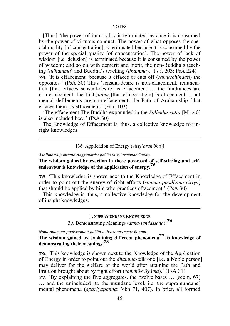[Thus] `the power of immorality is terminated because it is consumed by the power of virtuous conduct. The power of what opposes the special quality [of concentration] is terminated because it is consumed by the power of the special quality [of concentration]. The power of lack of wisdom [i.e. delusion] is terminated because it is consumed by the power of wisdom; and so on with demerit and merit, the non-Buddha's teaching (*adhamma*) and Buddha's teaching (*dhamma*).' Ps i. 203; PsA 224) **74.** `It is effacement `because it effaces or cuts off (*samucchindati*) the opposites.' (PsA 30) Thus `sensual-desire is non-effacement, renunciation [that effaces sensual-desire] is effacement ... the hindrances are non-effacement, the first *jhāna* [that effaces them] is effacement ... all mental defilements are non-effacement, the Path of Arahantship [that effaces them] is effacement.' (Ps i. 103)

`The effacement The Buddha expounded in the *Sallekha-sutta* [M i.40] is also included here.' (PsA 30)

The Knowledge of Effacement is, thus, a collective knowledge for insight knowledges.

## [38. Application of Energy (*viriy'àrambha*)]

*Asallãnatta-pahitatta-paggahaññhe pa¤¤à viriy'àrambhe ¤àõaü.*

**The wisdom gained by exertion in those possessed of self-stirring and selfendeavour is knowledge of the application of energy. 75** 

**75.** `This knowledge is shown next to the Knowledge of Effacement in order to point out the energy of right efforts (*samma-ppadhàna-viriya*) that should be applied by him who practices effacement.' (PsA 30)

This knowledge is, thus, a collective knowledge for the development of insight knowledges.

[**I. SUPRAMUNDANE KNOWLEDGE**

39. Demonstrating Meanings (*attha-sandassana*)]**<sup>76</sup>**

 $N\bar{a}$ nā-dhamma-ppakāsanatā paññā attha-sandassane ñānam.

**The wisdom gained by explaining different phenomena77 is knowledge of demonstrating their meanings.<sup>78</sup>**

**76.** `This knowledge is shown next to the Knowledge of the Application of Energy in order to point out the *dhamma*-talk one [i.e. a Noble person] may deliver for the welfare of the world after attaining the Path and Fruition brought about by right effort (*sammà-vàyàma*).' (PsA 31)

**77.** `By explaining the five aggregates, the twelve bases ... [see n. 67] ... and the unincluded [to the mundane level, i.e. the supramundane] mental phenomena (*apariyàpanna*: Vbh 71, 407). In brief, all formed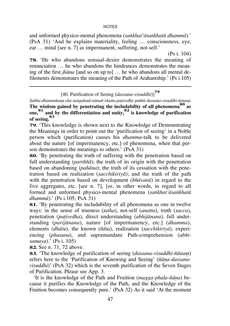and unformed physico-mental phenomena (*saïkhat'àsaïkhatà dhammà*).'  $(PsA 31)$  'And he explains materiality, feeling  $\ldots$  consciousness, eye, ear ... mind [see n. 7] as impermanent, suffering, not-self.'

(Ps i. 104)

**78.** `He who abandons sensual-desire demonstrates the meaning of renunciation  $\ldots$  he who abandons the hindrances demonstrates the meaning of the first *jhāna* [and so on up to]  $\ldots$  he who abandons all mental defilements demonstrates the meaning of the Path of Arahantship.' (Ps i.105)

[40. Purification of Seeing (*dassana-visuddhi*)]**<sup>79</sup>**

Sabba-dhammānam eka-saṅgahatā-nānatt'ekatta-pativedhe paññā dassana-visuddhi-ñānam.

**The wisdom gained by penetrating the includability of all phenomena<sup>80</sup> as <br>The wisdom gained by penetrating the includability of all phenomena<sup>80</sup> as one, <sup>81</sup> and by the differentiation and unity,82 is knowledge of purification of seeing.<sup>83</sup>**

**79.** `This knowledge is shown next to the Knowledge of Demonstrating the Meanings in order to point out the `purification of seeing' in a Noble person which (purification) causes his *dhamma*-talk to be delivered about the nature [of impermanency, etc.] of phenomena, when that person demonstrates the meanings to others.' (PsA 31)

**80.** `By penetrating the truth of suffering with the penetration based on full understanding (*pariñña*); the truth of its origin with the penetration based on abandoning (*pahàna*); the truth of its cessation with the penetration based on realization (*sacchikiriyà*); and the truth of the path with the penetration based on development (*bhàvanà*) in regard to the five aggregates, etc. [see n. 7], [or, in other words, in regard to all formed and unformed physico-mental phenomena (*saïkhat'àsaïkhatà dhammà*).' (Ps i.105; PsA 31)

**81.** `By penetrating the includability of all phenomena as one in twelve ways: in the sense of trueness (*tatha*), not-self (*anatta*), truth (*sacca*), penetration (*pañivedha*), direct understanding (*abhijànana*), full understanding (*parijànana*), nature [of impermanency, etc.] (*dhamma*), elements (*dhàtu*), the known (*¤àta*), realization (*sacchikiriyà*), experiencing (*phusana*), and supramundane Path-comprehension (*abhisamaya*).' (Ps i. 105)

**82.** See n. 71, 72 above.

**83.** 'The knowledge of purification of seeing *(dassana-visuddhi-ñānam)* refers here to the `Purification of Knowing and Seeing' (*¤àõa-dassanavisuddhi*)' (PsA 32) which is the seventh purification of the Seven Stages of Purification. Please see App. 3.

`It is the knowledge of the Path and Fruition (*magga-phala-¤àõa*) because it purifies the Knowledge of the Path, and the Knowledge of the Fruition becomes consequently pure.' (PsA 32) As it said 'At the moment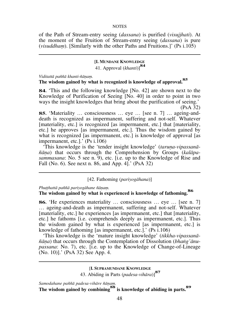of the Path of Stream-entry seeing (*dassana*) is purified (*visujjhati*). At the moment of the Fruition of Stream-entry seeing (*dassana*) is pure  $(visuddham)$ . [Similarly with the other Paths and Fruitions.]' (Ps i.105)

# **[I. MUNDANE KNOWLEDGE**

41. Approval (*khanti*)]**<sup>84</sup>**

Viditattā paññā khanti-ñānam.

# **The wisdom gained by what is recognized is knowledge of approval.<sup>85</sup>**

**84.** `This and the following knowledge [No. 42] are shown next to the Knowledge of Purification of Seeing [No. 40] in order to point in two ways the insight knowledges that bring about the purification of seeing.'

(PsA 32)

**85.** 'Materiality ... consciousness ... eye ... [see n. 7] ... ageing-anddeath is recognized as impermanent, suffering and not-self. Whatever [materiality, etc.] is recognized [as impermanent, etc.] that [materiality, etc.] he approves [as impermanent, etc.]. Thus the wisdom gained by what is recognized [as impermanent, etc.] is knowledge of approval [as impermanent, etc.].' (Ps i.106)

`This knowledge is the `tender insight knowledge' (*taruõa-vipassanà- ¤àõa*) that occurs through the Comprehension by Groups (*kalàpasammasana*: No. 5 see n. 9), etc. [i.e. up to the Knowledge of Rise and Fall (No. 6). See next n. 86, and App. 4].' (PsA 32)

[42. Fathoming (*pariyogàhana*)]

*Phuññhattà pa¤¤à pariyogàhane ¤àõaü.*

# **The wisdom gained by what is experienced is knowledge of fathoming.<sup>86</sup>**

**86.** 'He experiences materiality ... consciousness ... eye ... [see n. 7] ... ageing-and-death as impermanent, suffering and not-self. Whatever [materiality, etc.] he experiences [as impermanent, etc.] that [materiality, etc.] he fathoms [i.e. comprehends deeply as impermanent, etc.]. Thus the wisdom gained by what is experienced [as impermanent, etc.] is knowledge of fathoming [as impermanent, etc.].' (Ps i.106)

`This knowledge is the `mature insight knowledge' (*tikkha-vipassanà- ¤àõa*) that occurs through the Contemplation of Dissolution (*bhaïg'ànupassana*: No. 7), etc. [i.e. up to the Knowledge of Change-of-Lineage (No. 10)].' (PsA 32) See App. 4.

> [**I. SUPRAMUNDANE KNOWLEDGE** 43. Abiding in Parts (*padesa-vihàra*)]**<sup>87</sup>**

Samodahane paññā padesa-vihāre ñāņam.

**The wisdom gained by combining<sup>88</sup> is knowledge of abiding in parts.<sup>89</sup>**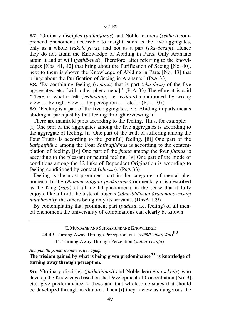**87.** `Ordinary disciples (*puthujjanas*) and Noble learners (*sekhas*) comprehend phenomena accessible to insight, such as the five aggregates, only as a whole *(sakale'veva)*, and not as a part *(eka-desam)*. Hence they do not attain the Knowledge of Abiding in Parts. Only Arahants attain it and at will (*yathà-ruci*). Therefore, after referring to the knowledges [Nos. 41, 42] that bring about the Purification of Seeing [No. 40], next to them is shown the Knowledge of Abiding in Parts [No. 43] that brings about the Purification of Seeing in Arahants.' (PsA 33)

**88.** `By combining feeling (*vedanà*) that is part (*eka-desa*) of the five aggregates, etc. [with other phenomena].' (PsA 33) Therefore it is said `There is what-is-felt (*vedayitaü*, i.e. *vedanà*) conditioned by wrong view  $\ldots$  by right view  $\ldots$  by perception  $\ldots$  [etc.].' (Ps i. 107) **89.** `Feeling is a part of the five aggregates, etc. Abiding in parts means

abiding in parts just by that feeling through reviewing it.

There are manifold parts according to the feeling. Thus, for example: [i] One part of the aggregates among the five aggregates is according to the aggregate of feeling. [ii] One part of the truth of suffering among the Four Truths is according to the [painful] feeling. [iii] One part of the *Satipatthāna* among the Four *Satipatthānas* is according to the contemplation of feeling. [iv] One part of the *jhàna* among the four *jhànas* is according to the pleasant or neutral feeling. [v] One part of the mode of conditions among the 12 links of Dependent Origination is according to feeling conditioned by contact (*phassa*).'(PsA 33)

Feeling is the most prominent part in the categories of mental phenomena. In the *Dhammasanganī-ppakarana* Commentary it is described as the King (*ràjà*) of all mental phenomena, in the sense that it fully enjoys, like a Lord, the taste of objects (*sāmi-bhāvena ārammana-rasam anubhavati*); the others being only its servants. (DhsA 109)

By contemplating that prominent part (*padesa*, i.e. feeling) of all mental phenomena the universality of combinations can clearly be known.

#### [**I. MUNDANE AND SUPRAMUNDANE KNOWLEDGE**

44-49. Turning Away Through Perception, etc. (*sa¤¤à-vivaññ'àdi*) **90** 44. Turning Away Through Perception (*sa¤¤à-vivañña*)]

*Adhipatattà pa¤¤à sa¤¤à-vivaññe ¤àõaü.*

**The wisdom gained by what is being given predominance <sup>91</sup> is knowledge of turning away through perception.**

**90.** `Ordinary disciples (*puthujjanas*) and Noble learners (*sekhas*) who develop the Knowledge based on the Development of Concentration [No. 3], etc., give predominance to these and that wholesome states that should be developed through meditation. Then [i] they review as dangerous the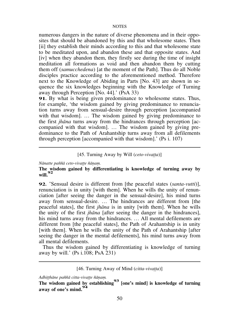numerous dangers in the nature of diverse phenomena and in their opposites that should be abandoned by this and that wholesome states. Then [ii] they establish their minds according to this and that wholesome state to be meditated upon, and abandon these and that opposite states. And [iv] when they abandon them, they firstly see during the time of insight meditation all formations as void and then abandon them by cutting them off (*samucchedena*) [at the moment of the Path]. Thus do all Noble disciples practice according to the aforementioned method. Therefore next to the Knowledge of Abiding in Parts [No. 43] are shown in sequence the six knowledges beginning with the Knowledge of Turning away through Perception [No. 44].' (PsA 33)

**91.** By what is being given predominance to wholesome states. Thus, for example, 'the wisdom gained by giving predominance to renunciation turns away from sensual-desire through perception [accompanied with that wisdom]. ... The wisdom gained by giving predominance to the first *jhàna* turns away from the hindrances through perception [accompanied with that wisdom]. ... The wisdom gained by giving predominance to the Path of Arahantship turns away from all defilements through perception [accompanied with that wisdom].' (Ps i. 107)

# [45. Turning Away by Will (*ceto-vivatta*)]

 $N\bar{a}$ natte pañña ceto-vivatte ñānam.

# **The wisdom gained by differentiating is knowledge of turning away by will.<sup>92</sup>**

**92.** `Sensual desire is different from [the peaceful states (*santa-vutti*)], renunciation is in unity [with them]. When he wills the unity of renunciation [after seeing the danger in the sensual-desire], his mind turns away from sensual-desire.  $\ldots$  The hindrances are different from [the peaceful states], the first *jhàna* is in unity [with them]. When he wills the unity of the first *jhàna* [after seeing the danger in the hindrances], his mind turns away from the hindrances. ... All mental defilements are different from [the peaceful states], the Path of Arahantship is in unity [with them]. When he wills the unity of the Path of Arahantship [after seeing the danger in the mental defilements], his mind turns away from all mental defilements.

Thus the wisdom gained by differentiating is knowledge of turning away by will.' (Ps i.108; PsA 231)

[46. Turning Away of Mind (*citta-vivatta*)]

*Adhiññhàne pa¤¤à citta-vivaññe ¤àõaü.*

**The wisdom gained by establishing<sup>93</sup> [one's mind] is knowledge of turning away of one's mind.<sup>94</sup>**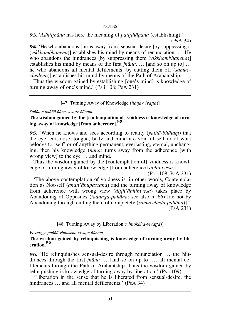**93.** '*Adhitthāna* has here the meaning of *patitthāpana* (establishing).' (PsA 34)

**94.** 'He who abandons [turns away from] sensual-desire [by suppressing it (*vikkhambhanena*)] establishes his mind by means of renunciation.  $\ldots$  He who abandons the hindrances [by suppressing them (*vikkhambhanena*)] establishes his mind by means of the first  $ih\bar{a}na$ .  $\ldots$  [and so on up to]  $\ldots$ he who abandons all mental defilements [by cutting them off (*samucchedena*)] establishes his mind by means of the Path of Arahantship.

Thus the wisdom gained by establishing [one's mind] is knowledge of turning away of one's mind.' (Ps i.108; PsA 231)

[47. Turning Away of Knowledge (*¤àõa-vivañña*)]

 $S$ *uññate paññā ñāna-vivatte ñānam.* 

**The wisdom gained by the [contemplation of] voidness is knowledge of turning away of knowledge [from adherence].<sup>95</sup>**

**95.** 'When he knows and sees according to reality (*vathā-bhūtam*) that the eye, ear, nose, tongue, body and mind are void of self or of what belongs to 'self' or of anything permanent, everlasting, eternal, unchanging, then his knowledge (*¤àõa*) turns away from the adherence [with wrong view] to the eye  $\dots$  and mind.

Thus the wisdom gained by the [contemplation of] voidness is knowledge of turning away of knowledge [from adherence (*abhinivesa*)].'

(Ps i.108; PsA 231) `The above contemplation of voidness is, in other words, Contemplation as Not-self (*anatt'ànupassana*) and the turning away of knowledge from adherence with wrong view (*ditth'abhinivesa*) takes place by Abandoning of Opposites (*tadanga-pahāna*: see also n. 66) [i.e not by Abandoning through cutting them of completely (*samuccheda-pahàna*)].' (PsA 231)

[48. Turning Away by Liberation (*vimokkha-vivatta*)]

Vossagge paññā vimokkha-vivatte ñānam.

**The wisdom gained by relinquishing is knowledge of turning away by liberation.<sup>96</sup>**

**96.** 'He relinquinshes sensual-desire through renunciation ... the hindrances through the first *jhāna* ... [and so on up to] ... all mental defilements through the Path of Arahantship. Thus the wisdom gained by relinquishing is knowledge of turning away by liberation.' (Ps i.109)

`Liberation in the sense that he is liberated from sensual-desire, the hindrances  $\ldots$  and all mental defilements.' (PsA 34)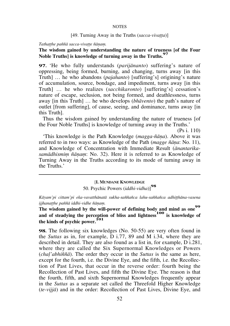# [49. Turning Away in the Truths (*sacca-vivatta*)]

 $Tathat$ he paññā sacca-vivatte ñānam.

# **The wisdom gained by understanding the nature of trueness [of the Four Noble Truths] is knowledge of turning away in the Truths.<sup>97</sup>**

**97.** `He who fully understands (*parijànanto*) suffering's nature of oppressing, being formed, burning, and changing, turns away [in this Truth] ... he who abandons *(pajahanto)* [suffering's] origining's nature of accumulation, source, bondage, and impediment, turns away [in this Truth] ... he who realizes (*sacchikaronto*) [suffering's] cessation's nature of escape, seclusion, not being formed, and deathlessness, turns away [in this Truth] ... he who develops (*bhāvento*) the path's nature of outlet [from suffering], of cause, seeing, and dominance, turns away [in this Truth].

Thus the wisdom gained by understanding the nature of trueness [of the Four Noble Truths] is knowledge of turning away in the Truths.'

(Ps i. 110)

`This knowledge is the Path Knowledge (*magga-¤àõa*). Above it was referred to in two ways: as Knowledge of the Path (*magge ñāna*: No. 11), and Knowledge of Concentration with Immediate Result (*ànantarika*samādhismim ñānam: No. 32). Here it is referred to as Knowledge of Turning Away in the Truths according to its mode of turning away in the Truths.'

## [**I. MUNDANE KNOWLEDGE**

50. Psychic Powers (*iddhi-vidha*)]**<sup>98</sup>**

Kāyam'pi cittam'pi eka-vavatthānatā sukha-saññañca lahu-saññañca adhitthāna-vasena ijjhanatthe paññā iddhi-vidhe ñānam.

**The wisdom gained by the will-power of defining body and mind as one<sup>99</sup>** and of steadying the perception of bliss and lightness<sup>100</sup> is knowledge of **the kinds of psychic power.<sup>101</sup>**

**98.** The following six knowledges (No. 50-55) are very often found in the *Suttas* as in, for example, D i.77, 89 and M i.34, where they are described in detail. They are also found as a list in, for example, D i.281, where they are called the Six Supernormal Knowledges or Powers (*chaë'abhi¤¤à*). The order they occur in the *Suttas* is the same as here, except for the fourth, i.e. the Divine Eye, and the fifth, i.e. the Recollection of Past Lives, that occur in the reverse order: fourth being the Recollection of Past Lives, and fifth the Divine Eye. The reason is that the fourth, fifth, and sixth Supernormal Knowledges frequently appear in the *Suttas* as a separate set called the Threefold Higher Knowledge (*te-vijjà*) and in the order: Recollection of Past Lives, Divine Eye, and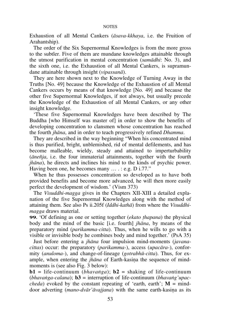Exhaustion of all Mental Cankers (*àsava-kkhaya*, i.e. the Fruition of Arahantship).

The order of the Six Supernormal Knowledges is from the more gross to the subtler. Five of them are mundane knowledges attainable through the utmost purification in mental concentration (*samàdhi*: No. 3), and the sixth one, i.e. the Exhaustion of all Mental Cankers, is supramundane attainable through insight (*vipassanà*).

They are here shown next to the Knowledge of Turning Away in the Truths [No. 49] because the Knowledge of the Exhaustion of all Mental Cankers occurs by means of that knowledge [No. 49] and because the other five Supernormal Knowledges, if not always, but usually precede the Knowledge of the Exhaustion of all Mental Cankers, or any other insight knowledge.

`These five Supernormal Knowledges have been described by The Buddha [who Himself was master of] in order to show the benefits of developing concentration to clansmen whose concentration has reached the fourth *jhàna*, and in order to teach progressively refined *Dhamma*.

They are described in the way beginning "When his concentrated mind is thus purified, bright, unblemished, rid of mental defilements, and has become malleable, wieldy, steady and attained to imperturbability (*àne¤ja*, i.e. the four immaterial attainments, together with the fourth *jhàna*), he directs and inclines his mind to the kinds of psychic power. Having been one, he becomes many  $\dots$  : e.g. D i.77."

When he thus possesses concentration so developed as to have both provided benefits and become more advanced, he will then more easily perfect the development of wisdom.' (Vism 373)

The *Visuddhi-magga* gives in the Chapters XII-XIII a detailed explanation of the five Supernormal Knowledges along with the method of attaining them. See also Ps ii.205f (*Iddhi-kathà*) from where the *Visuddhimagga* draws material.

**99.** `Of defining as one or setting together (*ekato ñhapana*) the physical body and the mind of the basic [i.e. fourth] *jhàna*, by means of the preparatory mind (*parikamma-citta*). Thus, when he wills to go with a visible or invisible body he combines body and mind together.' (PsA 35)

Just before entering a *jhàna* four impulsion mind-moments (*javanacittas*) occur: the preparatory (*parikamma-*), access (*upacàra-*), conformity (*anuloma-*), and change-of-lineage (*gotrabhå-citta*). Thus, for example, when entering the *jhāna* of Earth-kasina the sequence of mindmoments is (see also Fig. 3 below):

**b1** = life-continuum (*bhavanga*); **b2** = shaking of life-continuum (*bhavanga-calana*); **b3** = interruption of life-continuum (*bhavang'upaccheda*) evoked by the constant repeating of 'earth, earth';  $M =$  minddoor adverting (mano-dvār'āvajjana) with the same earth-kasina as its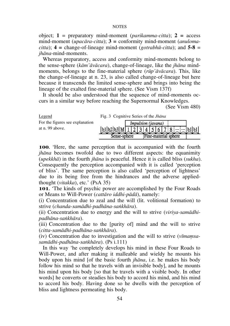object; **1** = preparatory mind-moment (*parikamma-citta*); **2 =** access mind-moment (*upacàra-citta*); **3 =** conformity mind-moment (*anulomacitta*); **4 =** change-of-lineage mind-moment (*gotrabhå-citta*); and **5-8** = *jhàna*-mind-moments.

Whereas preparatory, access and conformity mind-moments belong to the sense-sphere (*kàm'àvàcara*), change-of-lineage, like the *jhàna* mindmoments, belongs to the fine-material sphere (*råp'àvàcara*). This, like the change-of-lineage at n. 23, is also called change-of-lineage but here because it transcends the limited sense-sphere and brings into being the lineage of the exalted fine-material sphere. (See Vism 137f)

It should be also understood that the sequence of mind-moments occurs in a similar way before reaching the Supernormal Knowledges.

(See Vism 480)

| Legend                          | Fig. 3 Cognitive Series of the <i>Jhana</i> |  |  |  |                           |  |  |                      |  |
|---------------------------------|---------------------------------------------|--|--|--|---------------------------|--|--|----------------------|--|
| For the figures see explanation |                                             |  |  |  | <i>Impulsion (javana)</i> |  |  |                      |  |
| at n. 99 above.                 | $ b1 b2 b3 M 1 2 3 4 5 6 7 8  b1 b1 $       |  |  |  |                           |  |  |                      |  |
|                                 | Sense-sphere                                |  |  |  |                           |  |  | Fine-material sphere |  |

**100.** `Here, the same perception that is accompanied with the fourth *jhāna* becomes twofold due to two different aspects: the equanimity (*upekkhà*) in the fourth *jhàna* is peaceful. Hence it is called bliss (*sukha*). Consequently the perception accompanied with it is called `perception of bliss'. The same perception is also called `perception of lightness' due to its being free from the hindrances and the adverse appliedthought (*vitakka*), etc.' (PsA 35)

**101.** `The kinds of psychic power are accomplished by the Four Roads or Means to Will-Power (*cattàro iddhi-pàdà*), namely:

(i) Concentration due to zeal and the will (lit. volitional formation) to strive (*chanda-samàdhi-padhàna-saïkhàra*).

(ii) Concentration due to energy and the will to strive (*viriya-samàdhipadhàna-saïkhàra*).

(iii) Concentration due to the [purity of] mind and the will to strive (*citta-samàdhi-padhàna-saïkhàra*).

(iv) Concentration due to investigation and the will to strive (*vūmamsasamàdhi-padhàna-saïkhàra*). (Ps i.111)

In this way `he completely develops his mind in these Four Roads to Will-Power, and after making it malleable and wieldy he mounts his body upon his mind [of the basic fourth *jhàna*, i.e. he makes his body follow his mind so that he travels with an invisible body], and he mounts his mind upon his body [so that he travels with a visible body. In other words] he converts or steadies his body to accord his mind, and his mind to accord his body. Having done so he dwells with the perception of bliss and lightness permeating his body.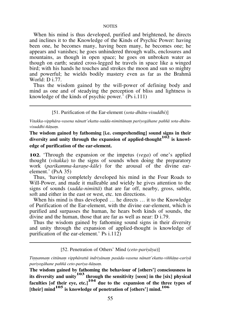When his mind is thus developed, purified and brightened, he directs and inclines it to the Knowledge of the Kinds of Psychic Power: having been one, he becomes many, having been many, he becomes one; he appears and vanishes; he goes unhindered through walls, enclosures and mountains, as though in open space; he goes on unbroken water as though on earth; seated cross-legged he travels in space like a winged bird; with his hands he touches and strokes the moon and sun so mighty and powerful; he wields bodily mastery even as far as the Brahmà World: D i.77.

Thus the wisdom gained by the will-power of defining body and mind as one and of steadying the perception of bliss and lightness is knowledge of the kinds of psychic power.' (Ps i.111)

## [51. Purification of the Ear-element (*sota-dhàtu-visuddhi*)]

Vitakka-vipphāra-vasena nānatt'ekatta-sadda-nimittānam pariyogāhane paññā sota-dhātuvisuddhi-ñānam.

**The wisdom gained by fathoming [i.e. comprehending] sound signs in their diversity and unity through the expansion of applied-thought102 is knowledge of purification of the ear-element.** 

**102.** `Through the expansion or the impetus (*vega*) of one's applied thought (*vitakka*) to the signs of sounds when doing the preparatory work (*parikamma-karane-kāle*) for the arousal of the divine earelement.' (PsA 35)

Thus, `having completely developed his mind in the Four Roads to Will-Power, and made it malleable and wieldy he gives attention to the signs of sounds (*sadda-nimittà*) that are far off, nearby, gross, subtle, soft and either in the east or west, etc. ten directions.

When his mind is thus developed ... he directs ... it to the Knowledge of Purification of the Ear-element, with the divine ear-element, which is purified and surpasses the human, he hears both kinds of sounds, the divine and the human, those that are far as well as near: D i.79.

Thus the wisdom gained by fathoming sound signs in their diversity and unity through the expansion of applied-thought is knowledge of purification of the ear-element.' Ps i.112)

[52. Penetration of Others' Mind (*ceto-pariyàya*)]

*Tiõõannaü cittànaü vipphàrattà indriyànaü pasàda-vasena nànatt'ekatta-vi¤¤àõa-cariyà pariyogàhane pa¤¤à ceto-pariya-¤àõaü.*

**The wisdom gained by fathoming the behaviour of [others'] consciousness in its diversity and unity103 through the sensitivity [seen] in the [six] physical faculties [of their eye, etc.]<sup>104</sup> due to the expansion of the three types of [their] mind105 is knowledge of penetration of [others'] mind.<sup>106</sup>**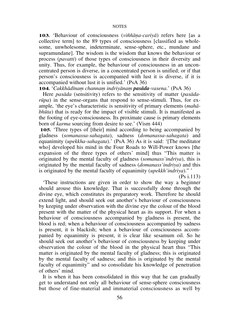**103.** `Behaviour of consciousness (*vi¤¤àõa-cariyà*) refers here [as a collective term] to the 89 types of consciousness [classified as wholesome, unwholesome, indeterminate, sense-sphere, etc., mundane and supramundane]. The wisdom is the wisdom that knows the behaviour or process (*pavatti*) of those types of consciousness in their diversity and unity. Thus, for example, the behaviour of consciousness in an unconcentrated person is diverse, in a concentrated person is unified; or if that person's consciousness is accompanied with lust it is diverse, if it is accompanied without lust it is unified.' (PsA 36)

**104.** 'Cakkhādīnam channam indriyānam **pasāda**-vasena.' (PsA 36)

Here *pasàda* (sensitivity) refers to the sensitivity of matter (*pasàdaråpa*) in the sense-organs that respond to sense-stimuli. Thus, for example, `the eye's characteristic is sensitivity of primary elements (*mahàbhåta*) that is ready for the impact of visible stimuli. It is manifested as the footing of eye-consciousness. Its proximate cause is primary elements born of *karma* sourcing from desire to see.' (Vism 444)

**105.** Three types of [their] mind according to being accompanied by gladness (*somanassa-sahagata*), sadness (*domanassa-sahagata*) and equanimity (*upekkha-sahagata*).' (PsA 36) As it is said: '[The meditator who] developed his mind in the Four Roads to Will-Power knows [the expansion of the three types of others' mind] thus "This matter is originated by the mental faculty of gladness (*somanass'indriya*), this is originated by the mental faculty of sadness (*domanass'indriya*) and this is originated by the mental faculty of equanimity (*upekkh'indriya*)."

(Ps i.113)

`These instructions are given in order to show the way a beginner should arouse this knowledge. That is successfully done through the divine eye, which constitutes its preparatory work. Therefore he should extend light, and should seek out another's behaviour of consciousness by keeping under observation with the divine eye the colour of the blood present with the matter of the physical heart as its support. For when a behaviour of consciousness accompanied by gladness is present, the blood is red; when a behaviour of consciousness accompanied by sadness is present, it is blackish; when a behaviour of consciousness accompanied by equanimity is present, it is clear like sesamum oil. So he should seek out another's behaviour of consciousness by keeping under observation the colour of the blood in the physical heart thus "This matter is originated by the mental faculty of gladness; this is originated by the mental faculty of sadness; and this is originated by the mental faculty of equanimity" and so consolidate his knowledge of penetration of others' mind.

It is when it has been consolidated in this way that he can gradually get to understand not only all behaviour of sense-sphere consciousness but those of fine-material and immaterial consciousness as well by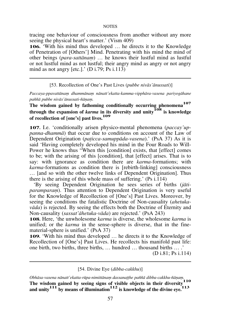tracing one behaviour of consciousness from another without any more seeing the physical heart's matter.' (Vism 409)

**106.** With his mind thus developed  $\ldots$  he directs it to the Knowledge of Penetration of [Others'] Mind. Penetrating with his mind the mind of other beings (*para-sattānam*) ... he knows their lustful mind as lustful or not lustful mind as not lustful; their angry mind as angry or not angry mind as not angry  $[etc.].'$  (D i.79; Ps i.113)

[53. Recollection of One's Past Lives (*pubbe nivàs'ànussati*)]

Paccaya-ppavattānam dhammānam nānatt'ekatta-kamma-vipphāra-vasena pariyogāhane *pa¤¤à pubbe nivàs'ànussati-¤àõaü.*

**The wisdom gained by fathoming conditionally occurring phenomena<sup>107</sup> through the expansion of** *karma* **in its diversity and unity<sup>108</sup> is knowledge of recollection of [one's] past lives.<sup>109</sup>**

**107.** I.e. `conditionally arisen physico-mental phenomena (*paccay'uppanna-dhammà*) that occur due to conditions on account of the Law of Dependent Origination (*pañicca-samuppàda-vasena*).' (PsA 37) As it is said `Having completely developed his mind in the Four Roads to Will-Power he knows thus "When this [condition] exists, that [effect] comes to be; with the arising of this [condition], that [effect] arises. That is to say: with ignorance as condition there are *karma*-formations; with *karma*-formations as condition there is [rebirth-linking] consciousness ... [and so with the other twelve links of Dependent Origination]. Thus there is the arising of this whole mass of suffering.' (Ps i.114)

`By seeing Dependent Origination he sees series of births (*jàtiparamparam*). Thus attention to Dependent Origination is very useful for the Knowledge of Recollection of [One's] Past Lives. Moreover, by seeing the conditions the fatalistic Doctrine of Non-causality (*ahetukavàda*) is rejected. By seeing the effects both the Doctrine of Eternity and Non-causality (*sassat'àhetuka-vàda*) are rejected.' (PsA 243)

**108.** Here, `the unwholesome *karma* is diverse, the wholesome *karma* is unified; or the *karma* in the sense-sphere is diverse, that in the finematerial-sphere is unified.' (PsA 37)

**109.** 'With his mind thus developed ... he directs it to the Knowledge of Recollection of [One's] Past Lives. He recollects his manifold past life: one birth, two births, three births, ... hundred ... thousand births ... .'

(D i.81; Ps i.114)

[54. Divine Eye (*dibba-cakkhu*)]

Obhāsa-vasena nānatt'ekatta-rūpa-nimittānam dassanaṭṭhe paññā dibba-cakkhu-ñāṇam. **The wisdom gained by seeing signs of visible objects in their diversity<sup>110</sup> and unity111 by means of illumination112 is knowledge of the divine eye.<sup>113</sup>**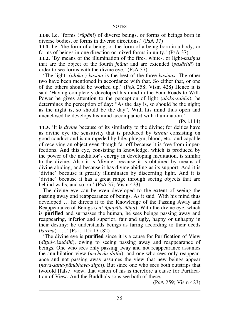**110.** I.e. `forms (*råpàni*) of diverse beings, or forms of beings born in diverse bodies, or forms in diverse directions.' (PsA 37)

**111.** I.e. `the form of a being, or the form of a being born in a body, or forms of beings in one direction or mixed forms in unity.' (PsA 37)

**112.** `By means of the illumination of the fire-, white-, or light-*kasinas* that are the object of the fourth *jhàna* and are extended (*pasàrità*) in order to see forms with the divine eye.' (PsA 37)

'The light- ( $\bar{a}$ loka-) *kasina* is the best of the three *kasinas*. The other two have been mentioned in accordance with that. So either that, or one of the others should be worked up.' (PsA 258; Vism 428) Hence it is said `Having completely developed his mind in the Four Roads to Will-Power he gives attention to the perception of light ( $\bar{a}$ loka-*sañña*), he determines the perception of day: "As the day is, so should be the night; as the night is, so should be the day". With his mind thus open and unenclosed he develops his mind accompanied with illumination.'

(Ps i.114)

**113.** `It is *divine* because of its similarity to the divine; for deities have as divine eye the sensitivity that is produced by *karma* consisting on good conduct and is unimpeded by bile, phlegm, blood, etc., and capable of receiving an object even though far off because it is free from imperfections. And this eye, consisting in knowledge, which is produced by the power of the meditator's energy in developing meditation, is similar to the divine. Also it is `divine' because it is obtained by means of divine abiding, and because it has divine abiding as its support. And it is `divine' because it greatly illuminates by discerning light. And it is `divine' because it has a great range through seeing objects that are behind walls, and so on.' (PsA 37; Vism 423)

The divine eye can be even developed to the extent of seeing the passing away and reappearance of beings. As it said `With his mind thus developed  $\ldots$  he directs it to the Knowledge of the Passing Away and Reappearance of Beings (*cut'åpapàta-¤àõa*). With the divine eye, which is **purified** and surpasses the human, he sees beings passing away and reappearing, inferior and superior, fair and ugly, happy or unhappy in their destiny; he understands beings as faring according to their deeds (*karma*) ... .' (Ps i. 115; D i.82)

`The divine eye is **purified** since it is a cause for Purification of View (*ditthi-visuddhi*), owing to seeing passing away and reappearance of beings. One who sees only passing away and not reappearance assumes the annihilation view *(uccheda-ditthi)*; and one who sees only reappearance and not passing away assumes the view that new beings appear (*nava-satta-pàtubhava-diññhi*). But since one who sees both outstrips that twofold [false] view, that vision of his is therefore a cause for Purification of View. And the Buddha's sons see both of these.'

(PsA 259; Vism 423)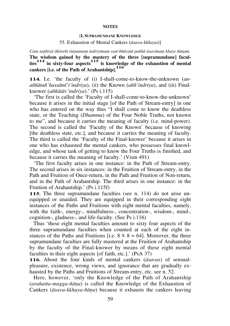# [**I. SUPRAMUNDANE KNOWLEDGE**

# 55. Exhaustion of Mental Cankers (*àsava-kkhaya*)]

Catu-satthiyā ākārehi tinnannam indriyānam vasī-bhāvatā paññā āsavānam khaye ñānam. **The wisdom gained by the mastery of the three [supramundane] faculties114 in sixty-four aspects115 is knowledge of the exhaustion of mental cankers [i.e. of the Path of Arahantship].<sup>116</sup>**

**114.** I.e. `the faculty of (i) I-shall-come-to-know-the-unknown (*ana¤¤àta¤'¤assàmã't'indriya*), (ii) the Known (*a¤¤'indriya*), and (iii) Finalknower (*a¤¤àtàv'indriya*).' (Ps i.115)

`The first is called the `Faculty of I-shall-come-to-know-the-unknown' because it arises in the initial stage [of the Path of Stream-entry] in one who has entered on the way thus "I shall come to know the deathless state, or the Teaching (*Dhamma*) of the Four Noble Truths, not known to me", and because it carries the meaning of faculty (i.e. mind-power). The second is called the `Faculty of the Known' because of knowing [the deathless state, etc.], and because it carries the meaning of faculty. The third is called the `Faculty of the Final-knower' because it arises in one who has exhausted the mental cankers, who possesses final knowledge, and whose task of getting to know the Four Truths is finished, and because it carries the meaning of faculty.' (Vism 491)

`The first faculty arises in one instance: in the Path of Stream-entry. The second arises in six instances: in the Fruition of Stream-entry, in the Path and Fruition of Once-return, in the Path and Fruition of Non-return, and in the Path of Arahantship. The third arises in one instance: in the Fruition of Arahantship.' (Ps i.115f)

**115.** The three supramundane faculties (see n. 114) do not arise unequipped or unaided. They are equipped in their corresponding eight instances of the Paths and Fruitions with eight mental faculties, namely, with the faith-, energy-, mindfulness-, concentration-, wisdom-, mind-, cognition-, gladness-, and life-faculty. (See Ps i.116)

Thus `these eight mental faculties amount to sixty four aspects of the three supramundane faculties when counted at each of the eight instances of the Paths and Fruitions [i.e.  $8 \times 8 = 64$ ]. Moreover, the three supramundane faculties are fully mastered at the Fruition of Arahantship by the faculty of the Final-knower by means of these eight mental faculties in their eight aspects [of faith, etc.].' (PsA 37)

**116.** About the four kinds of mental cankers (*àsavas*) of sensualpleasure, existence, wrong views, and ignorance that are gradually exhausted by the Paths and Fruitions of Stream-entry, etc. see n. 52.

Here, however, 'only the Knowledge of the Path of Arahantship (*arahatta-magga-¤àõa*) is called the Knowledge of the Exhaustion of Cankers ( $\bar{a}$ *sava-kkhaya-ñāna*) because it exhausts the cankers leaving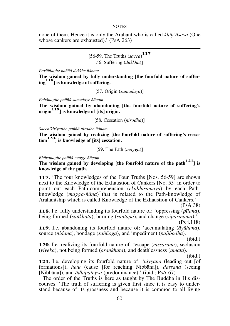none of them. Hence it is only the Arahant who is called *khūn'āsava* (One whose cankers are exhausted).' (PsA 263)

# [56-59. The Truths (*sacca*) **117** 56. Suffering (*dukkha*)]

 $Pariññat$ he paññā dukkhe ñānam.

**The wisdom gained by fully understanding [the fourfold nature of suffering118] is knowledge of suffering.**

[57. Origin (*samudaya*)]

*Pahānatthe paññā samudaye ñānam.* 

**The wisdom gained by abandoning [the fourfold nature of suffering's origin119] is knowledge of [its] origin.**

[58. Cessation (*nirodha*)]

 $Sacchikirivat$ the paññā nirodhe ñānam.

**The wisdom gained by realizing [the fourfold nature of suffering's cessation120] is knowledge of [its] cessation.**

[59. The Path (*magga*)]

*Bhāvanatthe paññā magge ñānam.* 

**The wisdom gained by developing [the fourfold nature of the path121] is knowledge of the path.** 

**117.** `The four knowledges of the Four Truths [Nos. 56-59] are shown next to the Knowledge of the Exhaustion of Cankers [No. 55] in order to point out each Path-comprehension (*ekàbhisamaya*) by each Pathknowledge (*magga-¤àõa*) that is related to the Path-knowledge of Arahantship which is called Knowledge of the Exhaustion of Cankers.'

(PsA 38)

**118.** I.e. fully understanding its fourfold nature of: `oppressing (*pãlana*), being formed (*saïkhata*), burning (*santàpa*), and change (*vipariõàma)*.'

(Ps i.118)

**119.** I.e. abandoning its fourfold nature of: `accumulating (*àyåhana*), source (*nidāna*), bondage (*saññoga*), and impediment (*palibodha*).

(ibid.)

**120.** I.e. realizing its fourfold nature of: 'escape *(nissarana)*, seclusion (*viveka*), not being formed (*asaïkhata*), and deathlessness (*amata*).

(ibid.)

**121.** I.e. developing its fourfold nature of: `*niyyàna* (leading out [of formations]), *hetu* (cause [for reaching Nibbàna]), *dassana* (seeing [Nibbàna]), and *àdhipateyya* (predominance).' (ibid.; PsA 67)

The order of the Truths is here as taught by The Buddha in His discourses. `The truth of suffering is given first since it is easy to understand because of its grossness and because it is common to all living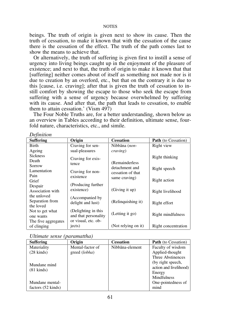beings. The truth of origin is given next to show its cause. Then the truth of cessation, to make it known that with the cessation of the cause there is the cessation of the effect. The truth of the path comes last to show the means to achieve that.

Or alternatively, the truth of suffering is given first to instill a sense of urgency into living beings caught up in the enjoyment of the pleasure of existence; and next to that, the truth of origin to make it known that that [suffering] neither comes about of itself as something not made nor is it due to creation by an overlord, etc., but that on the contrary it is due to this [cause, i.e. craving]; after that is given the truth of cessation to instill comfort by showing the escape to those who seek the escape from suffering with a sense of urgency because overwhelmed by suffering with its cause. And after that, the path that leads to cessation, to enable them to attain cessation.' (Vism 497)

The Four Noble Truths are, for a better understanding, shown below as an overview in Tables according to their definition, ultimate sense, fourfold nature, characteristics, etc., and simile.

| $\nu$ ennuon        |                                             |                     |                            |
|---------------------|---------------------------------------------|---------------------|----------------------------|
| <b>Suffering</b>    | Origin                                      | <b>Cessation</b>    | <b>Path</b> (to Cessation) |
| <b>Birth</b>        | Craving for sen-                            | Nibbāna (non-       | Right view                 |
| Ageing              | sual-pleasures                              | <i>craving</i> )    |                            |
| <b>Sickness</b>     | Craving for exis-                           |                     | Right thinking             |
| Death               | tence                                       | (Remainderless)     |                            |
| Sorrow              |                                             | detachment and      | Right speech               |
| Lamentation         | Craving for non-                            | cessation of that   |                            |
| Pain                | existence                                   | same craving)       |                            |
| Grief               |                                             |                     | Right action               |
| Despair             | (Producing further)                         |                     |                            |
| Association with    | existence)                                  | (Giving it up)      | Right livelihood           |
| the unloved         | (Accompanied by                             |                     |                            |
| Separation from     | delight and lust)                           | (Relinquishing it)  | Right effort               |
| the loved           |                                             |                     |                            |
| Not to get what     | (Delighting in this                         | (Letting it go)     | Right mindfulness          |
| one wants           | and that personality<br>or visual, etc. ob- |                     |                            |
| The five aggregates |                                             | (Not relying on it) |                            |
| of clinging         | jects)                                      |                     | Right concentration        |

| Ultimate sense (paramattha) |  |
|-----------------------------|--|
|-----------------------------|--|

*Definition* 

| <b>Suffering</b>     | Origin           | <b>Cessation</b> | <b>Path</b> (to Cessation) |
|----------------------|------------------|------------------|----------------------------|
| Materiality          | Mental-factor of | Nibbāna-element  | Faculty of wisdom          |
| $(28 \text{ kinds})$ | greed (lobha)    |                  | Applied-thought            |
|                      |                  |                  | Three Abstinences          |
| Mundane mind         |                  |                  | (by right speech,          |
| $(81 \text{ kinds})$ |                  |                  | action and livelihood)     |
|                      |                  |                  | Energy                     |
|                      |                  |                  | <b>Mindfulness</b>         |
| Mundane mental-      |                  |                  | One-pointedness of         |
| factors (52 kinds)   |                  |                  | mind                       |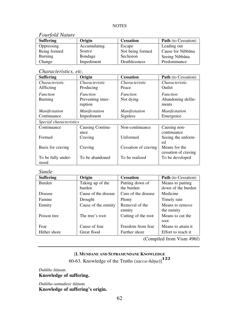# *Fourfold Nature*

| <b>Suffering</b> | Origin       | <b>Cessation</b> | <b>Path</b> (to Cessation) |
|------------------|--------------|------------------|----------------------------|
| Oppressing       | Accumulating | Escape           | Leading out                |
| Being formed     | Source       | Not being formed | Cause for Nibbana          |
| Burning          | Bondage      | Seclusion        | Seeing Nibbāna             |
| Change           | Impediment   | Deathlessness    | Predominance               |

# *Characteristics, etc.*

| <b>Suffering</b>            | Origin                       | <b>Cessation</b>     | Path (to Cessation)                   |  |  |
|-----------------------------|------------------------------|----------------------|---------------------------------------|--|--|
| Characteristic              | Characteristic               | Characteristic       | Characteristic                        |  |  |
| Afflicting                  | Producing                    | Peace                | Outlet                                |  |  |
| <i>Function</i>             | Function                     | <i>Function</i>      | <i>Function</i>                       |  |  |
| Burning                     | Preventing inter-<br>ruption | Not dying            | Abandoning defile-<br>ments           |  |  |
| Manifestation               | <i>Manifestation</i>         | <b>Manifestation</b> | <b>Manifestation</b>                  |  |  |
| Continuance                 | Impediment                   | Signless             | Emergence                             |  |  |
| Special characteristics     |                              |                      |                                       |  |  |
| Continuance                 | Causing Continu-             | Non-continuance      | Causing non-                          |  |  |
|                             | ance                         |                      | continuance                           |  |  |
| Formed                      | Craving                      | Unformed             | Seeing the unform-<br>ed              |  |  |
| Basis for craving           | Craving                      | Cessation of craving | Means for the<br>cessation of craving |  |  |
| To be fully under-<br>stood | To be abandoned              | To be realized       | To be developed                       |  |  |

# *Simile*

| <b>Suffering</b> | Origin               | <b>Cessation</b>    | <b>Path</b> (to Cessation) |
|------------------|----------------------|---------------------|----------------------------|
| Burden           | Taking up of the     | Putting down of     | Means to putting           |
|                  | burden               | the burden          | down of the burden         |
| Disease          | Cause of the disease | Cure of the disease | Medicine                   |
| Famine           | Drought              | Plenty              | Timely rain                |
| Enmity           | Cause of the enmity  | Removal of the      | Means to remove            |
|                  |                      | enmity              | the enmity                 |
| Poison tree      | The tree's root      | Cutting of the root | Means to cut the           |
|                  |                      |                     | root                       |
| Fear             | Cause of fear        | Freedom from fear   | Means to attain it.        |
| Hither shore     | Great flood          | Further shore       | Effort to reach it         |
|                  |                      | $\sim$              |                            |

(Compiled from Vism 496f)

# [**I. MUNDANE AND SUPRAMUNDANE KNOWLEDGE**

60-63. Knowledge of the Truths (*sacca-¤àõa*)]**<sup>122</sup>**

Dukkhe ñānam. **Knowledge of suffering.** 

*Dukkha-samudaye ¤àõaü.* **Knowledge of suffering's origin.**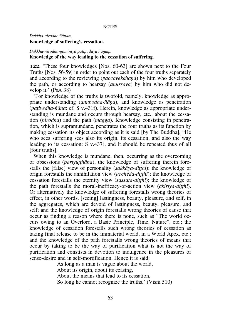# *Dukkha-nirodhe ¤àõaü.* **Knowledge of suffering's cessation.**

# *Dukkha-nirodha-gàminiyà pañipadàya ¤àõaü.* **Knowledge of the way leading to the cessation of suffering.**

**122.** `These four knowledges [Nos. 60-63] are shown next to the Four Truths [Nos. 56-59] in order to point out each of the four truths separately and according to the reviewing *(paccavekkhana)* by him who developed the path, or according to hearsay (*anussava*) by him who did not develop it.' (PsA 38)

`For knowledge of the truths is twofold, namely, knowledge as appropriate understanding (*anubodha-¤àõa*), and knowledge as penetration (*pañivedha-¤àõa*: cf. S v.431f). Herein, knowledge as appropriate understanding is mundane and occurs through hearsay, etc., about the cessation (*nirodha*) and the path (*magga*). Knowledge consisting in penetration, which is supramundane, penetrates the four truths as its function by making cessation its object according as it is said [by The Buddha], "He who sees suffering sees also its origin, its cessation, and also the way leading to its cessation: S v.437), and it should be repeated thus of all [four truths].

When this knowledge is mundane, then, occurring as the overcoming of obsessions (*parivutthāna*), the knowledge of suffering therein forestalls the [false] view of personality (*sakkàya-diññhi*); the knowledge of origin forestalls the annihilation view *(uccheda-ditthi)*; the knowledge of cessation forestalls the eternity view (*sassata-ditthi*); the knowledge of the path forestalls the moral-inefficacy-of-action view (*akiriya-ditthi*). Or alternatively the knowledge of suffering forestalls wrong theories of effect, in other words, [seeing] lastingness, beauty, pleasure, and self, in the aggregates, which are devoid of lastingness, beauty, pleasure, and self; and the knowledge of origin forestalls wrong theories of cause that occur as finding a reason where there is none, such as "The world occurs owing to an Overlord, a Basic Principle, Time, Nature", etc.; the knowledge of cessation forestalls such wrong theories of cessation as taking final release to be in the immaterial world, in a World Apex, etc.; and the knowledge of the path forestalls wrong theories of means that occur by taking to be the way of purification what is not the way of purification and constists in devotion to indulgence in the pleasures of sense-desire and in self-mortification. Hence it is said:

> As long as a man is vague about the world, About its origin, about its ceasing, About the means that lead to its cessation, So long he cannot recognize the truths.' (Vism 510)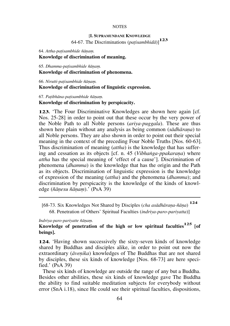### [**I. SUPRAMUNDANE KNOWLEDGE**

64-67. The Discriminations (*pañisambhidà*)]**<sup>123</sup>**

### 64. Attha-patisambhide ñānam. **Knowledge of discrimination of meaning.**

65. *Dhamma-pañisambhide ¤àõaü.*

### **Knowledge of discrimination of phenomena.**

66. Nirutti-patisambhide ñānam. **Knowledge of discrimination of linguistic expression.** 

67. *Pañibhàna-pañisambhide ¤àõaü.*

#### **Knowledge of discrimination by perspicacity.**

**123.** 'The Four Discriminative Knowledges are shown here again [cf.] Nos. 25-28] in order to point out that these occur by the very power of the Noble Path to all Noble persons (*ariya-puggala*). These are thus shown here plain without any analysis as being common *(sādhārana)* to all Noble persons. They are also shown in order to point out their special meaning in the context of the preceding Four Noble Truths [Nos. 60-63]. Thus discrimination of meaning (*attha*) is the knowledge that has suffering and cessation as its objects [cf. n. 45 (*Vibhanga-ppakarana*) where *attha* has the special meaning of 'effect of a cause']. Discrimination of phenomena (*dhamma*) is the knowledge that has the origin and the Path as its objects. Discrimination of linguistic expression is the knowledge of expression of the meaning (*attha*) and the phenomena (*dhamma*); and discrimination by perspicacity is the knowledge of the kinds of knowledge (*¤àõesu ¤àõaü*).' (PsA 39)

[68-73. Six Knowledges Not Shared by Disciples (*cha asàdhàraõa-¤àõa*) **<sup>124</sup>** 68. Penetration of Others' Spiritual Faculties (*indriya-paro-pariyatta*)]

#### *Indriya-paro-pariyatte ¤àõaü.*

**Knowledge of penetration of the high or low spiritual faculties125 [of beings].** 

**124.** `Having shown successively the sixty-seven kinds of knowledge shared by Buddhas and disciples alike, in order to point out now the extraordinary ( $\bar{a}$ *venika*) knowledges of The Buddhas that are not shared by disciples, these six kinds of knowledge [Nos. 68-73] are here specified.' (PsA 39)

These six kinds of knowledge are outside the range of any but a Buddha. Besides other abilities, these six kinds of knowledge gave The Buddha the ability to find suitable meditation subjects for everybody without error (SnA i.18), since He could see their spiritual faculties, dispositions,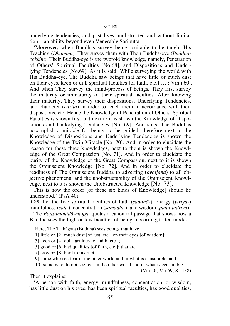underlying tendencies, and past lives unobstructed and without limitation – an ability beyond even Venerable Sāriputta.

`Moreover, when Buddhas survey beings suitable to be taught His Teaching (*Dhamma*), They survey them with Their Buddha-eye (*Buddhacakkhu*). Their Buddha-eye is the twofold knowledge, namely, Penetration of Others' Spiritual Faculties [No.68], and Dispositions and Underlying Tendencies [No.69]. As it is said `While surveying the world with His Buddha-eye, The Buddha saw beings that have little or much dust on their eyes, keen or dull spiritual faculties [of faith, etc.]  $\dots$ : Vin i.60'. And when They survey the mind-process of beings, They first survey the maturity or immaturity of their spiritual faculties. After knowing their maturity, They survey their dispositions, Underlying Tendencies, and character (*carita*) in order to teach them in accordance with their dispositions, etc. Hence the Knowledge of Penetration of Others' Spiritual Faculties is shown first and next to it is shown the Knowledge of Dispositions and Underlying Tendencies [No. 69]. And since The Buddhas accomplish a miracle for beings to be guided, therefore next to the Knowledge of Dispositions and Underlying Tendencies is shown the Knowledge of the Twin Miracle [No. 70]. And in order to elucidate the reason for these three knowledges, next to them is shown the Knowledge of the Great Compassion [No. 71]. And in order to elucidate the purity of the Knowledge of the Great Compassion, next to it is shown the Omniscient Knowledge [No. 72]. And in order to elucidate the readiness of The Omniscient Buddha to adverting (*àvajjana*) to all objective phenomena, and the unobstructability of the Omniscient Knowledge, next to it is shown the Unobstructed Knowledge [No. 73].

This is how the order [of these six kinds of Knowledge] should be understood.' (PsA 40)

**125.** I.e. the five spiritual faculties of faith (*saddhà-*), energy (*viriya-*) mindfulness (*sati-*), concentration (*samādhi-*), and wisdom (*paññ'indriya*).

The *Patisambhidā-magga* quotes a canonical passage that shows how a Buddha sees the high or low faculties of beings according to ten modes:

`Here, The Tathàgata (Buddha) sees beings that have

[1] little or [2] much dust [of lust, etc.] on their eyes [of wisdom];

[3] keen or [4] dull faculties [of faith, etc.];

[5] good or [6] bad qualities [of faith, etc.]; that are

[7] easy or [8] hard to instruct;

[9] some who see fear in the other world and in what is censurable, and

[10] some who do not see fear in the other world and in what is censurable.'

(Vin i.6; M i.69; S i.138)

Then it explains:

`A person with faith, energy, mindfulness, concentration, or wisdom, has little dust on his eyes, has keen spiritual faculties, has good qualities,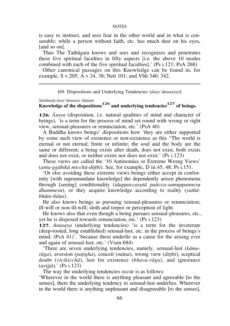is easy to instruct, and sees fear in the other world and in what is censurable; while a person without faith, etc. has much dust on his eyes, [and so on].

Thus The Tathàgata knows and sees and recognizes and penetrates these five spiritual faculties in fifty aspects [i.e. the above 10 modes combined with each of the five spiritual faculties].' (Ps i.121; PsA 268)

Other canonical passages on this Knowledge can be found in, for example, S v.205; A v.34, 38; Nett 101; and Vbh 340, 342.

[69. Dispositions and Underlying Tendencies (*àsay'ànusaya*)]

Sattānam āsay'ānusaye ñānam.

# **Knowledge of the dispositions126 and underlying tendencies127 of beings.**

**126.** *âsaya* (disposition, i.e. natural qualities of mind and character of beings), `is a term for the process of mind set round with wrong or right view, sensual-pleasures or renunciation, etc.' (PsA 40)

A Buddha knows beings' dispositions how `they are either supported by some such view of existence or non-existence as this "The world is eternal or not eternal; finite or infinite; the soul and the body are the same or different; a being exists after death, does not exist, both exists and does not exist, or neither exists nor does not exist.' (Ps i.123)

These views are called the `10 Antinomies or Extreme Wrong Views' (*anta-ggāhikā micchā-ditthi*). See, for example, D iii.45, 48; Ps i.151.

`Or else avoiding these extreme views beings either accept in conformity [with supramundane knowledge] the dependently arisen phenomena through [seeing] conditionality (*idappaccayatà pañicca-samuppannesu dhammesu*), or they acquire knowledge according to reality (*yathàbhåta-¤àõa*).

He also knows beings as pursuing sensual-pleasures or renunciation; ill-will or non-ill-will; sloth and torpor or perception of light.

He knows also that even though a being pursues sensual-pleasures, etc., yet he is disposed towards renunciation, etc.' (Ps i.123)

**127.** *Anusaya* (underlying tendencies) 'is a term for the inveterate (deep-rooted, long established) sensual-lust, etc. in the process of beings's mind: (PsA 41)', 'because these underlie as a cause for the arising ever and again of sensual-lust, etc.' (Vism 684)

`There are seven underlying tendencies, namely, sensual-lust (*kàma* $r\bar{a}ga$ ), aversion (*patigha*), conceit (*m* $\bar{a}na$ ), wrong view (*ditthi*), sceptical doubt (*vicikicchà*), lust for existence (*bhava-ràga*), and ignorance (*avijjà*).' (Ps i.123)

The way the underlying tendencies occur is as follows:

`Wherever in the world there is anything pleasant and agreeable [to the senses], there the underlying tendency to sensual-lust underlies. Wherever in the world there is anything unpleasant and disagreeable [to the senses],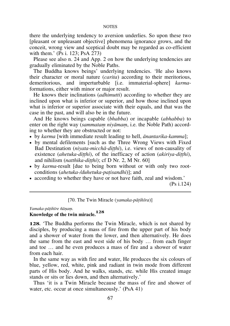there the underlying tendency to aversion underlies. So upon these two [pleasant or unpleasant objective] phenomena ignorance grows, and the conceit, wrong view and sceptical doubt may be regarded as co-efficient with them.' (Ps i. 123; PsA 273)

Please see also n. 24 and App. 2 on how the underlying tendencies are gradually eliminated by the Noble Paths.

The Buddha knows beings' underlying tendencies. `He also knows their character or moral nature (*carita*) according to their meritorious, demeritorious, and imperturbable [i.e. immaterial-sphere] *karma*formations, either with minor or major result.

He knows their inclinations (*adhimutti*) according to whether they are inclined upon what is inferior or superior, and how those inclined upon what is inferior or superior associate with their equals, and that was the case in the past, and will also be in the future.

And He knows beings capable (*bhabba*) or incapable (*abhabba*) to enter on the right way *(sammatam niyāmam, i.e. the Noble Path)* according to whether they are obstructed or not:

- ! by *karma* [with immediate result leading to hell, *ànantarika-kamma*];
- ! by mental defilements [such as the Three Wrong Views with Fixed Bad Destination (*niyata-micchā-ditthi*), i.e. views of non-causality of existence (*ahetuka-ditthi*), of the inefficacy of action (*akiriya-ditthi*), and nihilism (*natthika-ditthi*); cf D Nr. 2, M Nr. 60]
- ! by *karma*-result [due to being born without or with only two rootconditions (*ahetuka-/duhetuka-pañisandhi*)]; and
- ! according to whether they have or not have faith, zeal and wisdom.'

(Ps i.124)

|  |  |  | [70. The Twin Miracle (yamaka-pāṭihīra)] |
|--|--|--|------------------------------------------|
|--|--|--|------------------------------------------|

*Yamaka-pàñihãre ¤àõaü.*

## **Knowledge of the twin miracle.<sup>128</sup>**

**128.** `The Buddha performs the Twin Miracle, which is not shared by disciples, by producing a mass of fire from the upper part of his body and a shower of water from the lower, and then alternatively. He does the same from the east and west side of his body  $\ldots$  from each finger and toe  $\dots$  and he even produces a mass of fire and a shower of water from each hair.

In the same way as with fire and water, He produces the six colours of blue, yellow, red, white, pink and radiant in twin mode from different parts of His body. And he walks, stands, etc. while His created image stands or sits or lies down, and then alternatively.'

Thus `it is a Twin Miracle because the mass of fire and shower of water, etc. occur at once simultaneously.' (PsA 41)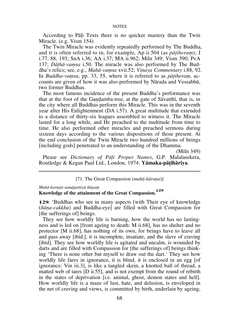According to Pali Texts there is no quicker mastery than the Twin Miracle. (e.g. Vism 154)

The Twin Miracle was evidently repeatedly performed by The Buddha, and it is often referred to in, for example, Ap ii.504 (as *pātiheram*); J i.77, 88, 193; SnA i.36; AA i.37; MA ii.962; Miln 349; Vism 390; PvA 137; *Dāthā-vamsa* i.50. The miracle was also performed by The Buddha's relics; see, e.g., *Mahà-vaüsa* xvii.52; *Vinaya Commentary* i.88, 92. In *Buddha-vamsa*, pp. 33, 55, where it is referred to as *pātiheram*, accounts are given of how it was also performed by Nàrada and Vessabhå, two former Buddhas.

The most famous incidence of the present Buddha's performance was that at the foot of the Gandamba-tree, at the gate of Savatthi, that is, in the city where all Buddhas perform this Miracle. This was in the seventh year after His Enlightenment (DA i.57). A great multitude that extended to a distance of thirty-six leagues assembled to witness it. The Miracle lasted for a long while, and He preached to the multitude from time to time. He also performed other miracles and preached sermons during sixteen days according to the various dispositions of those present. At the end conclusion of the Twin Miracle two hundred millions of beings [including gods] penetrated to an understanding of the Dhamma.

(Miln 349)

Please see *Dictionary of Pàëi Proper Names*, G.P. Malalasekera, Routledge & Kegan Paul Ltd., London, 1974: **Yàmaka-pàñihàriya**.

[71. The Great Compassion (*mahā-kāruna*)]

*Mahà-karuõà-samàpattiyà ¤àõaü.*

# **Knowledge of the attainment of the Great Compassion. 129**

**129.** 'Buddhas who see in many aspects [with Their eye of knowledge (*¤àõa-cakkhu*) and Buddha-eye] are filled with Great Compassion for [the sufferings of] beings.

They see how worldly life is burning, how the world has no lastingness and is led on [from ageing to death: M ii.68], has no shelter and no protector [M ii.68], has nothing of its own, for beings have to leave all and pass away [ibid.], it is incomplete, insatiate, and the slave of craving [ibid]. They see how worldly life is agitated and uncalm, is wounded by darts and are filled with Compassion for [the sufferings of] beings thinking `There is none other but myself to draw out the dart.' They see how worldly life fares in ignorance, it is blind, it is enclosed in an egg [of ignorance: Vin iii.3], is like a tangled skein, a knotted ball of thread, a matted web of tares [D ii.55], and is not exempt from the round of rebirth in the states of deprivation [i.e. animal, ghost, demon states and hell]. How worldly life is a maze of lust, hate, and delusion, is enveloped in the net of craving and views, is committed by birth, underlain by ageing,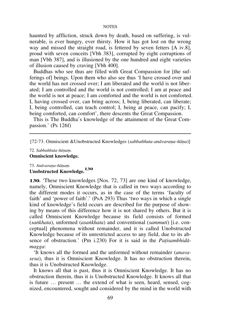haunted by affliction, struck down by death, based on suffering, is vulnerable, is ever hungry, ever thirsty. How it has got lost on the wrong way and missed the straight road, is fettered by seven fetters [A iv.8], proud with seven conceits [Vbh 383], corrupted by eight corruptions of man [Vbh 387], and is illusioned by the one hundred and eight varieties of illusion caused by craving [Vbh 400].

Buddhas who see thus are filled with Great Compassion for [the sufferings of] beings. Upon them who also see thus `I have crossed over and the world has not crossed over; I am liberated and the world is not liberated; I am controlled and the world is not controlled; I am at peace and the world is not at peace; I am comforted and the world is not comforted. I, having crossed over, can bring across; I, being liberated, can liberate; I, being controlled, can teach control; I, being at peace, can pacify; I, being comforted, can comfort', there descents the Great Compassion.

This is The Buddha's knowledge of the attainment of the Great Compassion.' (Ps 126f)

[72-73. Omniscient &Unobstructed Knowledges (sabbaññuta-anāvarana-ñāna)]

72. *Sabba¤¤uta-¤àõaü.* **Omniscient knowledge.** 

73. Anāvarana-ñānam. **Unobstructed Knowledge.<sup>130</sup>**

**130.** These two knowledges [Nos. 72, 73] are one kind of knowledge, namely, Omniscient Knowledge that is called in two ways according to the different modes it occurs, as in the case of the terms `faculty of faith' and 'power of faith'.' (PsA 293) Thus 'two ways in which a single kind of knowledge's field occurs are described for the purpose of showing by means of this difference how it is not shared by others. But it is called Omniscient Knowledge because its field consists of formed (*saïkhata*), unformed (*asaïkhata*) and conventional (*sammuti*) [i.e. conceptual] phenomena without remainder, and it is called Unobstructed Knowledge because of its unrestricted access to any field, due to its absence of obstruction.' (Pm i.230) For it is said in the *Patisambhidamagga*:

`It knows all the formed and the unformed without remainder (*anavasesa*), thus it is Omniscient Knowledge. It has no obstruction therein, thus it is Unobstructed Knowledge.

It knows all that is past, thus it is Omniscient Knowledge. It has no obstruction therein, thus it is Unobstructed Knowledge. It knows all that is future  $\ldots$  present  $\ldots$  the extend of what is seen, heard, sensed, cognized, encountered, sought and considered by the mind in the world with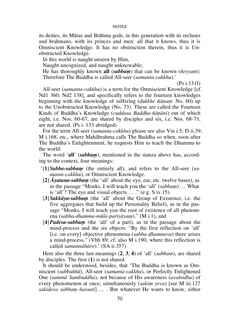its deities, its Màras and Bràhma gods, in this generation with its recluses and brahmans, with its princes and men: all that it knows, thus it is Omniscient Knowledge. It has no obstruction therein, thus it is Unobstructed Knowledge.

In this world is naught unseen by Him,

Naught uncognized, and naught unknowable;

He has thoroughly known **all** (*sabbam*) that can be known ( $\tilde{n}evvam$ ): Therefore The Buddha is called All-seer (*samanta-cakkhu*).'

(Ps i.131f)

All-seer (*samanta-cakkhu*) is a term for the Omniscient Knowledge [cf. Nd1 360; Nd2 138], and specifically refers to the fourteen knowledges beginning with the knowledge of suffering *(dukkhe ñānam*: No. 60) up to the Unobstructed Knowledge (No. 73). These are called the Fourteen Kinds of Buddha's Knowledge (*cuddasa Buddha-ñānāni*) out of which eight, i.e. Nos. 60-67, are shared by disciples and six, i.e. Nos. 68-73, are not shared. (Ps i. 133 abridged)

For the term All-seer (*samanta-cakkhu*) please see also Vin i.5; D ii.39; M i.168, etc., where Mahàbrahma calls The Buddha so when, soon after The Buddha's Enlightenment, he requests Him to teach the Dhamma to the world.

The word 'all' (*sabbam*), mentioned in the stanza above has, according to the context, four meanings:

- ` [**1**] *Sabba-sabbaü* (the entirely all), and refers to the All-seer (*samanta-cakkhu*), or Omniscient Knowledge.
- $[2]$  *Ayatana-sabbam* (the 'all' about the eye, ear, etc. twelve bases), as in the passage "Monks, I will teach you the 'all' *(sabbam)* ... What is 'all'? The eye and visual objects  $\dots$  " (e.g. S iv.15).
- [3] *Sakkāya-sabbam* (the 'all' about the Group of Existence, i.e. the five aggregates that build up the Personality Belief), as in the passage "Monks, I will teach you the root of existence of all phenomena (*sabba-dhamma-mūla-pariyāyam*)." (M i.1), and
- [4] *Padesa-sabbam* (the 'all' of a part), as in the passage about the mind-process and the six objects: "By the first reflection on 'all' [i.e. on every] objective phenomena (*sabba-dhammesu*) there arises a mind-process." (Vbh 89; cf. also M i.190, where this reflection is called *samannàhàro*).' (SA ii.357)

Here also the three last meanings  $(2, 3, 4)$  of 'all' *(sabbam)*, are shared by disciples. The first (**1**) is not shared.

It should be understood, besides, that `The Buddha is known as Omniscient (*sabba¤¤å*), All-seer (*samanta-cakkhu*), or Perfectly Enlightened One (*sammà Sambuddha*), not because of His awareness (*avabodha*) of every phenomenon at once, simultaneously *(sakim yeva)* [see M iii.127 *sakideva sabbam ñassati*] ... But whatever He wants to know, either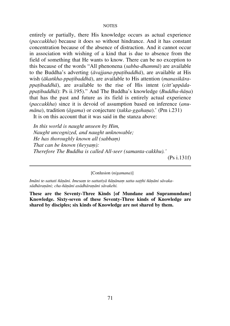entirely or partially, there His knowledge occurs as actual experience (*paccakkha*) because it does so without hindrance. And it has constant concentration because of the absence of distraction. And it cannot occur in association with wishing of a kind that is due to absence from the field of something that He wants to know. There can be no exception to this because of the words ßAll phenonena (*sabba-dhammà*) are available to the Buddha's adverting (*àvajjana-ppañibaddhà*), are available at His wish (*àkaïkha-ppañibaddhà*), are available to His attention (*manasikàrappañibaddhà*), are available to the rise of His intent (*citt'uppàdappañibaddhà*): Ps ii.195).û And The Buddha's knowledge (*Buddha-¤àõa*) that has the past and future as its field is entirely actual experience (*paccakkha*) since it is devoid of assumption based on inference (*anumāna*), tradition (*āgama*) or conjecture (*takka-ggahana*).' (Pm i.231)

It is on this account that it was said in the stanza above:

*In this world is naught unseen by Him, Naught uncognized, and naught unknowable; He has thoroughly known all (sabbam) That can be known (ñevyam): Therefore The Buddha is called All-seer (samanta-cakkhu).'* (Ps i.131f)

[Conlusion (*nigamana*)]

Imāni te-sattati ñānāni. Imesam te-sattatiyā ñānānam satta-satthi ñānāni sāvakasādhāranāni; cha-ñānāni asādhāranāni sāvakehi.

**These are the Seventy-Three Kinds [of Mundane and Supramundane] Knowledge. Sixty-seven of these Seventy-Three kinds of Knowledge are shared by disciples; six kinds of Knowledge are not shared by them.**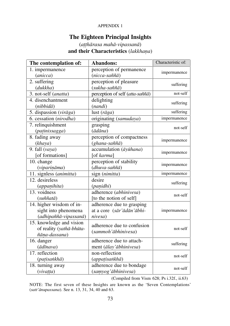## APPENDIX 1

## **The Eighteen Principal Insights**

## (*aññhàrasa mahà-vipassanà*) and their Characteristics (lakkhana)

| The contemplation of:             | Abandons:                       | Characteristic of: |  |  |
|-----------------------------------|---------------------------------|--------------------|--|--|
| 1. impermanence                   | perception of permanence        | impermanence       |  |  |
| (anicca)                          | (nicca-saññā)                   |                    |  |  |
| 2. suffering                      | perception of pleasure          | suffering          |  |  |
| (dukkha)                          | (sukha-saññā)                   |                    |  |  |
| 3. not-self (anatta)              | perception of self (atta-saññā) | not-self           |  |  |
| 4. disenchantment                 | delighting                      | suffering          |  |  |
| (nibbidā)                         | (nandi)                         |                    |  |  |
| 5. dispassion (virāga)            | lust $(rāga)$                   | suffering          |  |  |
| 6. cessation (nirodha)            | originating (samudaya)          | impermanence       |  |  |
| 7. relinquishment                 | grasping                        | not-self           |  |  |
| (patinissagga)                    | $(\bar{a}d\bar{a}na)$           |                    |  |  |
| 8. fading away                    | perception of compactness       |                    |  |  |
| (khaya)                           | (ghana-saññā)                   | impermanence       |  |  |
| 9. fall $(vaya)$                  | accumulation (āyūhana)          | impermanence       |  |  |
| [of formations]                   | [of karma]                      |                    |  |  |
| 10. change                        | perception of stability         | impermanence       |  |  |
| (viparināma)                      | (dhuva-saññā)                   |                    |  |  |
| 11. signless (animitta)           | sign (nimitta)                  | impermanence       |  |  |
| 12. desireless                    | desire                          | suffering          |  |  |
| (appanihita)                      | (panidhi)                       |                    |  |  |
| 13. voidness                      | adherence (abhinivesa)          | not-self           |  |  |
| $(su\tilde{n}\tilde{n}at\bar{a})$ | [to the notion of self]         |                    |  |  |
| 14. higher wisdom of in-          | adherence due to grasping       |                    |  |  |
| sight into phenomena              | at a core (sār'ādān'ābhi-       | impermanence       |  |  |
| (adhipaññā-vipassanā)             | nivesa)                         |                    |  |  |
| 15. knowledge and vision          | adherence due to confusion      |                    |  |  |
| of reality (yathā-bhūta-          | (sammoh'ābhinivesa)             | not-self           |  |  |
| ñāna-dassana)                     |                                 |                    |  |  |
| 16. danger                        | adherence due to attach-        | suffering          |  |  |
| $(\bar{a}d\bar{a}nava)$           | ment (ālay'ābhinivesa)          |                    |  |  |
| 17. reflection                    | non-reflection                  | not-self           |  |  |
| (patisankhā)                      | (appatisankhā)                  |                    |  |  |
| 18. turning away                  | adherence due to bondage        | not-self           |  |  |
| (vivatta)                         | (samyog'ābhinivesa)             |                    |  |  |

(Compiled from Vism 628; Ps i.32f., ii.63)

NOTE: The first seven of these Insights are known as the `Seven Contemplations' (*satt'ànupassana*). See n. 13, 31, 34, 40 and 63.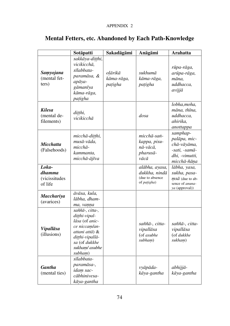## APPENDIX 2

|                                                    | Sotāpatti                                                                                                                                              | Sakadāgāmi                       | Anāgāmi                                                           | <b>Arahatta</b>                                                                              |
|----------------------------------------------------|--------------------------------------------------------------------------------------------------------------------------------------------------------|----------------------------------|-------------------------------------------------------------------|----------------------------------------------------------------------------------------------|
| Samyojana<br>(mental fet-<br>ters)                 | sakkāya-ditthi,<br>vicikicchā.<br>sīlabbata-<br>paramāsa, &<br>apāya-<br>gāmanīya<br>kāma-rāga,<br>patigha                                             | olārikā<br>kāma-rāga,<br>patigha | sukhumā<br>kāma-rāga,<br>patigha                                  | rūpa-rāga,<br>arūpa-rāga,<br>māna.<br>uddhacca,<br>avijjā                                    |
| <b>Kilesa</b><br>(mental de-<br>filements)         | ditthi,<br>vicikicchā                                                                                                                                  |                                  | dosa                                                              | lobha, moha,<br>māna, thīna,<br>uddhacca.<br>ahirika,<br>anottappa                           |
| <b>Micchatta</b><br>(Falsehoods)                   | micchā-ditthi,<br>musā-vāda,<br>micchā-<br>kammanta,<br>micchā-ājīva                                                                                   |                                  | micchā-saṅ-<br>kappa, pisu-<br>nā-vācā.<br>pharusā-<br>vācā       | samphap-<br>palāpa, mic-<br>chā-vāyāma,<br>-sati, -samā-<br>dhi. -vimutti.<br>micchā-ñāna    |
| Loka-<br>dhamma<br><i>(vicissitudes</i><br>of life |                                                                                                                                                        |                                  | alābha, ayasa,<br>dukkha. nindā<br>(due to absence<br>of patigha) | lābha, vasa,<br>sukha, pasa-<br>$ms\bar{a}$ (due to ab-<br>sence of anuna-<br>ya (approval)) |
| <b>Macchariya</b><br>(avarices)                    | āvāsa, kula,<br>lābha, dham-<br>ma, vanna                                                                                                              |                                  |                                                                   |                                                                                              |
| Vipallāsa<br>(illusions)                           | saññā-, citta-,<br>ditthi-vipal-<br>lāsa (of anic-<br>ce niccam/an-<br>attani attā) &<br>ditthi-vipallā-<br>sa (of dukkhe<br>sukham/ asubhe<br>subham) |                                  | saññā-, citta-<br>vipallāsa<br>(of asubhe<br>subham)              | saññā-, citta-<br>vipallāsa<br>(of dukkhe<br>sukham)                                         |
| <b>Gantha</b><br>(mental ties)                     | sīlabbata-<br>paramāsa-,<br>idam sac-<br>cābhinivesa-<br>kāya-gantha                                                                                   |                                  | vyāpāda-<br>kāya-gantha                                           | abhijjā-<br>kāya-gantha                                                                      |

# **Mental Fetters, etc. Abandoned by Each Path-Knowledge**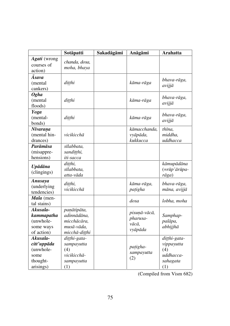|                                                                       | Sotāpatti                                                                | Sakadāgāmi | Anāgāmi                                      | <b>Arahatta</b>                                                   |  |  |  |
|-----------------------------------------------------------------------|--------------------------------------------------------------------------|------------|----------------------------------------------|-------------------------------------------------------------------|--|--|--|
| Agati (wrong<br>courses of<br>action)                                 | chanda, dosa,<br>moha, bhaya                                             |            |                                              |                                                                   |  |  |  |
| Āsava<br>(mental<br>cankers)                                          | ditthi                                                                   |            | kāma-rāga                                    | bhava-rāga,<br>avijjā                                             |  |  |  |
| <b>Ogha</b><br>(mental)<br>floods)                                    | ditthi                                                                   |            | kāma-rāga                                    | bhava-rāga,<br>avijjā                                             |  |  |  |
| Yoga<br>(mental-<br>bonds)                                            | ditthi                                                                   |            | kāma-rāga                                    | bhava-rāga,<br>avijjā                                             |  |  |  |
| Nīvarana<br>(mental hin-<br>drances)                                  | vicikicchā                                                               |            | kāmacchanda,<br>vyāpāda,<br>kukkucca         | thīna,<br>middha,<br>uddhacca                                     |  |  |  |
| Parāmāsa<br>(misappre-<br>hensions)                                   | sīlabbata,<br>sanditthi,<br>iti-sacca                                    |            |                                              |                                                                   |  |  |  |
| Upādāna<br>(clingings)                                                | ditthi,<br>sīlabbata,<br>atta-vāda                                       |            |                                              | kāmupādāna<br>$(=\!\overline{rip'ar} \bar{u}pa -$<br>rāga)        |  |  |  |
| Anusaya<br>(underlying<br>tendencies)                                 | ditthi,<br>vicikicchā                                                    |            | kāma-rāga,<br>patigha                        | bhava-rāga,<br>māna, avijjā                                       |  |  |  |
| Mala (men-<br>tal stains)                                             |                                                                          |            | dosa                                         | lobha, moha                                                       |  |  |  |
| Akusala-<br>kammapatha<br>(unwhole-<br>some ways<br>of action)        | panātipāta,<br>adinnādāna.<br>micchācāra,<br>musā-vāda,<br>micchā-ditthi |            | pisunā-vācā,<br>pharusa-<br>vācā.<br>vyāpāda | Samphap-<br>palāpa,<br>abhijjhā                                   |  |  |  |
| Akusala-<br>citt'uppāda<br>(unwhole-<br>some<br>thought-<br>arisings) | ditthi-gata-<br>sampayutta<br>(4)<br>vicikicchā-<br>sampayutta<br>(1)    |            | patigha-<br>sampayutta<br>(2)                | ditthi-gata-<br>vippayutta<br>(4)<br>uddhacca-<br>sahagata<br>(1) |  |  |  |

(Compiled from Vism 682)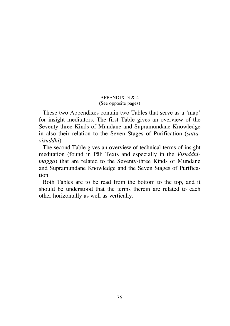## APPENDIX  $3 & 4$ (See opposite pages)

These two Appendixes contain two Tables that serve as a `map' for insight meditators. The first Table gives an overview of the Seventy-three Kinds of Mundane and Supramundane Knowledge in also their relation to the Seven Stages of Purification (*sattavisuddhi*).

The second Table gives an overview of technical terms of insight meditation (found in Pàëi Texts and especially in the *Visuddhimagga*) that are related to the Seventy-three Kinds of Mundane and Supramundane Knowledge and the Seven Stages of Purification.

Both Tables are to be read from the bottom to the top, and it should be understood that the terms therein are related to each other horizontally as well as vertically.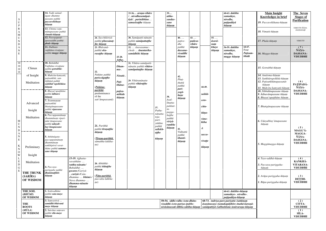| ${\bf S}$<br>$\mathbf U$<br>$\, {\bf P}$<br>$\mathbb{R}$<br>$\mathbf{A}$<br>$\mathbf M$<br>$\mathbf U$<br>$\, {\rm N}$<br>$\mathbf D$ |                                                                                                       | 14. Tadā samud-<br>āgate dhamme<br>passane paññā<br>paccavekkhane<br>ñāṇaṃ<br>13. Chinna-vatu-<br>mānupassane paññā<br>vimutti-ñānam<br>12. Payogappati-<br>ppassaddhi paññā<br>phale ñāṇaṃ                                                                                                                  |                                                                                                                                                                         | 24. Sacchikiriyā-<br>paññā phussanaț-<br>the ñānam                                                                  |                                                                              | 33-36 araņa-vihāre<br>nirodhasamāpat-<br>tiyā/parinibbāne<br>samasīsaṭṭhe ñāṇaṃ<br>30. Samāpatti-nānatte<br>paññā samāpattaṭṭhe<br>ñānam           |                                                                   | 39<br>attha-<br>sandas-<br>sane<br>ñāṇaṃ              | $40.$<br>pative-<br>dhe                                            | 43<br>padesa-<br>vihāre |                                                  | 55. $\dots$<br>āsavā-<br>nam | 60-63. dukkhe<br>samudaye,<br>nirodhe,<br>patipadāyā<br>ñāṇaṃ                                                                                                                                                                           |                                    | <b>Main Insight</b><br><b>Knowledges in brief</b><br>19. Paccavekkhana-ñānam<br>18. Vimutti-ñānam<br>17. Phala-ñānam                                                                                                                                             | The Seven<br><b>Stages of</b><br><b>Purification</b><br>VIMUTTI-ÑĀNA-<br>DASSANAM<br><b>VIMUTTI</b> |
|---------------------------------------------------------------------------------------------------------------------------------------|-------------------------------------------------------------------------------------------------------|--------------------------------------------------------------------------------------------------------------------------------------------------------------------------------------------------------------------------------------------------------------------------------------------------------------|-------------------------------------------------------------------------------------------------------------------------------------------------------------------------|---------------------------------------------------------------------------------------------------------------------|------------------------------------------------------------------------------|----------------------------------------------------------------------------------------------------------------------------------------------------|-------------------------------------------------------------------|-------------------------------------------------------|--------------------------------------------------------------------|-------------------------|--------------------------------------------------|------------------------------|-----------------------------------------------------------------------------------------------------------------------------------------------------------------------------------------------------------------------------------------|------------------------------------|------------------------------------------------------------------------------------------------------------------------------------------------------------------------------------------------------------------------------------------------------------------|-----------------------------------------------------------------------------------------------------|
| $\mathbf{A}$<br>${\bf N}$<br>$\,$ E                                                                                                   |                                                                                                       | 11. Dubhato<br>vuṭṭhāna-vivaṭṭane<br>paññā <b>magge ñāṇaṃ</b>                                                                                                                                                                                                                                                |                                                                                                                                                                         | 23. Bhāvanā-<br>paññā eka-<br>rasatthe ñānam                                                                        | 25-28.<br>Attha-,                                                            | 32.  āsavasamuc-<br>chede  ānantarika-<br>samādhihi ñānam                                                                                          |                                                                   |                                                       | paññā<br>dassana-<br>visuddhi<br>$\tilde{n} \bar{a}$ nam           | ñānam                   |                                                  | khaye<br>ñāṇaṃ               | 56-59. dukkhe<br>samudaye,<br>nirodhe,<br>magge ñānam                                                                                                                                                                                   | 64-67.<br>Four<br>Paṭisam<br>bhidā | <b>16.</b> Magga-ñānam                                                                                                                                                                                                                                           | (7)<br>ÑĀŅA-<br>DASSANA-<br><b>VISUDDHI</b>                                                         |
| $\widetilde{\widetilde{\phantom{m}}}\hspace{-0.2cm}m$                                                                                 | Climax<br>of Insight<br>Meditation<br>Advanced<br>Insight                                             | 10. Bahiddhā<br>Vutthāna-vivațțane<br>paññā <b>gotrabhū-</b><br>ñāṇaṃ<br>9. Muñcitu-kamyatā,<br>patisaṅkhā, san-<br>titthānā paññā<br>saṅkhār'upekkhāsu<br>ñāṇaṃ<br>8. Bhayat'upatthāne<br>paññā <b>ādīnave</b><br>ñānam<br>7. Arammanam<br>patisankhā<br>bhangānupassane<br>paññā <b>vipassane</b><br>ñānam |                                                                                                                                                                         | 22.<br>Pahāne paññā<br>pariccāgaṭṭhe<br>ñāṇaṃ<br>(Pahāna-<br>pariññā,<br>predominance<br>of the<br>satt'ānupassanā) | Dham-<br>ma-,<br>Nirutti-.<br>Pati-<br>bhāna-<br>paṭisa-<br>mbhide<br>ñāņam. | 31. Vihāra-samāpatti-<br>nānatte paññā vihāra-<br>samāpattaṭṭhe ñāṇam<br>29. Vihāranānatte<br>paññā <b>vihāratthe</b><br>$\tilde{n} \bar{a} n a m$ | 37.<br>Puthu-<br>nānatta                                          | 38.<br>Asal-<br>līnatta-<br>pahitat-<br>ta-<br>pagga- | 42.<br>Phut-<br>thattā<br>paññā<br>pari-<br>yogā-<br>hane<br>ñāṇaṃ |                         | 44-49.<br>saññā-<br>ceto-<br>citta-<br>ñāna-     |                              |                                                                                                                                                                                                                                         |                                    | <b>15.</b> Gotrabhū-ñāṇaṃ<br>14. Anuloma-ñānam<br>13. Sankhārupekkhā-ñāṇaṃ<br>12. Patisankhānupassanā-<br>ñānam<br>11. Muñcitu-kamyatā-ñānam<br>10. Nibbidānupassane ñānam<br>9. Adīnavānupassane ñāņam<br>8. Bhayat'upatthāne ñānam<br>7. Bhangānupassane ñānam | (6)<br>PATIPADĀ-<br>ÑĀŅA-<br>DASSANA-<br><b>VISUDDHI</b>                                            |
| M<br>$\mathbf U$<br>${\bf N}$<br>$\mathbf D$<br>$\mathbf{A}$<br>${\bf N}$<br>$\mathbf E$<br>K<br>${\bf N}$<br>$\mathbf{O}$<br>W       | Meditation<br>Preliminary<br>Insight                                                                  | 6. Paccuppannānam<br>dhammānam vipari-<br>nām'ānupassane<br>paññā <b>udayab-</b><br>bay'ānupassane<br>ñāṇaṃ<br>5. Atītānāgata-<br>paccuppannānam<br>dhammānam<br>sankhipitvā vavat-<br>thāne paññā s <b>amma-</b><br>sane ñānam                                                                              |                                                                                                                                                                         | 21. Pariññā<br>paññā tīraņatthe<br>ñānam<br>(Tīraņa-pariññā,<br>sāmañña-lakkha-<br>na)                              |                                                                              |                                                                                                                                                    | $teja-$<br>pari-<br>yādāne<br>paññā<br>sallekh-<br>aṭṭhe<br>ñāṇaṃ | haṭṭhe<br>paññā<br>viriyā-<br>rambhe<br>ñāṇaṃ         | 41.<br>Viditattā<br>paññā<br>khanti-<br>ñāṇaṃ                      |                         | vimo-<br>kkha<br>&<br>sacca-<br>vivatte<br>ñāṇaṃ |                              |                                                                                                                                                                                                                                         |                                    | 6. Udayabbay'ānupassane<br>ñānam<br>5. Maggāmagga-ñānam                                                                                                                                                                                                          | (5)<br>MAGG'Ā-<br>MAGGA-<br>ÑĀŅA-<br>DASSANA-<br><b>VISUDDHI</b>                                    |
| $\lfloor$ L<br>$\mathbf E$<br>${\bf D}$<br>${\bf G}$<br>E                                                                             | Meditation<br><b>THE TRUNK</b><br>$(SAR\overline{I}RA)$<br><b>OF WISDOM</b>                           | 4. Paccaya-<br>pariggahe paññā<br>dhammatthiti-<br>ñāṇaṃ                                                                                                                                                                                                                                                     | 15-19. Ajjhatta-<br>vavatthāne<br>vatthu-nānatte/<br>Bahiddhā-<br>gocara-/Cariyā-<br>.cariyā-/Catu-<br>dhamma- <b>bhūmi-</b><br>Nava dhamma-<br>dhamma-nānatte<br>nāņam | 20. Abhiññā-<br>paññā <b>ñātatthe</b><br>ñāṇaṃ<br>$(Nāta$ -pariññ $\bar{a}$ ,<br>paccatta-lakkha-<br>na)            |                                                                              |                                                                                                                                                    |                                                                   |                                                       |                                                                    |                         |                                                  |                              |                                                                                                                                                                                                                                         |                                    | 4. Tayo-addhā-ñānam<br>3. Paccaya-pariggaha-<br>ñānam<br>2. Arūpa-pariggaha-ñāṇam<br>1. Rūpa-pariggaha-ñānam                                                                                                                                                     | (4)<br>KANKHĀ-<br>VITARANA-<br><b>VISUDDHI</b><br>(3)<br>DITTHI-<br><b>VISUDDHI</b>                 |
|                                                                                                                                       | THE SOIL<br>$(BH\bar{U}MI)$<br>OF WISDOM<br><b>THE</b><br><b>ROOTS</b><br>$(M\bar{U}LA)$<br>OF WISDOM | 1. Sotāvadhāne<br>paññā s <b>uta-maye</b><br>ñānam<br>3. Samvaritvā<br>samādhi-bhāvanā<br>maye ñānam<br>2. Sutvāna samvare<br>paññā <b>sīla-maye</b><br>ñāṇaṃ                                                                                                                                                |                                                                                                                                                                         |                                                                                                                     |                                                                              |                                                                                                                                                    |                                                                   |                                                       | 50-54. iddhi-vidhe-/sota-dhātu-<br>visuddhi-/ceto-pariya-/pubbe-   |                         |                                                  |                              | 60-63. dukkhe-ñānam<br>samudaye-, nirodhe-,<br>patipadāya-ñānam<br>68-73. indriya-paro-pariyatte-/sattānam<br>āsayānusaye-/yamakapāṭihīre-/mahā-karuṇā-<br>nivāsānussati-/dibba-cakkhu-ñānam   samāpattiyā-/sabbaññuta-/anāvarana-ñānam |                                    |                                                                                                                                                                                                                                                                  | (2)<br>CITTA-<br>VISUDDHI<br>(1)<br>SĪLA-<br>VISUDDHI                                               |